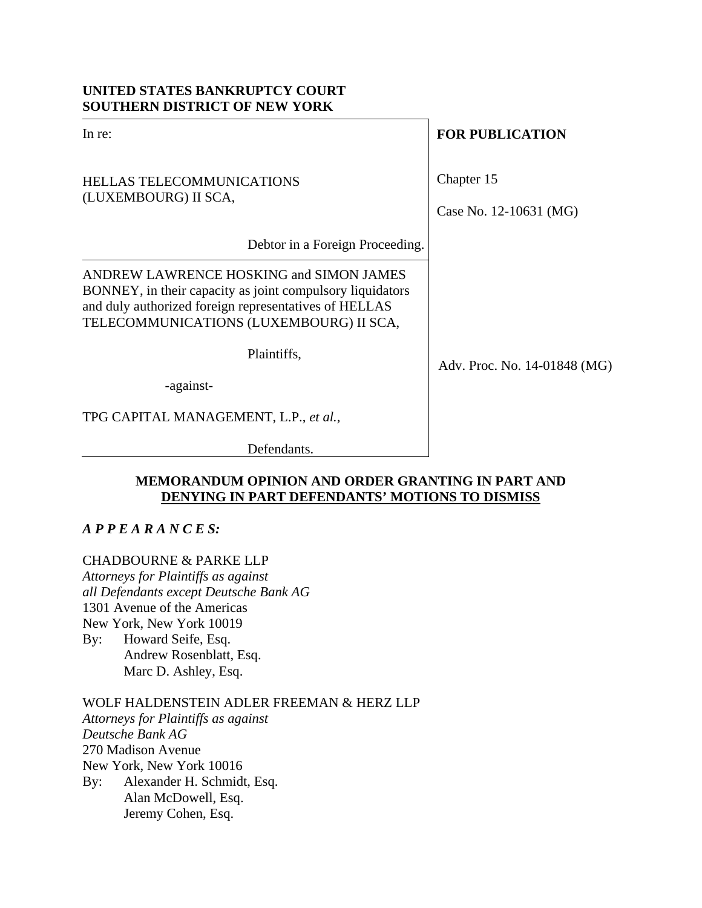## **UNITED STATES BANKRUPTCY COURT SOUTHERN DISTRICT OF NEW YORK**

| In re: |  |  |  |
|--------|--|--|--|
|        |  |  |  |
|        |  |  |  |

# HELLAS TELECOMMUNICATIONS (LUXEMBOURG) II SCA,

**FOR PUBLICATION** 

Chapter 15

Case No. 12-10631 (MG)

Debtor in a Foreign Proceeding.

ANDREW LAWRENCE HOSKING and SIMON JAMES BONNEY, in their capacity as joint compulsory liquidators and duly authorized foreign representatives of HELLAS TELECOMMUNICATIONS (LUXEMBOURG) II SCA,

Plaintiffs,

-against-

TPG CAPITAL MANAGEMENT, L.P., *et al.*,

Defendants.

## **MEMORANDUM OPINION AND ORDER GRANTING IN PART AND DENYING IN PART DEFENDANTS' MOTIONS TO DISMISS**

# *A P P E A R A N C E S:*

# CHADBOURNE & PARKE LLP

*Attorneys for Plaintiffs as against all Defendants except Deutsche Bank AG*  1301 Avenue of the Americas New York, New York 10019 By: Howard Seife, Esq. Andrew Rosenblatt, Esq. Marc D. Ashley, Esq.

# WOLF HALDENSTEIN ADLER FREEMAN & HERZ LLP

*Attorneys for Plaintiffs as against Deutsche Bank AG*  270 Madison Avenue New York, New York 10016 By: Alexander H. Schmidt, Esq. Alan McDowell, Esq. Jeremy Cohen, Esq.

Adv. Proc. No. 14-01848 (MG)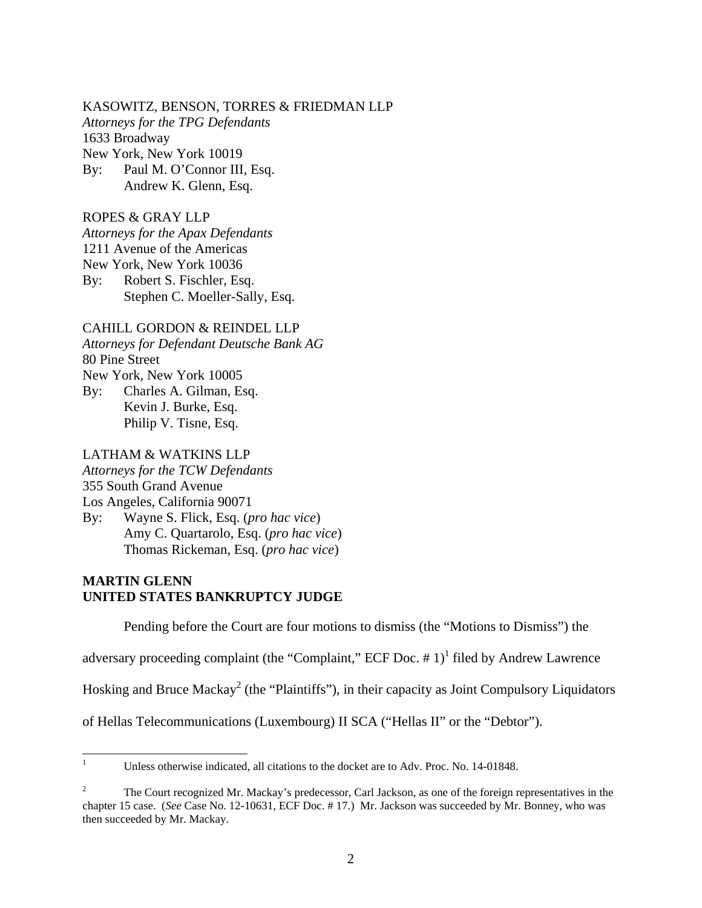### KASOWITZ, BENSON, TORRES & FRIEDMAN LLP

*Attorneys for the TPG Defendants* 

1633 Broadway

New York, New York 10019

By: Paul M. O'Connor III, Esq. Andrew K. Glenn, Esq.

### ROPES & GRAY LLP

*Attorneys for the Apax Defendants* 

1211 Avenue of the Americas

New York, New York 10036

By: Robert S. Fischler, Esq. Stephen C. Moeller-Sally, Esq.

## CAHILL GORDON & REINDEL LLP

*Attorneys for Defendant Deutsche Bank AG*  80 Pine Street

New York, New York 10005

By: Charles A. Gilman, Esq. Kevin J. Burke, Esq. Philip V. Tisne, Esq.

## LATHAM & WATKINS LLP

*Attorneys for the TCW Defendants* 

355 South Grand Avenue

Los Angeles, California 90071

By: Wayne S. Flick, Esq. (*pro hac vice*) Amy C. Quartarolo, Esq. (*pro hac vice*) Thomas Rickeman, Esq. (*pro hac vice*)

## **MARTIN GLENN UNITED STATES BANKRUPTCY JUDGE**

Pending before the Court are four motions to dismiss (the "Motions to Dismiss") the

adversary proceeding complaint (the "Complaint," ECF Doc.  $# 1$ )<sup>1</sup> filed by Andrew Lawrence

Hosking and Bruce Mackay<sup>2</sup> (the "Plaintiffs"), in their capacity as Joint Compulsory Liquidators

of Hellas Telecommunications (Luxembourg) II SCA ("Hellas II" or the "Debtor").

 $\frac{1}{1}$ Unless otherwise indicated, all citations to the docket are to Adv. Proc. No. 14-01848.

<sup>2</sup> The Court recognized Mr. Mackay's predecessor, Carl Jackson, as one of the foreign representatives in the chapter 15 case. (*See* Case No. 12-10631, ECF Doc. # 17.) Mr. Jackson was succeeded by Mr. Bonney, who was then succeeded by Mr. Mackay.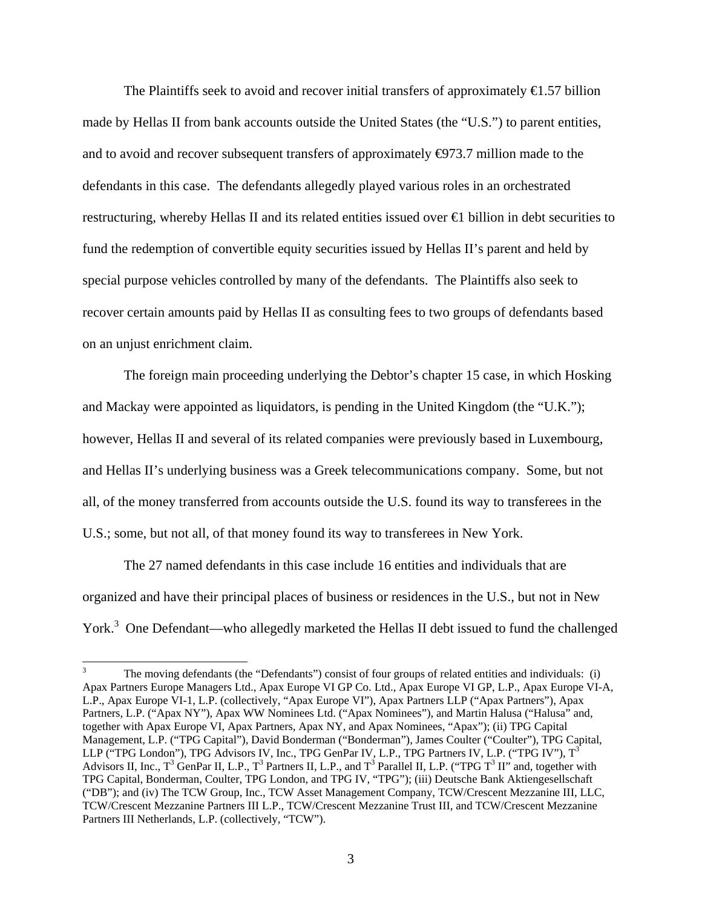The Plaintiffs seek to avoid and recover initial transfers of approximately  $\epsilon$ 1.57 billion made by Hellas II from bank accounts outside the United States (the "U.S.") to parent entities, and to avoid and recover subsequent transfers of approximately  $\Theta$ 73.7 million made to the defendants in this case. The defendants allegedly played various roles in an orchestrated restructuring, whereby Hellas II and its related entities issued over €1 billion in debt securities to fund the redemption of convertible equity securities issued by Hellas II's parent and held by special purpose vehicles controlled by many of the defendants. The Plaintiffs also seek to recover certain amounts paid by Hellas II as consulting fees to two groups of defendants based on an unjust enrichment claim.

The foreign main proceeding underlying the Debtor's chapter 15 case, in which Hosking and Mackay were appointed as liquidators, is pending in the United Kingdom (the "U.K."); however, Hellas II and several of its related companies were previously based in Luxembourg, and Hellas II's underlying business was a Greek telecommunications company. Some, but not all, of the money transferred from accounts outside the U.S. found its way to transferees in the U.S.; some, but not all, of that money found its way to transferees in New York.

The 27 named defendants in this case include 16 entities and individuals that are organized and have their principal places of business or residences in the U.S., but not in New York.<sup>3</sup> One Defendant—who allegedly marketed the Hellas II debt issued to fund the challenged

 $\overline{a}$ 

<sup>3</sup> The moving defendants (the "Defendants") consist of four groups of related entities and individuals: (i) Apax Partners Europe Managers Ltd., Apax Europe VI GP Co. Ltd., Apax Europe VI GP, L.P., Apax Europe VI-A, L.P., Apax Europe VI-1, L.P. (collectively, "Apax Europe VI"), Apax Partners LLP ("Apax Partners"), Apax Partners, L.P. ("Apax NY"), Apax WW Nominees Ltd. ("Apax Nominees"), and Martin Halusa ("Halusa" and, together with Apax Europe VI, Apax Partners, Apax NY, and Apax Nominees, "Apax"); (ii) TPG Capital Management, L.P. ("TPG Capital"), David Bonderman ("Bonderman"), James Coulter ("Coulter"), TPG Capital, LLP ("TPG London"), TPG Advisors IV, Inc., TPG GenPar IV, L.P., TPG Partners IV, L.P. ("TPG IV"), T<sup>3</sup> Advisors II, Inc.,  $T^3$  GenPar II, L.P.,  $T^3$  Partners II, L.P., and  $T^3$  Parallel II, L.P. ("TPG  $T^3$  II" and, together with TPG Capital, Bonderman, Coulter, TPG London, and TPG IV, "TPG"); (iii) Deutsche Bank Aktiengesellschaft ("DB"); and (iv) The TCW Group, Inc., TCW Asset Management Company, TCW/Crescent Mezzanine III, LLC, TCW/Crescent Mezzanine Partners III L.P., TCW/Crescent Mezzanine Trust III, and TCW/Crescent Mezzanine Partners III Netherlands, L.P. (collectively, "TCW").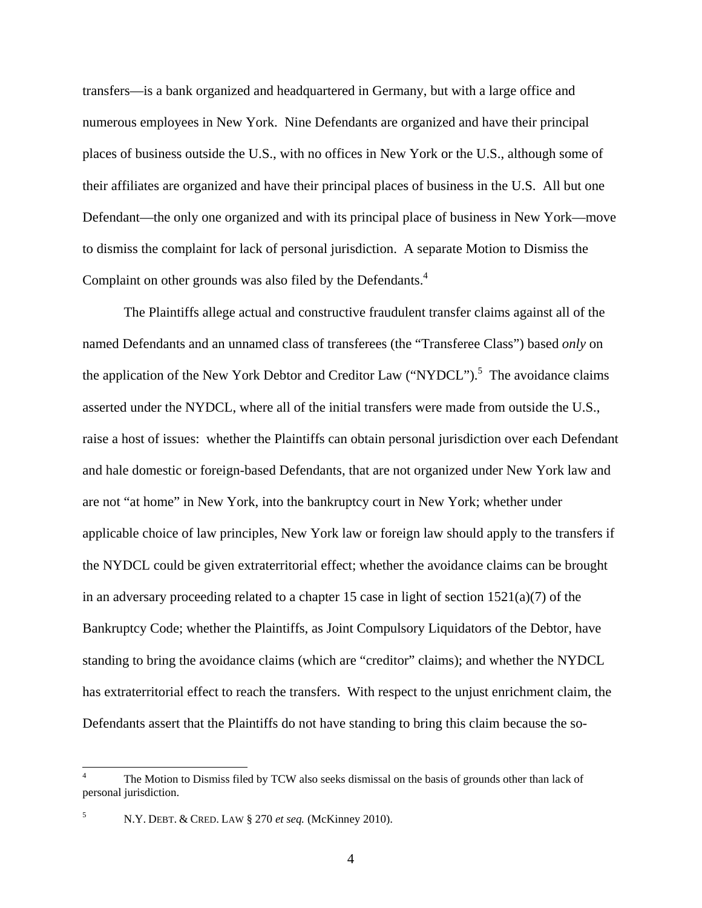transfers—is a bank organized and headquartered in Germany, but with a large office and numerous employees in New York. Nine Defendants are organized and have their principal places of business outside the U.S., with no offices in New York or the U.S., although some of their affiliates are organized and have their principal places of business in the U.S. All but one Defendant—the only one organized and with its principal place of business in New York—move to dismiss the complaint for lack of personal jurisdiction. A separate Motion to Dismiss the Complaint on other grounds was also filed by the Defendants.<sup>4</sup>

The Plaintiffs allege actual and constructive fraudulent transfer claims against all of the named Defendants and an unnamed class of transferees (the "Transferee Class") based *only* on the application of the New York Debtor and Creditor Law  $("NYDCL")$ .<sup>5</sup> The avoidance claims asserted under the NYDCL, where all of the initial transfers were made from outside the U.S., raise a host of issues: whether the Plaintiffs can obtain personal jurisdiction over each Defendant and hale domestic or foreign-based Defendants, that are not organized under New York law and are not "at home" in New York, into the bankruptcy court in New York; whether under applicable choice of law principles, New York law or foreign law should apply to the transfers if the NYDCL could be given extraterritorial effect; whether the avoidance claims can be brought in an adversary proceeding related to a chapter 15 case in light of section  $1521(a)(7)$  of the Bankruptcy Code; whether the Plaintiffs, as Joint Compulsory Liquidators of the Debtor, have standing to bring the avoidance claims (which are "creditor" claims); and whether the NYDCL has extraterritorial effect to reach the transfers. With respect to the unjust enrichment claim, the Defendants assert that the Plaintiffs do not have standing to bring this claim because the so-

 $\overline{a}$ 

<sup>4</sup> The Motion to Dismiss filed by TCW also seeks dismissal on the basis of grounds other than lack of personal jurisdiction.

<sup>5</sup> N.Y. DEBT. & CRED. LAW § 270 *et seq.* (McKinney 2010).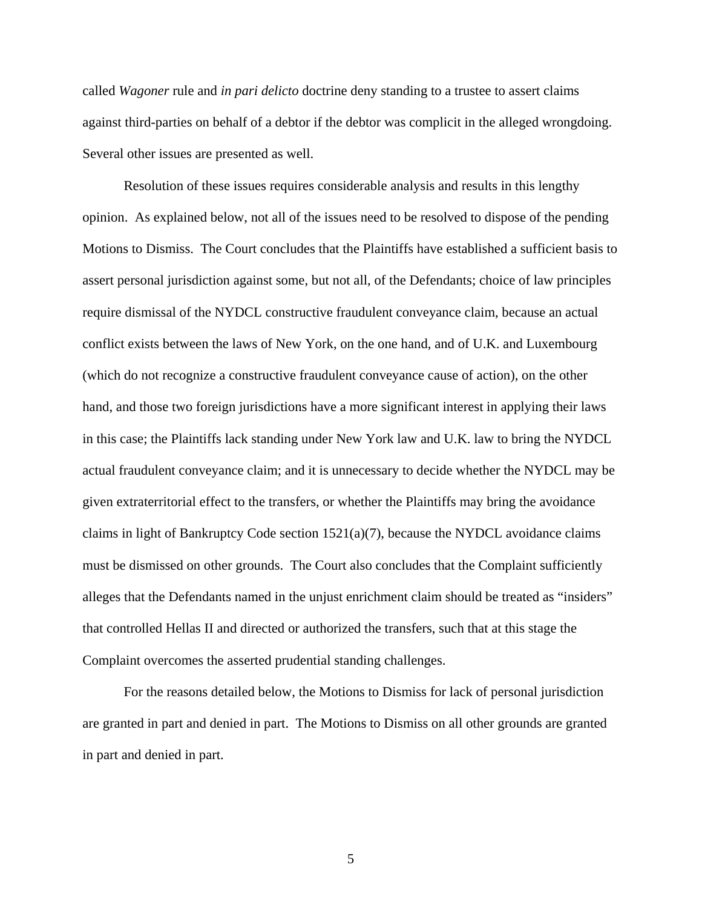called *Wagoner* rule and *in pari delicto* doctrine deny standing to a trustee to assert claims against third-parties on behalf of a debtor if the debtor was complicit in the alleged wrongdoing. Several other issues are presented as well.

Resolution of these issues requires considerable analysis and results in this lengthy opinion. As explained below, not all of the issues need to be resolved to dispose of the pending Motions to Dismiss. The Court concludes that the Plaintiffs have established a sufficient basis to assert personal jurisdiction against some, but not all, of the Defendants; choice of law principles require dismissal of the NYDCL constructive fraudulent conveyance claim, because an actual conflict exists between the laws of New York, on the one hand, and of U.K. and Luxembourg (which do not recognize a constructive fraudulent conveyance cause of action), on the other hand, and those two foreign jurisdictions have a more significant interest in applying their laws in this case; the Plaintiffs lack standing under New York law and U.K. law to bring the NYDCL actual fraudulent conveyance claim; and it is unnecessary to decide whether the NYDCL may be given extraterritorial effect to the transfers, or whether the Plaintiffs may bring the avoidance claims in light of Bankruptcy Code section  $1521(a)(7)$ , because the NYDCL avoidance claims must be dismissed on other grounds. The Court also concludes that the Complaint sufficiently alleges that the Defendants named in the unjust enrichment claim should be treated as "insiders" that controlled Hellas II and directed or authorized the transfers, such that at this stage the Complaint overcomes the asserted prudential standing challenges.

For the reasons detailed below, the Motions to Dismiss for lack of personal jurisdiction are granted in part and denied in part. The Motions to Dismiss on all other grounds are granted in part and denied in part.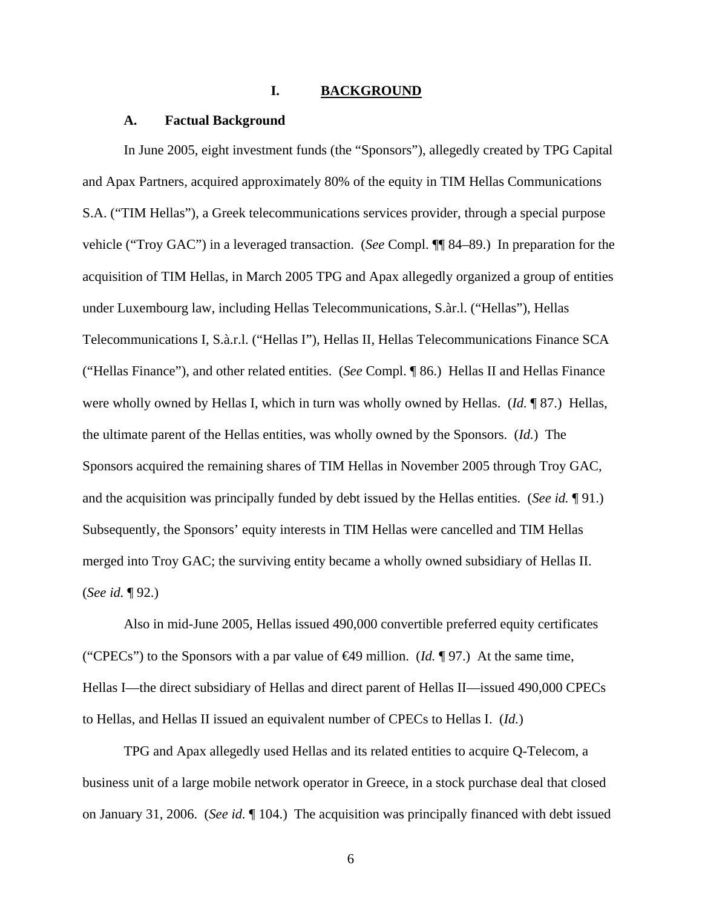### **I. BACKGROUND**

### **A. Factual Background**

In June 2005, eight investment funds (the "Sponsors"), allegedly created by TPG Capital and Apax Partners, acquired approximately 80% of the equity in TIM Hellas Communications S.A. ("TIM Hellas"), a Greek telecommunications services provider, through a special purpose vehicle ("Troy GAC") in a leveraged transaction. (*See* Compl. ¶¶ 84–89.) In preparation for the acquisition of TIM Hellas, in March 2005 TPG and Apax allegedly organized a group of entities under Luxembourg law, including Hellas Telecommunications, S.àr.l. ("Hellas"), Hellas Telecommunications I, S.à.r.l. ("Hellas I"), Hellas II, Hellas Telecommunications Finance SCA ("Hellas Finance"), and other related entities. (*See* Compl. ¶ 86.) Hellas II and Hellas Finance were wholly owned by Hellas I, which in turn was wholly owned by Hellas. (*Id.* ¶ 87.) Hellas, the ultimate parent of the Hellas entities, was wholly owned by the Sponsors. (*Id.*) The Sponsors acquired the remaining shares of TIM Hellas in November 2005 through Troy GAC, and the acquisition was principally funded by debt issued by the Hellas entities. (*See id.* ¶ 91.) Subsequently, the Sponsors' equity interests in TIM Hellas were cancelled and TIM Hellas merged into Troy GAC; the surviving entity became a wholly owned subsidiary of Hellas II. (*See id.* ¶ 92.)

Also in mid-June 2005, Hellas issued 490,000 convertible preferred equity certificates ("CPECs") to the Sponsors with a par value of €49 million. (*Id.* ¶ 97.) At the same time, Hellas I—the direct subsidiary of Hellas and direct parent of Hellas II—issued 490,000 CPECs to Hellas, and Hellas II issued an equivalent number of CPECs to Hellas I. (*Id.*)

TPG and Apax allegedly used Hellas and its related entities to acquire Q-Telecom, a business unit of a large mobile network operator in Greece, in a stock purchase deal that closed on January 31, 2006. (*See id.* ¶ 104.) The acquisition was principally financed with debt issued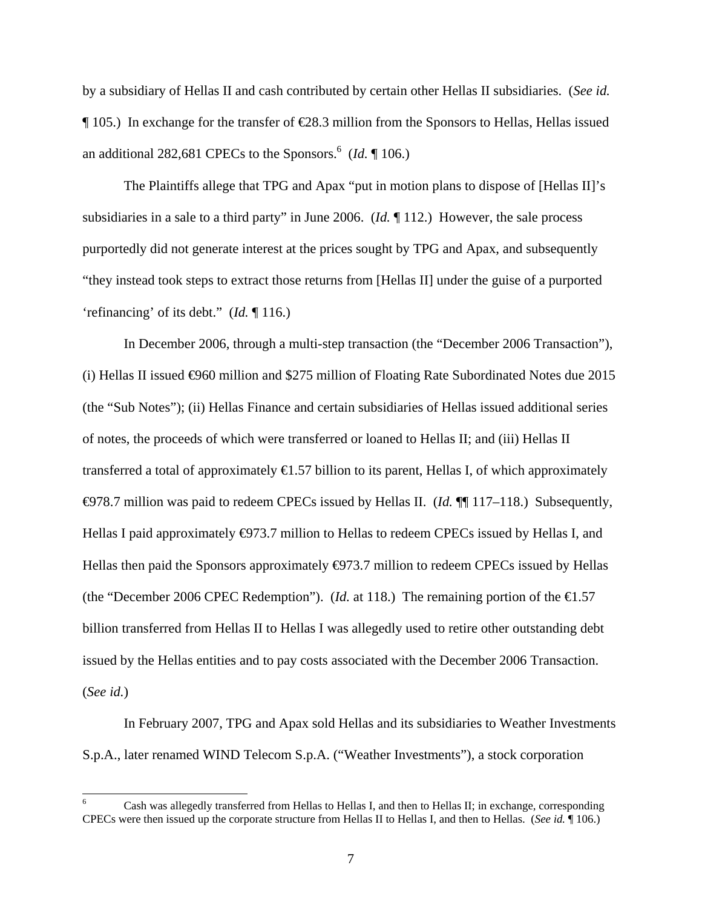by a subsidiary of Hellas II and cash contributed by certain other Hellas II subsidiaries. (*See id.*  $\P$  105.) In exchange for the transfer of  $\epsilon$ 28.3 million from the Sponsors to Hellas, Hellas issued an additional 282,681 CPECs to the Sponsors.<sup>6</sup> (*Id.*  $\P$  106.)

The Plaintiffs allege that TPG and Apax "put in motion plans to dispose of [Hellas II]'s subsidiaries in a sale to a third party" in June 2006. (*Id.* ¶ 112.) However, the sale process purportedly did not generate interest at the prices sought by TPG and Apax, and subsequently "they instead took steps to extract those returns from [Hellas II] under the guise of a purported 'refinancing' of its debt." (*Id.* ¶ 116.)

In December 2006, through a multi-step transaction (the "December 2006 Transaction"), (i) Hellas II issued  $\Theta$ 60 million and \$275 million of Floating Rate Subordinated Notes due 2015 (the "Sub Notes"); (ii) Hellas Finance and certain subsidiaries of Hellas issued additional series of notes, the proceeds of which were transferred or loaned to Hellas II; and (iii) Hellas II transferred a total of approximately  $\bigoplus$ .57 billion to its parent, Hellas I, of which approximately €978.7 million was paid to redeem CPECs issued by Hellas II. (*Id.* ¶¶ 117–118.) Subsequently, Hellas I paid approximately  $\Theta$ 73.7 million to Hellas to redeem CPECs issued by Hellas I, and Hellas then paid the Sponsors approximately  $\bigoplus$ 73.7 million to redeem CPECs issued by Hellas (the "December 2006 CPEC Redemption"). (*Id.* at 118.) The remaining portion of the  $\epsilon$ 1.57 billion transferred from Hellas II to Hellas I was allegedly used to retire other outstanding debt issued by the Hellas entities and to pay costs associated with the December 2006 Transaction. (*See id.*)

In February 2007, TPG and Apax sold Hellas and its subsidiaries to Weather Investments S.p.A., later renamed WIND Telecom S.p.A. ("Weather Investments"), a stock corporation

 $\overline{a}$ 

<sup>6</sup> Cash was allegedly transferred from Hellas to Hellas I, and then to Hellas II; in exchange, corresponding CPECs were then issued up the corporate structure from Hellas II to Hellas I, and then to Hellas. (*See id.* ¶ 106.)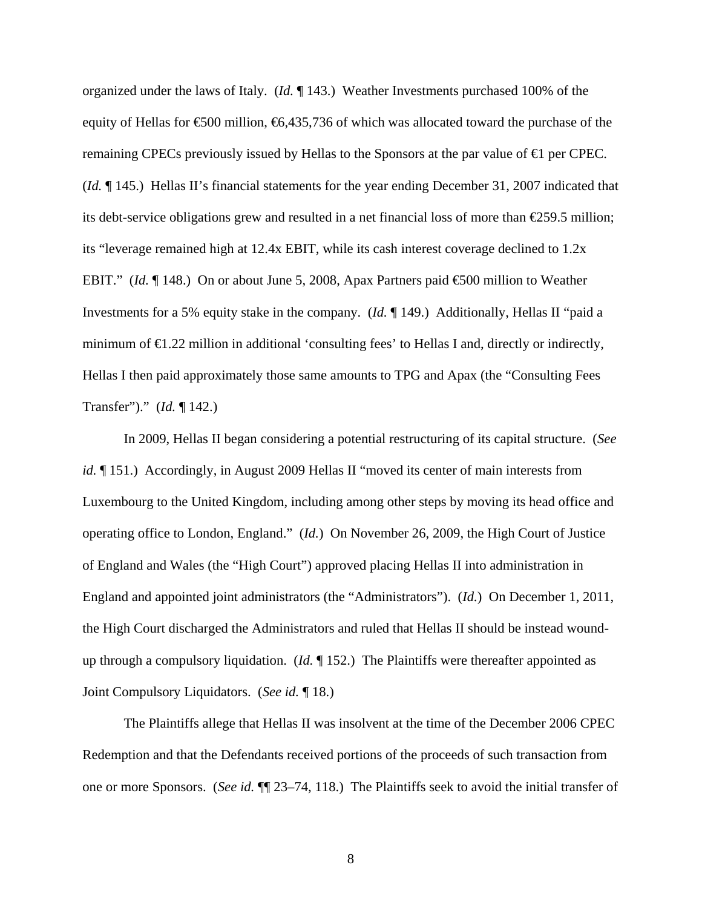organized under the laws of Italy. (*Id.* ¶ 143.) Weather Investments purchased 100% of the equity of Hellas for  $\epsilon$ 500 million,  $\epsilon$ 6,435,736 of which was allocated toward the purchase of the remaining CPECs previously issued by Hellas to the Sponsors at the par value of  $\epsilon$  per CPEC. (*Id.* ¶ 145.) Hellas II's financial statements for the year ending December 31, 2007 indicated that its debt-service obligations grew and resulted in a net financial loss of more than  $\epsilon$ 259.5 million; its "leverage remained high at 12.4x EBIT, while its cash interest coverage declined to 1.2x EBIT." (*Id.* ¶ 148.) On or about June 5, 2008, Apax Partners paid €500 million to Weather Investments for a 5% equity stake in the company. (*Id.* ¶ 149.) Additionally, Hellas II "paid a minimum of  $\epsilon$ 1.22 million in additional 'consulting fees' to Hellas I and, directly or indirectly, Hellas I then paid approximately those same amounts to TPG and Apax (the "Consulting Fees Transfer")." (*Id.* ¶ 142.)

In 2009, Hellas II began considering a potential restructuring of its capital structure. (*See id.*  $\llbracket$  151.) Accordingly, in August 2009 Hellas II "moved its center of main interests from Luxembourg to the United Kingdom, including among other steps by moving its head office and operating office to London, England." (*Id.*) On November 26, 2009, the High Court of Justice of England and Wales (the "High Court") approved placing Hellas II into administration in England and appointed joint administrators (the "Administrators"). (*Id.*) On December 1, 2011, the High Court discharged the Administrators and ruled that Hellas II should be instead woundup through a compulsory liquidation. (*Id.* ¶ 152.) The Plaintiffs were thereafter appointed as Joint Compulsory Liquidators. (*See id.* ¶ 18.)

The Plaintiffs allege that Hellas II was insolvent at the time of the December 2006 CPEC Redemption and that the Defendants received portions of the proceeds of such transaction from one or more Sponsors. (*See id.* ¶¶ 23–74, 118.) The Plaintiffs seek to avoid the initial transfer of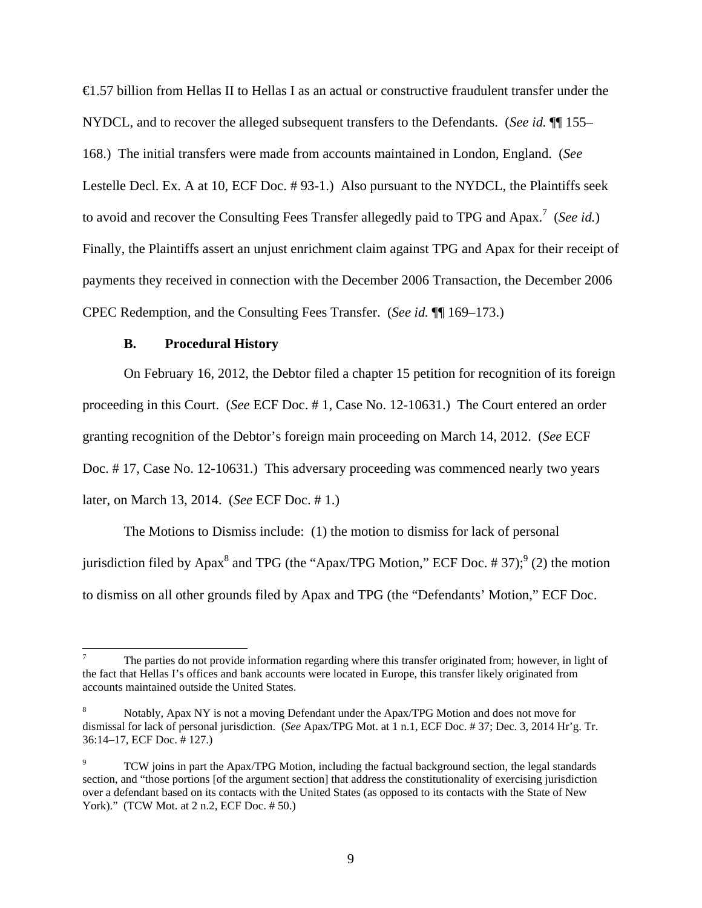€1.57 billion from Hellas II to Hellas I as an actual or constructive fraudulent transfer under the NYDCL, and to recover the alleged subsequent transfers to the Defendants. (*See id.* ¶¶ 155– 168.) The initial transfers were made from accounts maintained in London, England. (*See*  Lestelle Decl. Ex. A at 10, ECF Doc. # 93-1.) Also pursuant to the NYDCL, the Plaintiffs seek to avoid and recover the Consulting Fees Transfer allegedly paid to TPG and Apax.<sup>7</sup> (See id.) Finally, the Plaintiffs assert an unjust enrichment claim against TPG and Apax for their receipt of payments they received in connection with the December 2006 Transaction, the December 2006 CPEC Redemption, and the Consulting Fees Transfer. (*See id.* ¶¶ 169–173.)

### **B. Procedural History**

 $\overline{a}$ 

On February 16, 2012, the Debtor filed a chapter 15 petition for recognition of its foreign proceeding in this Court. (*See* ECF Doc. # 1, Case No. 12-10631.) The Court entered an order granting recognition of the Debtor's foreign main proceeding on March 14, 2012. (*See* ECF Doc. # 17, Case No. 12-10631.) This adversary proceeding was commenced nearly two years later, on March 13, 2014. (*See* ECF Doc. # 1.)

The Motions to Dismiss include: (1) the motion to dismiss for lack of personal jurisdiction filed by Apax<sup>8</sup> and TPG (the "Apax/TPG Motion," ECF Doc. #37);<sup>9</sup> (2) the motion to dismiss on all other grounds filed by Apax and TPG (the "Defendants' Motion," ECF Doc.

<sup>7</sup> The parties do not provide information regarding where this transfer originated from; however, in light of the fact that Hellas I's offices and bank accounts were located in Europe, this transfer likely originated from accounts maintained outside the United States.

<sup>8</sup> Notably, Apax NY is not a moving Defendant under the Apax/TPG Motion and does not move for dismissal for lack of personal jurisdiction. (*See* Apax/TPG Mot. at 1 n.1, ECF Doc. # 37; Dec. 3, 2014 Hr'g. Tr. 36:14–17, ECF Doc. # 127.)

<sup>9</sup> TCW joins in part the Apax/TPG Motion, including the factual background section, the legal standards section, and "those portions [of the argument section] that address the constitutionality of exercising jurisdiction over a defendant based on its contacts with the United States (as opposed to its contacts with the State of New York)." (TCW Mot. at 2 n.2, ECF Doc. # 50.)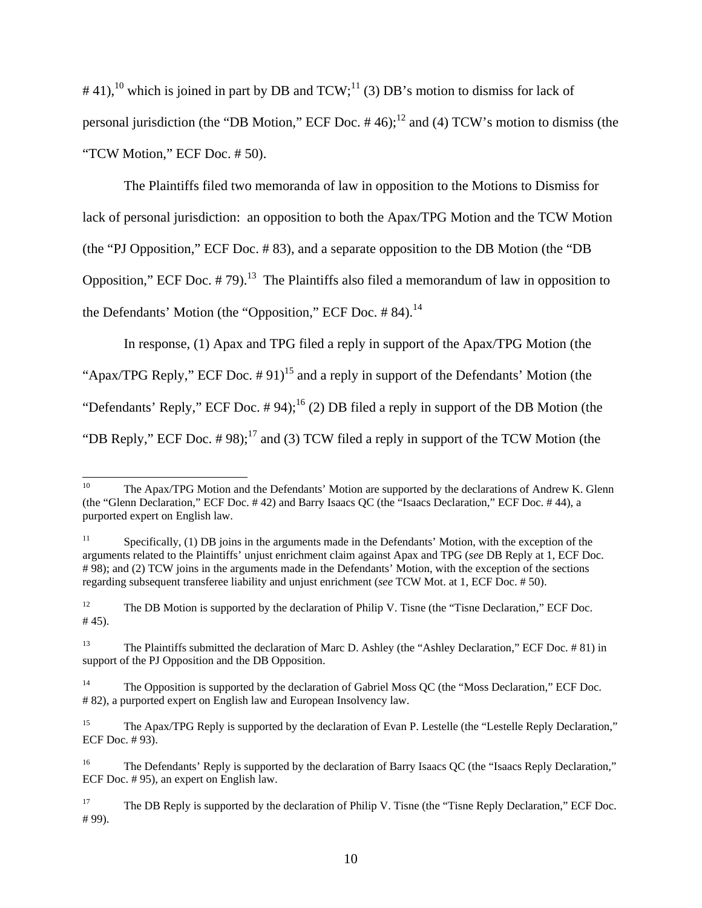$#41$ ,<sup>10</sup> which is joined in part by DB and TCW;<sup>11</sup> (3) DB's motion to dismiss for lack of personal jurisdiction (the "DB Motion," ECF Doc.  $#46$ );<sup>12</sup> and (4) TCW's motion to dismiss (the "TCW Motion," ECF Doc. # 50).

The Plaintiffs filed two memoranda of law in opposition to the Motions to Dismiss for lack of personal jurisdiction: an opposition to both the Apax/TPG Motion and the TCW Motion (the "PJ Opposition," ECF Doc. # 83), and a separate opposition to the DB Motion (the "DB Opposition," ECF Doc.  $\# 79$ .<sup>13</sup> The Plaintiffs also filed a memorandum of law in opposition to the Defendants' Motion (the "Opposition," ECF Doc.  $\# 84$ ).<sup>14</sup>

In response, (1) Apax and TPG filed a reply in support of the Apax/TPG Motion (the "Apax/TPG Reply," ECF Doc.  $\#$  91)<sup>15</sup> and a reply in support of the Defendants' Motion (the "Defendants' Reply," ECF Doc.  $\#$  94);<sup>16</sup> (2) DB filed a reply in support of the DB Motion (the "DB Reply," ECF Doc.  $\# 98$ );<sup>17</sup> and (3) TCW filed a reply in support of the TCW Motion (the

 $10\,$ The Apax/TPG Motion and the Defendants' Motion are supported by the declarations of Andrew K. Glenn (the "Glenn Declaration," ECF Doc. # 42) and Barry Isaacs QC (the "Isaacs Declaration," ECF Doc. # 44), a purported expert on English law.

<sup>&</sup>lt;sup>11</sup> Specifically, (1) DB joins in the arguments made in the Defendants' Motion, with the exception of the arguments related to the Plaintiffs' unjust enrichment claim against Apax and TPG (*see* DB Reply at 1, ECF Doc. # 98); and (2) TCW joins in the arguments made in the Defendants' Motion, with the exception of the sections regarding subsequent transferee liability and unjust enrichment (*see* TCW Mot. at 1, ECF Doc. # 50).

<sup>&</sup>lt;sup>12</sup> The DB Motion is supported by the declaration of Philip V. Tisne (the "Tisne Declaration," ECF Doc. # 45).

<sup>&</sup>lt;sup>13</sup> The Plaintiffs submitted the declaration of Marc D. Ashley (the "Ashley Declaration," ECF Doc. # 81) in support of the PJ Opposition and the DB Opposition.

<sup>&</sup>lt;sup>14</sup> The Opposition is supported by the declaration of Gabriel Moss QC (the "Moss Declaration," ECF Doc. # 82), a purported expert on English law and European Insolvency law.

<sup>&</sup>lt;sup>15</sup> The Apax/TPG Reply is supported by the declaration of Evan P. Lestelle (the "Lestelle Reply Declaration," ECF Doc. # 93).

<sup>&</sup>lt;sup>16</sup> The Defendants' Reply is supported by the declaration of Barry Isaacs QC (the "Isaacs Reply Declaration," ECF Doc. # 95), an expert on English law.

<sup>&</sup>lt;sup>17</sup> The DB Reply is supported by the declaration of Philip V. Tisne (the "Tisne Reply Declaration," ECF Doc. # 99).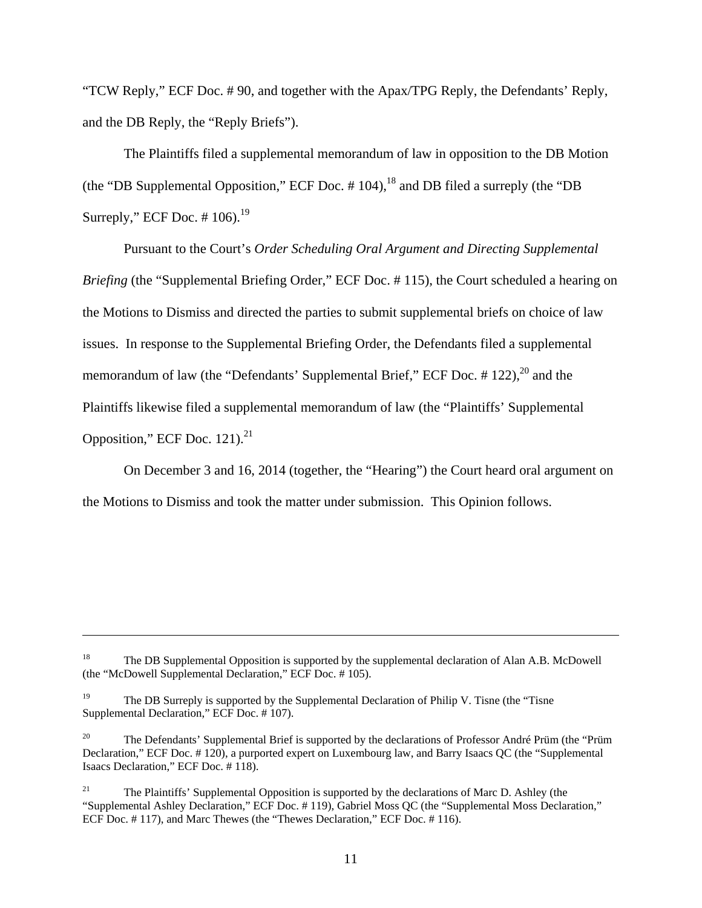"TCW Reply," ECF Doc. # 90, and together with the Apax/TPG Reply, the Defendants' Reply, and the DB Reply, the "Reply Briefs").

The Plaintiffs filed a supplemental memorandum of law in opposition to the DB Motion (the "DB Supplemental Opposition," ECF Doc.  $\#$  104), <sup>18</sup> and DB filed a surreply (the "DB Surreply," ECF Doc.  $\#$  106).<sup>19</sup>

Pursuant to the Court's *Order Scheduling Oral Argument and Directing Supplemental Briefing* (the "Supplemental Briefing Order," ECF Doc. #115), the Court scheduled a hearing on the Motions to Dismiss and directed the parties to submit supplemental briefs on choice of law issues. In response to the Supplemental Briefing Order, the Defendants filed a supplemental memorandum of law (the "Defendants' Supplemental Brief," ECF Doc.  $\#$  122),<sup>20</sup> and the Plaintiffs likewise filed a supplemental memorandum of law (the "Plaintiffs' Supplemental Opposition," ECF Doc.  $121$ ).<sup>21</sup>

On December 3 and 16, 2014 (together, the "Hearing") the Court heard oral argument on the Motions to Dismiss and took the matter under submission. This Opinion follows.

 $\overline{a}$ 

<sup>&</sup>lt;sup>18</sup> The DB Supplemental Opposition is supported by the supplemental declaration of Alan A.B. McDowell (the "McDowell Supplemental Declaration," ECF Doc. # 105).

<sup>&</sup>lt;sup>19</sup> The DB Surreply is supported by the Supplemental Declaration of Philip V. Tisne (the "Tisne" Supplemental Declaration," ECF Doc. # 107).

<sup>&</sup>lt;sup>20</sup> The Defendants' Supplemental Brief is supported by the declarations of Professor André Prüm (the "Prüm Declaration," ECF Doc. # 120), a purported expert on Luxembourg law, and Barry Isaacs QC (the "Supplemental Isaacs Declaration," ECF Doc. # 118).

<sup>&</sup>lt;sup>21</sup> The Plaintiffs' Supplemental Opposition is supported by the declarations of Marc D. Ashley (the "Supplemental Ashley Declaration," ECF Doc. # 119), Gabriel Moss QC (the "Supplemental Moss Declaration," ECF Doc. # 117), and Marc Thewes (the "Thewes Declaration," ECF Doc. # 116).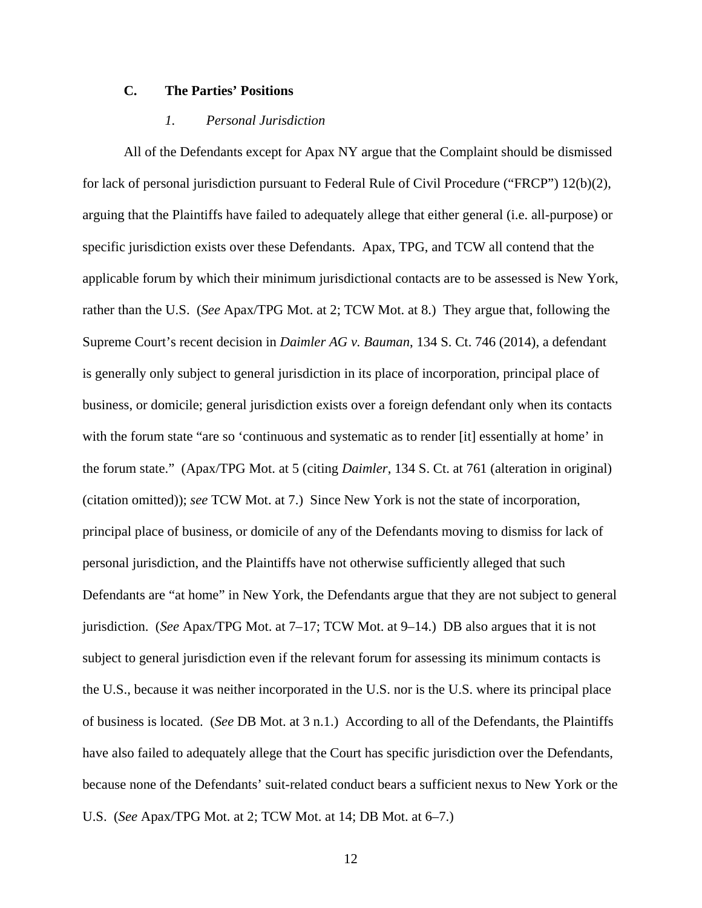## **C. The Parties' Positions**

## *1. Personal Jurisdiction*

All of the Defendants except for Apax NY argue that the Complaint should be dismissed for lack of personal jurisdiction pursuant to Federal Rule of Civil Procedure ("FRCP") 12(b)(2), arguing that the Plaintiffs have failed to adequately allege that either general (i.e. all-purpose) or specific jurisdiction exists over these Defendants. Apax, TPG, and TCW all contend that the applicable forum by which their minimum jurisdictional contacts are to be assessed is New York, rather than the U.S. (*See* Apax/TPG Mot. at 2; TCW Mot. at 8.) They argue that, following the Supreme Court's recent decision in *Daimler AG v. Bauman*, 134 S. Ct. 746 (2014), a defendant is generally only subject to general jurisdiction in its place of incorporation, principal place of business, or domicile; general jurisdiction exists over a foreign defendant only when its contacts with the forum state "are so 'continuous and systematic as to render [it] essentially at home' in the forum state." (Apax/TPG Mot. at 5 (citing *Daimler*, 134 S. Ct. at 761 (alteration in original) (citation omitted)); *see* TCW Mot. at 7.) Since New York is not the state of incorporation, principal place of business, or domicile of any of the Defendants moving to dismiss for lack of personal jurisdiction, and the Plaintiffs have not otherwise sufficiently alleged that such Defendants are "at home" in New York, the Defendants argue that they are not subject to general jurisdiction. (*See* Apax/TPG Mot. at 7–17; TCW Mot. at 9–14.) DB also argues that it is not subject to general jurisdiction even if the relevant forum for assessing its minimum contacts is the U.S., because it was neither incorporated in the U.S. nor is the U.S. where its principal place of business is located. (*See* DB Mot. at 3 n.1.) According to all of the Defendants, the Plaintiffs have also failed to adequately allege that the Court has specific jurisdiction over the Defendants, because none of the Defendants' suit-related conduct bears a sufficient nexus to New York or the U.S. (*See* Apax/TPG Mot. at 2; TCW Mot. at 14; DB Mot. at 6–7.)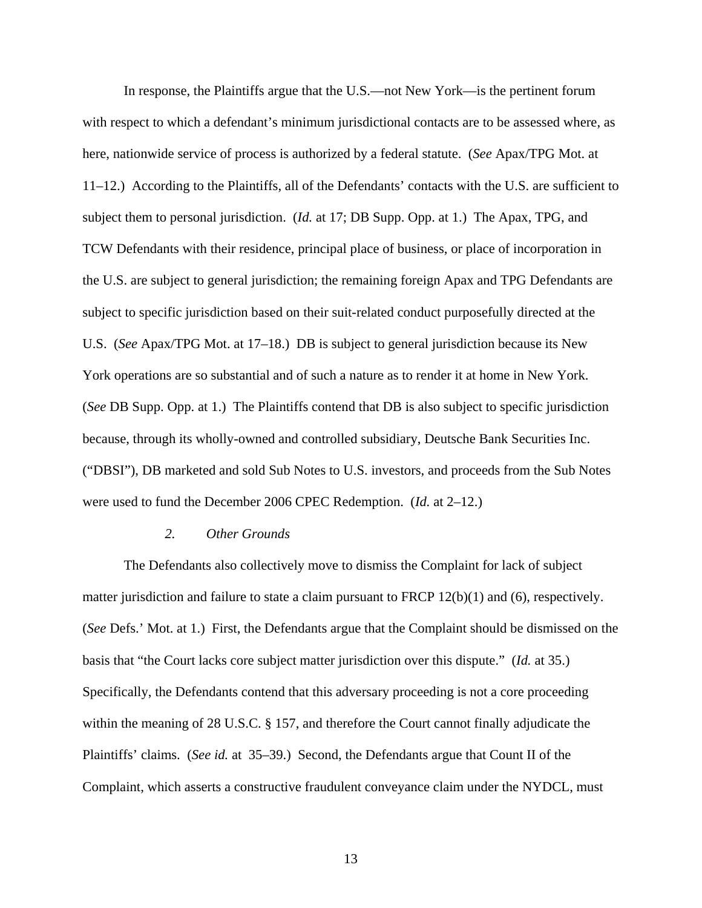In response, the Plaintiffs argue that the U.S.—not New York—is the pertinent forum with respect to which a defendant's minimum jurisdictional contacts are to be assessed where, as here, nationwide service of process is authorized by a federal statute. (*See* Apax/TPG Mot. at 11–12.) According to the Plaintiffs, all of the Defendants' contacts with the U.S. are sufficient to subject them to personal jurisdiction. (*Id.* at 17; DB Supp. Opp. at 1.) The Apax, TPG, and TCW Defendants with their residence, principal place of business, or place of incorporation in the U.S. are subject to general jurisdiction; the remaining foreign Apax and TPG Defendants are subject to specific jurisdiction based on their suit-related conduct purposefully directed at the U.S. (*See* Apax/TPG Mot. at 17–18.) DB is subject to general jurisdiction because its New York operations are so substantial and of such a nature as to render it at home in New York. (*See* DB Supp. Opp. at 1.) The Plaintiffs contend that DB is also subject to specific jurisdiction because, through its wholly-owned and controlled subsidiary, Deutsche Bank Securities Inc. ("DBSI"), DB marketed and sold Sub Notes to U.S. investors, and proceeds from the Sub Notes were used to fund the December 2006 CPEC Redemption. (*Id.* at 2–12.)

#### *2. Other Grounds*

The Defendants also collectively move to dismiss the Complaint for lack of subject matter jurisdiction and failure to state a claim pursuant to FRCP 12(b)(1) and (6), respectively. (*See* Defs.' Mot. at 1.) First, the Defendants argue that the Complaint should be dismissed on the basis that "the Court lacks core subject matter jurisdiction over this dispute." (*Id.* at 35.) Specifically, the Defendants contend that this adversary proceeding is not a core proceeding within the meaning of 28 U.S.C. § 157, and therefore the Court cannot finally adjudicate the Plaintiffs' claims. (*See id.* at 35–39.) Second, the Defendants argue that Count II of the Complaint, which asserts a constructive fraudulent conveyance claim under the NYDCL, must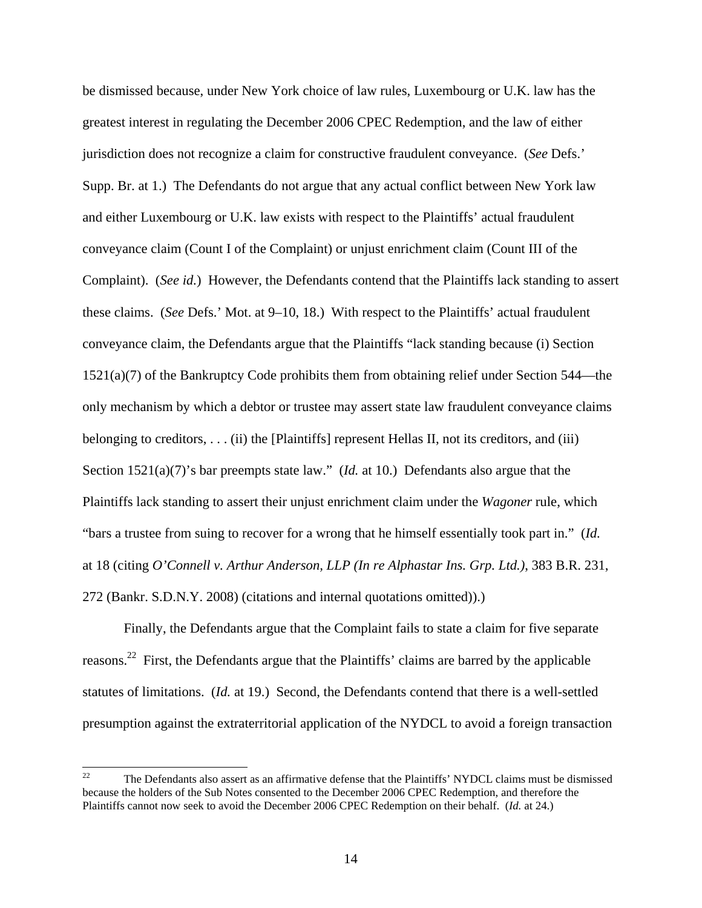be dismissed because, under New York choice of law rules, Luxembourg or U.K. law has the greatest interest in regulating the December 2006 CPEC Redemption, and the law of either jurisdiction does not recognize a claim for constructive fraudulent conveyance. (*See* Defs.' Supp. Br. at 1.) The Defendants do not argue that any actual conflict between New York law and either Luxembourg or U.K. law exists with respect to the Plaintiffs' actual fraudulent conveyance claim (Count I of the Complaint) or unjust enrichment claim (Count III of the Complaint). (*See id.*) However, the Defendants contend that the Plaintiffs lack standing to assert these claims. (*See* Defs.' Mot. at 9–10, 18.) With respect to the Plaintiffs' actual fraudulent conveyance claim, the Defendants argue that the Plaintiffs "lack standing because (i) Section 1521(a)(7) of the Bankruptcy Code prohibits them from obtaining relief under Section 544—the only mechanism by which a debtor or trustee may assert state law fraudulent conveyance claims belonging to creditors, . . . (ii) the [Plaintiffs] represent Hellas II, not its creditors, and (iii) Section 1521(a)(7)'s bar preempts state law." (*Id.* at 10.) Defendants also argue that the Plaintiffs lack standing to assert their unjust enrichment claim under the *Wagoner* rule, which "bars a trustee from suing to recover for a wrong that he himself essentially took part in." (*Id.* at 18 (citing *O'Connell v. Arthur Anderson, LLP (In re Alphastar Ins. Grp. Ltd.)*, 383 B.R. 231, 272 (Bankr. S.D.N.Y. 2008) (citations and internal quotations omitted)).)

Finally, the Defendants argue that the Complaint fails to state a claim for five separate reasons.22 First, the Defendants argue that the Plaintiffs' claims are barred by the applicable statutes of limitations. (*Id.* at 19.) Second, the Defendants contend that there is a well-settled presumption against the extraterritorial application of the NYDCL to avoid a foreign transaction

 $22$ 22 The Defendants also assert as an affirmative defense that the Plaintiffs' NYDCL claims must be dismissed because the holders of the Sub Notes consented to the December 2006 CPEC Redemption, and therefore the Plaintiffs cannot now seek to avoid the December 2006 CPEC Redemption on their behalf. (*Id.* at 24.)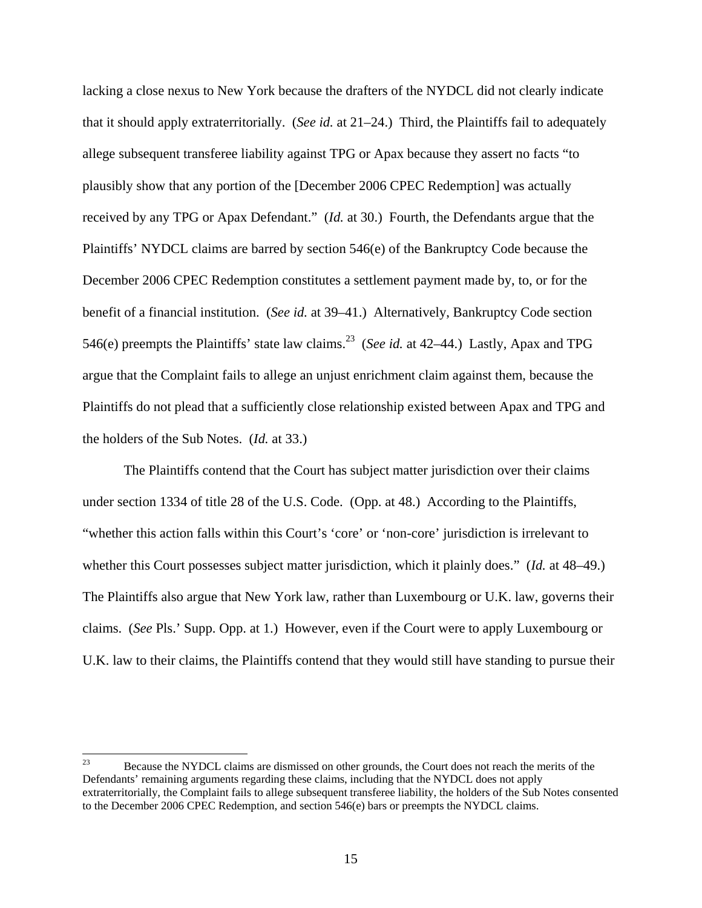lacking a close nexus to New York because the drafters of the NYDCL did not clearly indicate that it should apply extraterritorially. (*See id.* at 21–24.) Third, the Plaintiffs fail to adequately allege subsequent transferee liability against TPG or Apax because they assert no facts "to plausibly show that any portion of the [December 2006 CPEC Redemption] was actually received by any TPG or Apax Defendant." (*Id.* at 30.) Fourth, the Defendants argue that the Plaintiffs' NYDCL claims are barred by section 546(e) of the Bankruptcy Code because the December 2006 CPEC Redemption constitutes a settlement payment made by, to, or for the benefit of a financial institution. (*See id.* at 39–41.) Alternatively, Bankruptcy Code section 546(e) preempts the Plaintiffs' state law claims.<sup>23</sup> (*See id.* at 42–44.) Lastly, Apax and TPG argue that the Complaint fails to allege an unjust enrichment claim against them, because the Plaintiffs do not plead that a sufficiently close relationship existed between Apax and TPG and the holders of the Sub Notes. (*Id.* at 33.)

The Plaintiffs contend that the Court has subject matter jurisdiction over their claims under section 1334 of title 28 of the U.S. Code. (Opp. at 48.) According to the Plaintiffs, "whether this action falls within this Court's 'core' or 'non-core' jurisdiction is irrelevant to whether this Court possesses subject matter jurisdiction, which it plainly does." (*Id.* at 48–49.) The Plaintiffs also argue that New York law, rather than Luxembourg or U.K. law, governs their claims. (*See* Pls.' Supp. Opp. at 1.) However, even if the Court were to apply Luxembourg or U.K. law to their claims, the Plaintiffs contend that they would still have standing to pursue their

<sup>23</sup> 23 Because the NYDCL claims are dismissed on other grounds, the Court does not reach the merits of the Defendants' remaining arguments regarding these claims, including that the NYDCL does not apply extraterritorially, the Complaint fails to allege subsequent transferee liability, the holders of the Sub Notes consented to the December 2006 CPEC Redemption, and section 546(e) bars or preempts the NYDCL claims.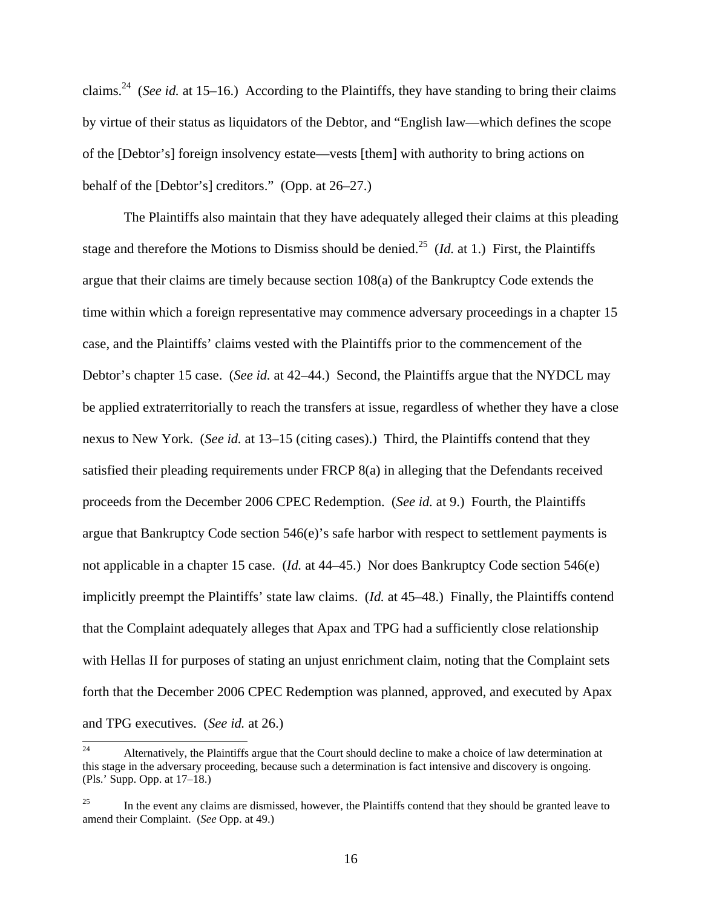claims.24 (*See id.* at 15–16.) According to the Plaintiffs, they have standing to bring their claims by virtue of their status as liquidators of the Debtor, and "English law—which defines the scope of the [Debtor's] foreign insolvency estate—vests [them] with authority to bring actions on behalf of the [Debtor's] creditors." (Opp. at 26–27.)

The Plaintiffs also maintain that they have adequately alleged their claims at this pleading stage and therefore the Motions to Dismiss should be denied.<sup>25</sup> (*Id.* at 1.) First, the Plaintiffs argue that their claims are timely because section 108(a) of the Bankruptcy Code extends the time within which a foreign representative may commence adversary proceedings in a chapter 15 case, and the Plaintiffs' claims vested with the Plaintiffs prior to the commencement of the Debtor's chapter 15 case. (*See id.* at 42–44.) Second, the Plaintiffs argue that the NYDCL may be applied extraterritorially to reach the transfers at issue, regardless of whether they have a close nexus to New York. (*See id.* at 13–15 (citing cases).) Third, the Plaintiffs contend that they satisfied their pleading requirements under FRCP 8(a) in alleging that the Defendants received proceeds from the December 2006 CPEC Redemption. (*See id.* at 9.) Fourth, the Plaintiffs argue that Bankruptcy Code section 546(e)'s safe harbor with respect to settlement payments is not applicable in a chapter 15 case. (*Id.* at 44–45.) Nor does Bankruptcy Code section 546(e) implicitly preempt the Plaintiffs' state law claims. (*Id.* at 45–48.) Finally, the Plaintiffs contend that the Complaint adequately alleges that Apax and TPG had a sufficiently close relationship with Hellas II for purposes of stating an unjust enrichment claim, noting that the Complaint sets forth that the December 2006 CPEC Redemption was planned, approved, and executed by Apax and TPG executives. (*See id.* at 26.)

 $24$ 24 Alternatively, the Plaintiffs argue that the Court should decline to make a choice of law determination at this stage in the adversary proceeding, because such a determination is fact intensive and discovery is ongoing. (Pls.' Supp. Opp. at 17–18.)

<sup>&</sup>lt;sup>25</sup> In the event any claims are dismissed, however, the Plaintiffs contend that they should be granted leave to amend their Complaint. (*See* Opp. at 49.)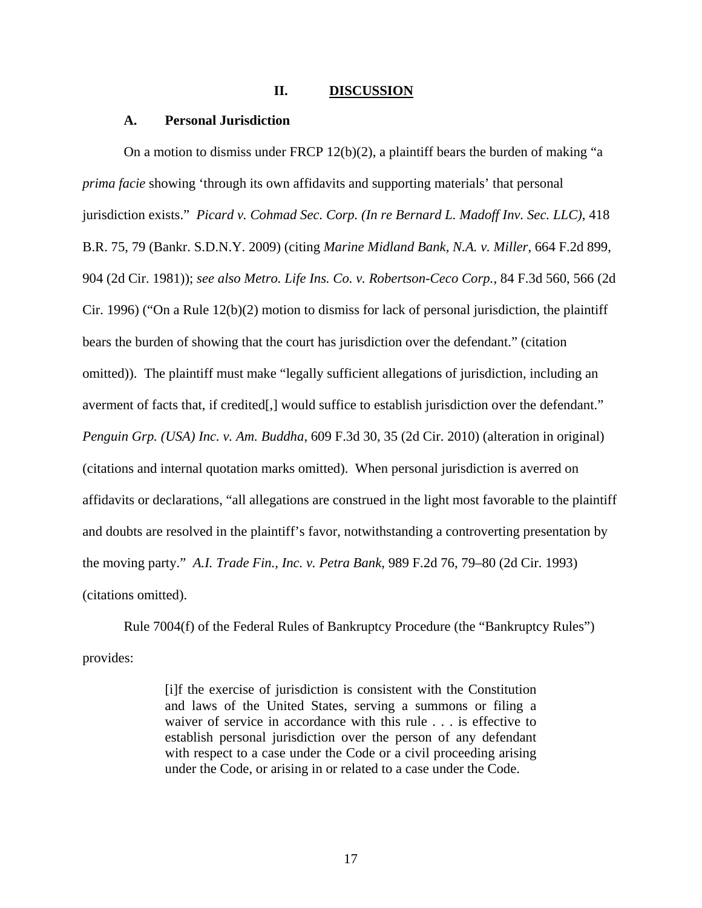#### **II. DISCUSSION**

### **A. Personal Jurisdiction**

On a motion to dismiss under FRCP 12(b)(2), a plaintiff bears the burden of making "a *prima facie* showing 'through its own affidavits and supporting materials' that personal jurisdiction exists." *Picard v. Cohmad Sec. Corp. (In re Bernard L. Madoff Inv. Sec. LLC)*, 418 B.R. 75, 79 (Bankr. S.D.N.Y. 2009) (citing *Marine Midland Bank, N.A. v. Miller*, 664 F.2d 899, 904 (2d Cir. 1981)); *see also Metro. Life Ins. Co. v. Robertson-Ceco Corp.*, 84 F.3d 560, 566 (2d Cir. 1996) ("On a Rule  $12(b)(2)$  motion to dismiss for lack of personal jurisdiction, the plaintiff bears the burden of showing that the court has jurisdiction over the defendant." (citation omitted)). The plaintiff must make "legally sufficient allegations of jurisdiction, including an averment of facts that, if credited[,] would suffice to establish jurisdiction over the defendant." *Penguin Grp. (USA) Inc. v. Am. Buddha*, 609 F.3d 30, 35 (2d Cir. 2010) (alteration in original) (citations and internal quotation marks omitted). When personal jurisdiction is averred on affidavits or declarations, "all allegations are construed in the light most favorable to the plaintiff and doubts are resolved in the plaintiff's favor, notwithstanding a controverting presentation by the moving party." *A.I. Trade Fin., Inc. v. Petra Bank*, 989 F.2d 76, 79–80 (2d Cir. 1993) (citations omitted).

Rule 7004(f) of the Federal Rules of Bankruptcy Procedure (the "Bankruptcy Rules") provides:

> [i]f the exercise of jurisdiction is consistent with the Constitution and laws of the United States, serving a summons or filing a waiver of service in accordance with this rule . . . is effective to establish personal jurisdiction over the person of any defendant with respect to a case under the Code or a civil proceeding arising under the Code, or arising in or related to a case under the Code.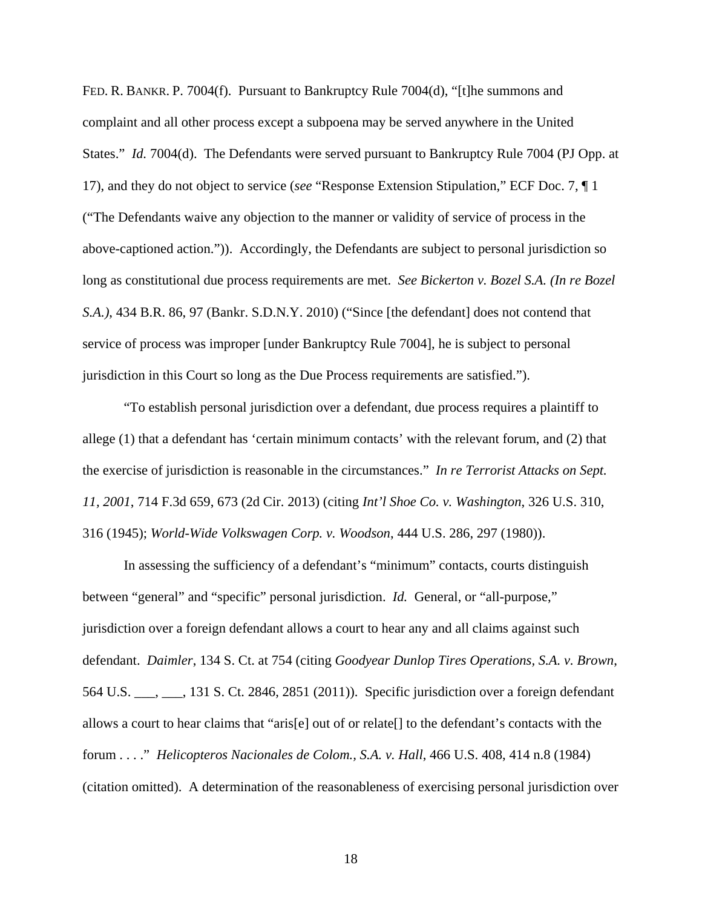FED. R. BANKR. P. 7004(f). Pursuant to Bankruptcy Rule 7004(d), "[t]he summons and complaint and all other process except a subpoena may be served anywhere in the United States." *Id.* 7004(d). The Defendants were served pursuant to Bankruptcy Rule 7004 (PJ Opp. at 17), and they do not object to service (*see* "Response Extension Stipulation," ECF Doc. 7, ¶ 1 ("The Defendants waive any objection to the manner or validity of service of process in the above-captioned action.")). Accordingly, the Defendants are subject to personal jurisdiction so long as constitutional due process requirements are met. *See Bickerton v. Bozel S.A. (In re Bozel S.A.)*, 434 B.R. 86, 97 (Bankr. S.D.N.Y. 2010) ("Since [the defendant] does not contend that service of process was improper [under Bankruptcy Rule 7004], he is subject to personal jurisdiction in this Court so long as the Due Process requirements are satisfied.").

"To establish personal jurisdiction over a defendant, due process requires a plaintiff to allege (1) that a defendant has 'certain minimum contacts' with the relevant forum, and (2) that the exercise of jurisdiction is reasonable in the circumstances." *In re Terrorist Attacks on Sept. 11, 2001*, 714 F.3d 659, 673 (2d Cir. 2013) (citing *Int'l Shoe Co. v. Washington*, 326 U.S. 310, 316 (1945); *World-Wide Volkswagen Corp. v. Woodson*, 444 U.S. 286, 297 (1980)).

In assessing the sufficiency of a defendant's "minimum" contacts, courts distinguish between "general" and "specific" personal jurisdiction. *Id.* General, or "all-purpose," jurisdiction over a foreign defendant allows a court to hear any and all claims against such defendant. *Daimler*, 134 S. Ct. at 754 (citing *Goodyear Dunlop Tires Operations, S.A. v. Brown*, 564 U.S. \_\_\_, \_\_\_, 131 S. Ct. 2846, 2851 (2011)). Specific jurisdiction over a foreign defendant allows a court to hear claims that "aris[e] out of or relate[] to the defendant's contacts with the forum . . . ." *Helicopteros Nacionales de Colom., S.A. v. Hall*, 466 U.S. 408, 414 n.8 (1984) (citation omitted). A determination of the reasonableness of exercising personal jurisdiction over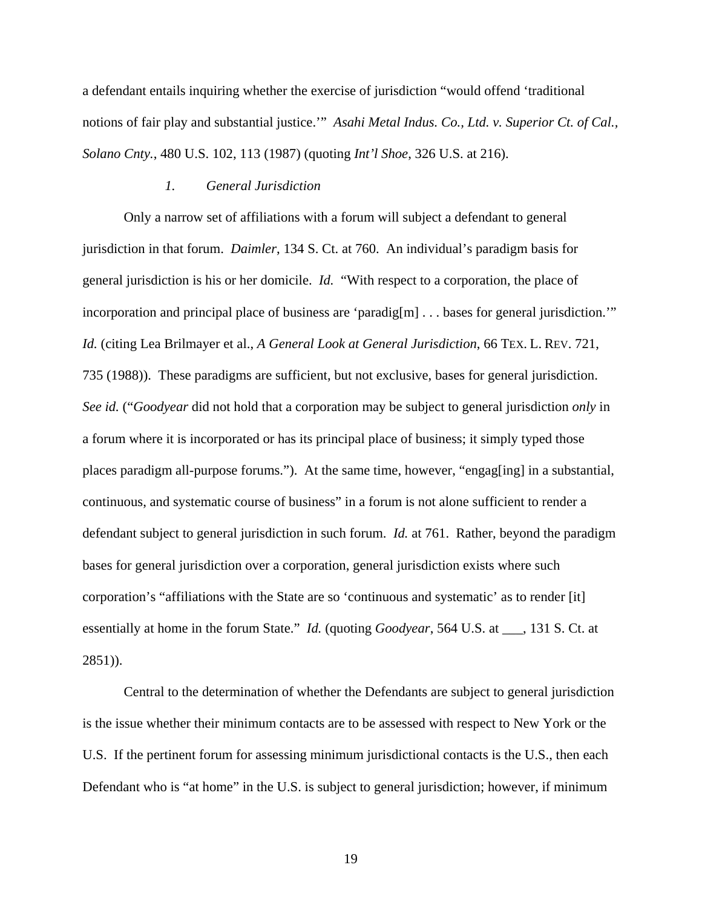a defendant entails inquiring whether the exercise of jurisdiction "would offend 'traditional notions of fair play and substantial justice.'" *Asahi Metal Indus. Co., Ltd. v. Superior Ct. of Cal., Solano Cnty.*, 480 U.S. 102, 113 (1987) (quoting *Int'l Shoe*, 326 U.S. at 216).

#### *1. General Jurisdiction*

Only a narrow set of affiliations with a forum will subject a defendant to general jurisdiction in that forum. *Daimler*, 134 S. Ct. at 760. An individual's paradigm basis for general jurisdiction is his or her domicile. *Id.* "With respect to a corporation, the place of incorporation and principal place of business are 'paradig[m] . . . bases for general jurisdiction.'" *Id.* (citing Lea Brilmayer et al., *A General Look at General Jurisdiction*, 66 TEX. L. REV. 721, 735 (1988)). These paradigms are sufficient, but not exclusive, bases for general jurisdiction. *See id.* ("*Goodyear* did not hold that a corporation may be subject to general jurisdiction *only* in a forum where it is incorporated or has its principal place of business; it simply typed those places paradigm all-purpose forums."). At the same time, however, "engag[ing] in a substantial, continuous, and systematic course of business" in a forum is not alone sufficient to render a defendant subject to general jurisdiction in such forum. *Id.* at 761. Rather, beyond the paradigm bases for general jurisdiction over a corporation, general jurisdiction exists where such corporation's "affiliations with the State are so 'continuous and systematic' as to render [it] essentially at home in the forum State." *Id.* (quoting *Goodyear*, 564 U.S. at \_\_\_, 131 S. Ct. at 2851)).

Central to the determination of whether the Defendants are subject to general jurisdiction is the issue whether their minimum contacts are to be assessed with respect to New York or the U.S. If the pertinent forum for assessing minimum jurisdictional contacts is the U.S., then each Defendant who is "at home" in the U.S. is subject to general jurisdiction; however, if minimum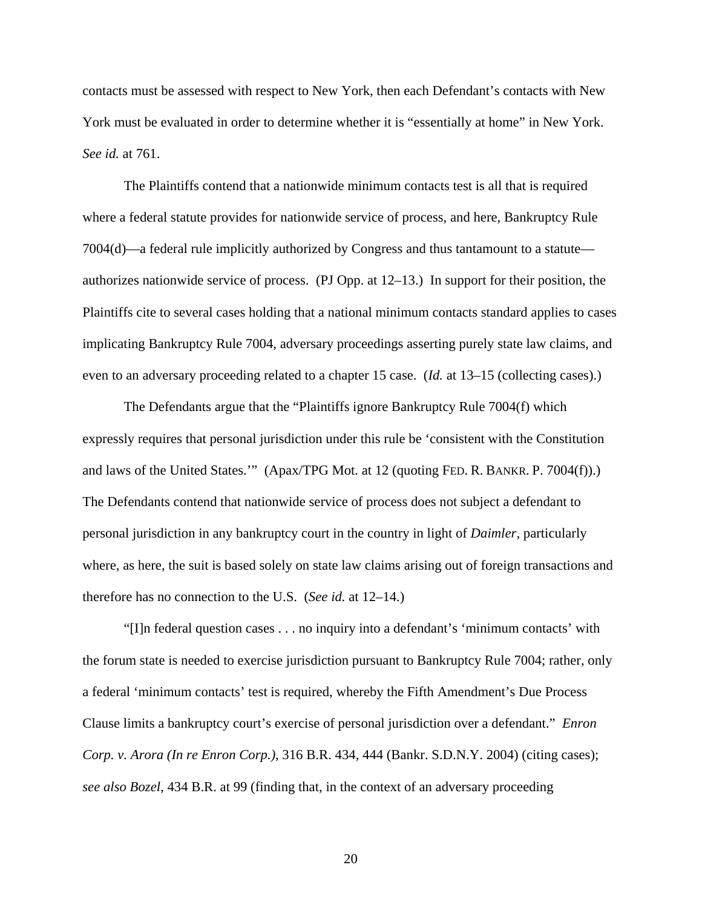contacts must be assessed with respect to New York, then each Defendant's contacts with New York must be evaluated in order to determine whether it is "essentially at home" in New York. *See id.* at 761.

The Plaintiffs contend that a nationwide minimum contacts test is all that is required where a federal statute provides for nationwide service of process, and here, Bankruptcy Rule 7004(d)—a federal rule implicitly authorized by Congress and thus tantamount to a statute authorizes nationwide service of process. (PJ Opp. at 12–13.) In support for their position, the Plaintiffs cite to several cases holding that a national minimum contacts standard applies to cases implicating Bankruptcy Rule 7004, adversary proceedings asserting purely state law claims, and even to an adversary proceeding related to a chapter 15 case. (*Id.* at 13–15 (collecting cases).)

The Defendants argue that the "Plaintiffs ignore Bankruptcy Rule 7004(f) which expressly requires that personal jurisdiction under this rule be 'consistent with the Constitution and laws of the United States.'" (Apax/TPG Mot. at 12 (quoting FED. R. BANKR. P. 7004(f)).) The Defendants contend that nationwide service of process does not subject a defendant to personal jurisdiction in any bankruptcy court in the country in light of *Daimler*, particularly where, as here, the suit is based solely on state law claims arising out of foreign transactions and therefore has no connection to the U.S. (*See id.* at 12–14.)

"[I]n federal question cases . . . no inquiry into a defendant's 'minimum contacts' with the forum state is needed to exercise jurisdiction pursuant to Bankruptcy Rule 7004; rather, only a federal 'minimum contacts' test is required, whereby the Fifth Amendment's Due Process Clause limits a bankruptcy court's exercise of personal jurisdiction over a defendant." *Enron Corp. v. Arora (In re Enron Corp.)*, 316 B.R. 434, 444 (Bankr. S.D.N.Y. 2004) (citing cases); *see also Bozel*, 434 B.R. at 99 (finding that, in the context of an adversary proceeding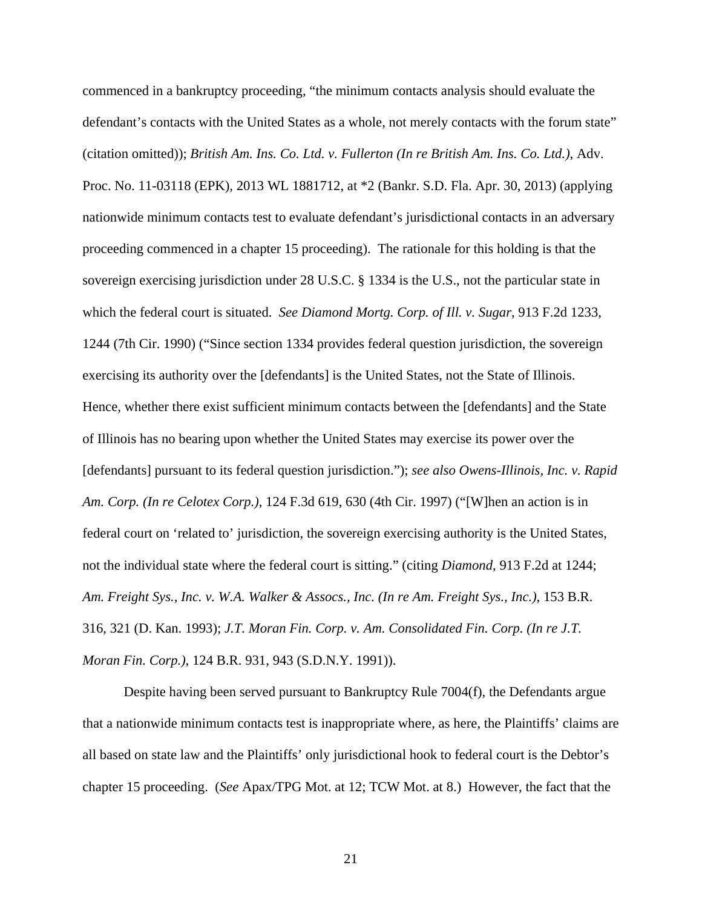commenced in a bankruptcy proceeding, "the minimum contacts analysis should evaluate the defendant's contacts with the United States as a whole, not merely contacts with the forum state" (citation omitted)); *British Am. Ins. Co. Ltd. v. Fullerton (In re British Am. Ins. Co. Ltd.)*, Adv. Proc. No. 11-03118 (EPK), 2013 WL 1881712, at \*2 (Bankr. S.D. Fla. Apr. 30, 2013) (applying nationwide minimum contacts test to evaluate defendant's jurisdictional contacts in an adversary proceeding commenced in a chapter 15 proceeding). The rationale for this holding is that the sovereign exercising jurisdiction under 28 U.S.C. § 1334 is the U.S., not the particular state in which the federal court is situated. *See Diamond Mortg. Corp. of Ill. v. Sugar*, 913 F.2d 1233, 1244 (7th Cir. 1990) ("Since section 1334 provides federal question jurisdiction, the sovereign exercising its authority over the [defendants] is the United States, not the State of Illinois. Hence, whether there exist sufficient minimum contacts between the [defendants] and the State of Illinois has no bearing upon whether the United States may exercise its power over the [defendants] pursuant to its federal question jurisdiction."); *see also Owens-Illinois, Inc. v. Rapid Am. Corp. (In re Celotex Corp.)*, 124 F.3d 619, 630 (4th Cir. 1997) ("[W]hen an action is in federal court on 'related to' jurisdiction, the sovereign exercising authority is the United States, not the individual state where the federal court is sitting." (citing *Diamond*, 913 F.2d at 1244; *Am. Freight Sys., Inc. v. W.A. Walker & Assocs., Inc. (In re Am. Freight Sys., Inc.)*, 153 B.R. 316, 321 (D. Kan. 1993); *J.T. Moran Fin. Corp. v. Am. Consolidated Fin. Corp. (In re J.T. Moran Fin. Corp.)*, 124 B.R. 931, 943 (S.D.N.Y. 1991)).

Despite having been served pursuant to Bankruptcy Rule 7004(f), the Defendants argue that a nationwide minimum contacts test is inappropriate where, as here, the Plaintiffs' claims are all based on state law and the Plaintiffs' only jurisdictional hook to federal court is the Debtor's chapter 15 proceeding. (*See* Apax/TPG Mot. at 12; TCW Mot. at 8.) However, the fact that the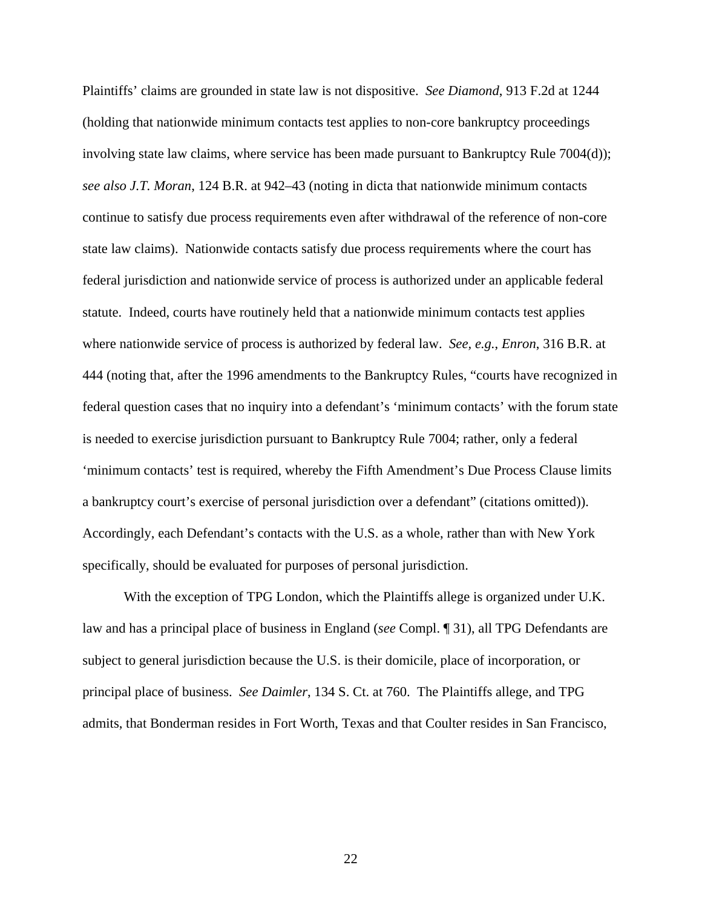Plaintiffs' claims are grounded in state law is not dispositive. *See Diamond*, 913 F.2d at 1244 (holding that nationwide minimum contacts test applies to non-core bankruptcy proceedings involving state law claims, where service has been made pursuant to Bankruptcy Rule 7004(d)); *see also J.T. Moran*, 124 B.R. at 942–43 (noting in dicta that nationwide minimum contacts continue to satisfy due process requirements even after withdrawal of the reference of non-core state law claims). Nationwide contacts satisfy due process requirements where the court has federal jurisdiction and nationwide service of process is authorized under an applicable federal statute. Indeed, courts have routinely held that a nationwide minimum contacts test applies where nationwide service of process is authorized by federal law. *See, e.g.*, *Enron*, 316 B.R. at 444 (noting that, after the 1996 amendments to the Bankruptcy Rules, "courts have recognized in federal question cases that no inquiry into a defendant's 'minimum contacts' with the forum state is needed to exercise jurisdiction pursuant to Bankruptcy Rule 7004; rather, only a federal 'minimum contacts' test is required, whereby the Fifth Amendment's Due Process Clause limits a bankruptcy court's exercise of personal jurisdiction over a defendant" (citations omitted)). Accordingly, each Defendant's contacts with the U.S. as a whole, rather than with New York specifically, should be evaluated for purposes of personal jurisdiction.

With the exception of TPG London, which the Plaintiffs allege is organized under U.K. law and has a principal place of business in England (*see* Compl. ¶ 31), all TPG Defendants are subject to general jurisdiction because the U.S. is their domicile, place of incorporation, or principal place of business. *See Daimler*, 134 S. Ct. at 760. The Plaintiffs allege, and TPG admits, that Bonderman resides in Fort Worth, Texas and that Coulter resides in San Francisco,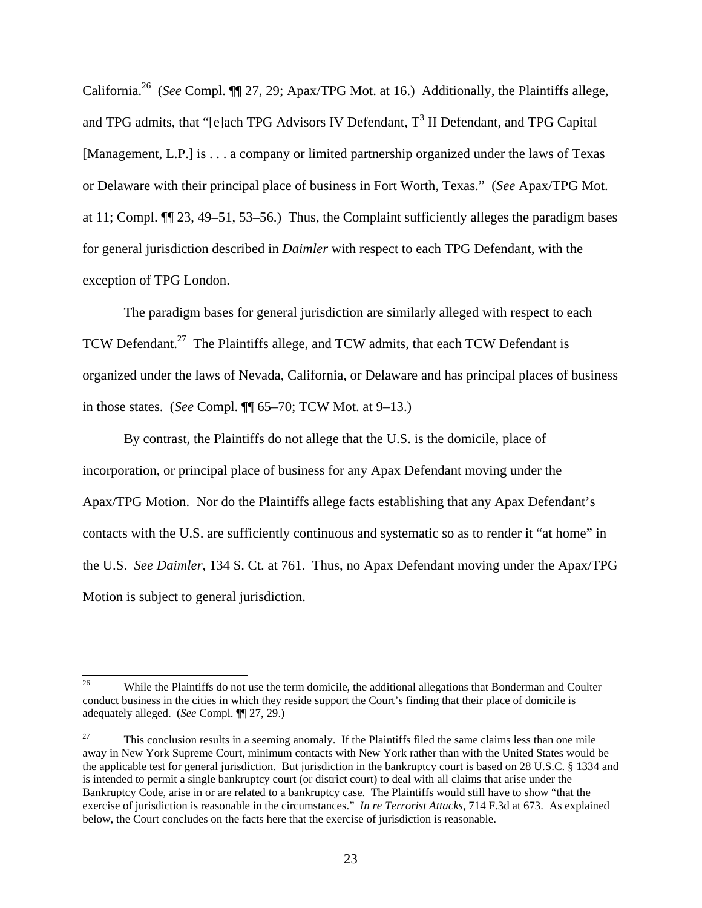California.26 (*See* Compl. ¶¶ 27, 29; Apax/TPG Mot. at 16.) Additionally, the Plaintiffs allege, and TPG admits, that "[e]ach TPG Advisors IV Defendant,  $T^3$  II Defendant, and TPG Capital [Management, L.P.] is . . . a company or limited partnership organized under the laws of Texas or Delaware with their principal place of business in Fort Worth, Texas." (*See* Apax/TPG Mot. at 11; Compl. ¶¶ 23, 49–51, 53–56.) Thus, the Complaint sufficiently alleges the paradigm bases for general jurisdiction described in *Daimler* with respect to each TPG Defendant, with the exception of TPG London.

The paradigm bases for general jurisdiction are similarly alleged with respect to each TCW Defendant.<sup>27</sup> The Plaintiffs allege, and TCW admits, that each TCW Defendant is organized under the laws of Nevada, California, or Delaware and has principal places of business in those states. (*See* Compl. ¶¶ 65–70; TCW Mot. at 9–13.)

By contrast, the Plaintiffs do not allege that the U.S. is the domicile, place of incorporation, or principal place of business for any Apax Defendant moving under the Apax/TPG Motion. Nor do the Plaintiffs allege facts establishing that any Apax Defendant's contacts with the U.S. are sufficiently continuous and systematic so as to render it "at home" in the U.S. *See Daimler*, 134 S. Ct. at 761. Thus, no Apax Defendant moving under the Apax/TPG Motion is subject to general jurisdiction.

<sup>26</sup> 26 While the Plaintiffs do not use the term domicile, the additional allegations that Bonderman and Coulter conduct business in the cities in which they reside support the Court's finding that their place of domicile is adequately alleged. (*See* Compl. ¶¶ 27, 29.)

<sup>&</sup>lt;sup>27</sup> This conclusion results in a seeming anomaly. If the Plaintiffs filed the same claims less than one mile away in New York Supreme Court, minimum contacts with New York rather than with the United States would be the applicable test for general jurisdiction. But jurisdiction in the bankruptcy court is based on 28 U.S.C. § 1334 and is intended to permit a single bankruptcy court (or district court) to deal with all claims that arise under the Bankruptcy Code, arise in or are related to a bankruptcy case. The Plaintiffs would still have to show "that the exercise of jurisdiction is reasonable in the circumstances." *In re Terrorist Attacks*, 714 F.3d at 673. As explained below, the Court concludes on the facts here that the exercise of jurisdiction is reasonable.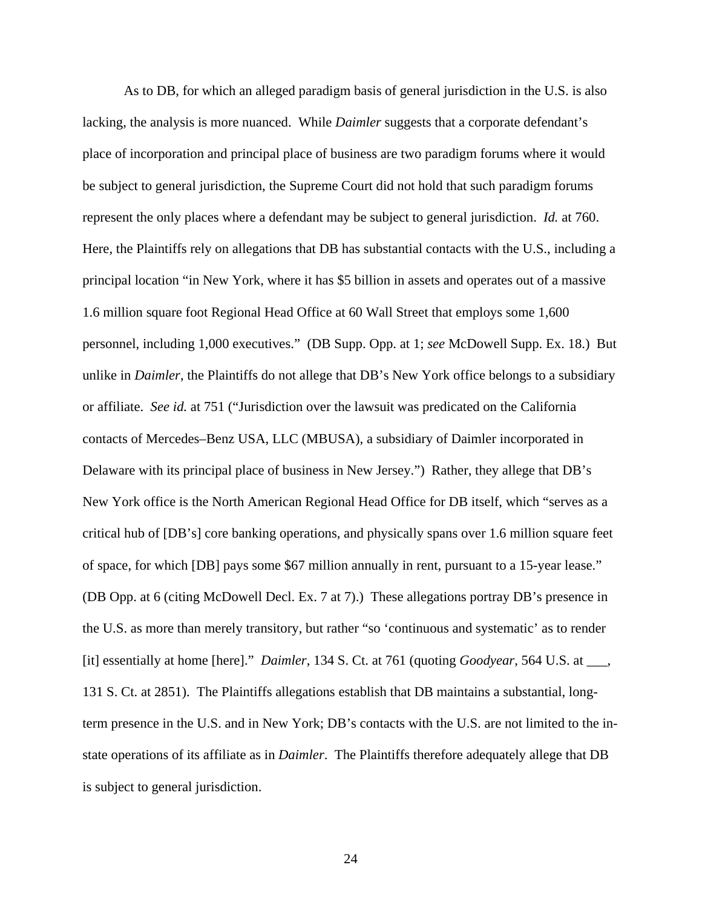As to DB, for which an alleged paradigm basis of general jurisdiction in the U.S. is also lacking, the analysis is more nuanced. While *Daimler* suggests that a corporate defendant's place of incorporation and principal place of business are two paradigm forums where it would be subject to general jurisdiction, the Supreme Court did not hold that such paradigm forums represent the only places where a defendant may be subject to general jurisdiction. *Id.* at 760. Here, the Plaintiffs rely on allegations that DB has substantial contacts with the U.S., including a principal location "in New York, where it has \$5 billion in assets and operates out of a massive 1.6 million square foot Regional Head Office at 60 Wall Street that employs some 1,600 personnel, including 1,000 executives." (DB Supp. Opp. at 1; *see* McDowell Supp. Ex. 18.) But unlike in *Daimler*, the Plaintiffs do not allege that DB's New York office belongs to a subsidiary or affiliate. *See id.* at 751 ("Jurisdiction over the lawsuit was predicated on the California contacts of Mercedes–Benz USA, LLC (MBUSA), a subsidiary of Daimler incorporated in Delaware with its principal place of business in New Jersey.") Rather, they allege that DB's New York office is the North American Regional Head Office for DB itself, which "serves as a critical hub of [DB's] core banking operations, and physically spans over 1.6 million square feet of space, for which [DB] pays some \$67 million annually in rent, pursuant to a 15-year lease." (DB Opp. at 6 (citing McDowell Decl. Ex. 7 at 7).) These allegations portray DB's presence in the U.S. as more than merely transitory, but rather "so 'continuous and systematic' as to render [it] essentially at home [here]." *Daimler*, 134 S. Ct. at 761 (quoting *Goodyear*, 564 U.S. at \_\_\_, 131 S. Ct. at 2851). The Plaintiffs allegations establish that DB maintains a substantial, longterm presence in the U.S. and in New York; DB's contacts with the U.S. are not limited to the instate operations of its affiliate as in *Daimler*. The Plaintiffs therefore adequately allege that DB is subject to general jurisdiction.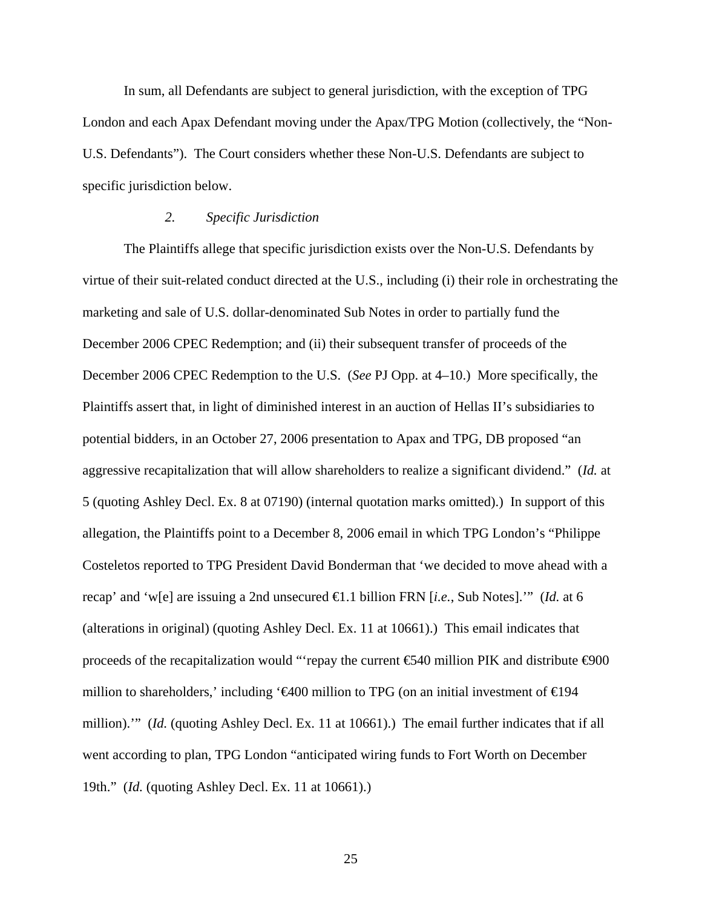In sum, all Defendants are subject to general jurisdiction, with the exception of TPG London and each Apax Defendant moving under the Apax/TPG Motion (collectively, the "Non-U.S. Defendants"). The Court considers whether these Non-U.S. Defendants are subject to specific jurisdiction below.

## *2. Specific Jurisdiction*

The Plaintiffs allege that specific jurisdiction exists over the Non-U.S. Defendants by virtue of their suit-related conduct directed at the U.S., including (i) their role in orchestrating the marketing and sale of U.S. dollar-denominated Sub Notes in order to partially fund the December 2006 CPEC Redemption; and (ii) their subsequent transfer of proceeds of the December 2006 CPEC Redemption to the U.S. (*See* PJ Opp. at 4–10.) More specifically, the Plaintiffs assert that, in light of diminished interest in an auction of Hellas II's subsidiaries to potential bidders, in an October 27, 2006 presentation to Apax and TPG, DB proposed "an aggressive recapitalization that will allow shareholders to realize a significant dividend." (*Id.* at 5 (quoting Ashley Decl. Ex. 8 at 07190) (internal quotation marks omitted).) In support of this allegation, the Plaintiffs point to a December 8, 2006 email in which TPG London's "Philippe Costeletos reported to TPG President David Bonderman that 'we decided to move ahead with a recap' and 'w[e] are issuing a 2nd unsecured €1.1 billion FRN [*i.e.*, Sub Notes].'" (*Id.* at 6 (alterations in original) (quoting Ashley Decl. Ex. 11 at 10661).) This email indicates that proceeds of the recapitalization would "'repay the current  $\epsilon$ 540 million PIK and distribute  $\epsilon$ 900 million to shareholders,' including ' $\bigoplus$  million to TPG (on an initial investment of  $\bigoplus$  94 million).'" (*Id.* (quoting Ashley Decl. Ex. 11 at 10661).) The email further indicates that if all went according to plan, TPG London "anticipated wiring funds to Fort Worth on December 19th." (*Id.* (quoting Ashley Decl. Ex. 11 at 10661).)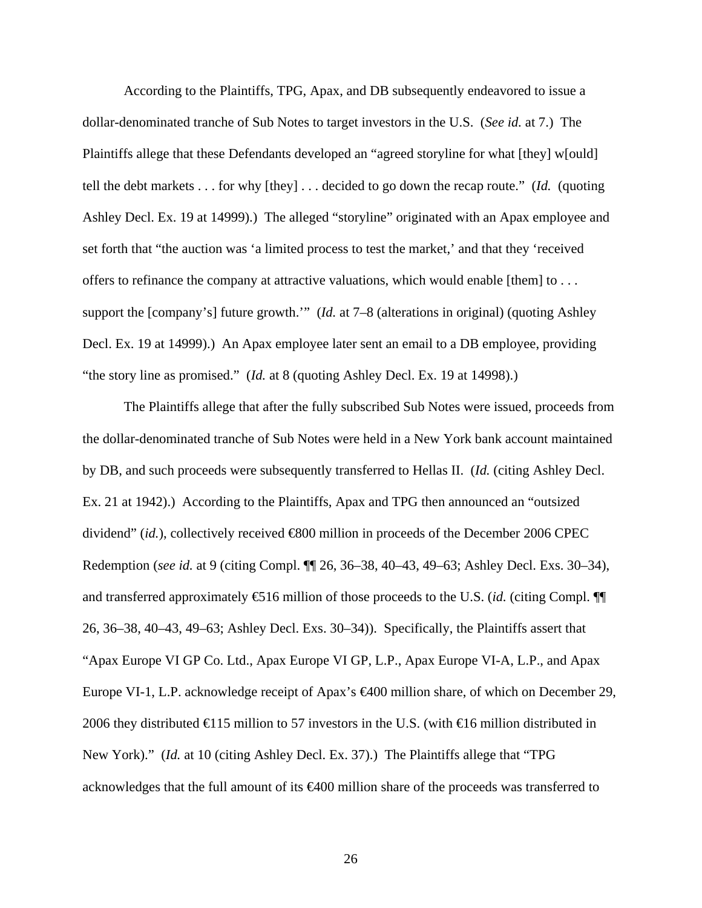According to the Plaintiffs, TPG, Apax, and DB subsequently endeavored to issue a dollar-denominated tranche of Sub Notes to target investors in the U.S. (*See id.* at 7.) The Plaintiffs allege that these Defendants developed an "agreed storyline for what [they] w[ould] tell the debt markets . . . for why [they] . . . decided to go down the recap route." (*Id.* (quoting Ashley Decl. Ex. 19 at 14999).) The alleged "storyline" originated with an Apax employee and set forth that "the auction was 'a limited process to test the market,' and that they 'received offers to refinance the company at attractive valuations, which would enable [them] to . . . support the [company's] future growth.'" (*Id.* at 7–8 (alterations in original) (quoting Ashley Decl. Ex. 19 at 14999).) An Apax employee later sent an email to a DB employee, providing "the story line as promised." (*Id.* at 8 (quoting Ashley Decl. Ex. 19 at 14998).)

The Plaintiffs allege that after the fully subscribed Sub Notes were issued, proceeds from the dollar-denominated tranche of Sub Notes were held in a New York bank account maintained by DB, and such proceeds were subsequently transferred to Hellas II. (*Id.* (citing Ashley Decl. Ex. 21 at 1942).) According to the Plaintiffs, Apax and TPG then announced an "outsized dividend" (*id.*), collectively received €800 million in proceeds of the December 2006 CPEC Redemption (*see id.* at 9 (citing Compl. ¶¶ 26, 36–38, 40–43, 49–63; Ashley Decl. Exs. 30–34), and transferred approximately  $\mathfrak{S}16$  million of those proceeds to the U.S. (*id.* (citing Compl.  $\P$ 26, 36–38, 40–43, 49–63; Ashley Decl. Exs. 30–34)). Specifically, the Plaintiffs assert that "Apax Europe VI GP Co. Ltd., Apax Europe VI GP, L.P., Apax Europe VI-A, L.P., and Apax Europe VI-1, L.P. acknowledge receipt of Apax's €400 million share, of which on December 29, 2006 they distributed  $\bigoplus$  15 million to 57 investors in the U.S. (with  $\bigoplus$  6 million distributed in New York)." (*Id.* at 10 (citing Ashley Decl. Ex. 37).) The Plaintiffs allege that "TPG acknowledges that the full amount of its €400 million share of the proceeds was transferred to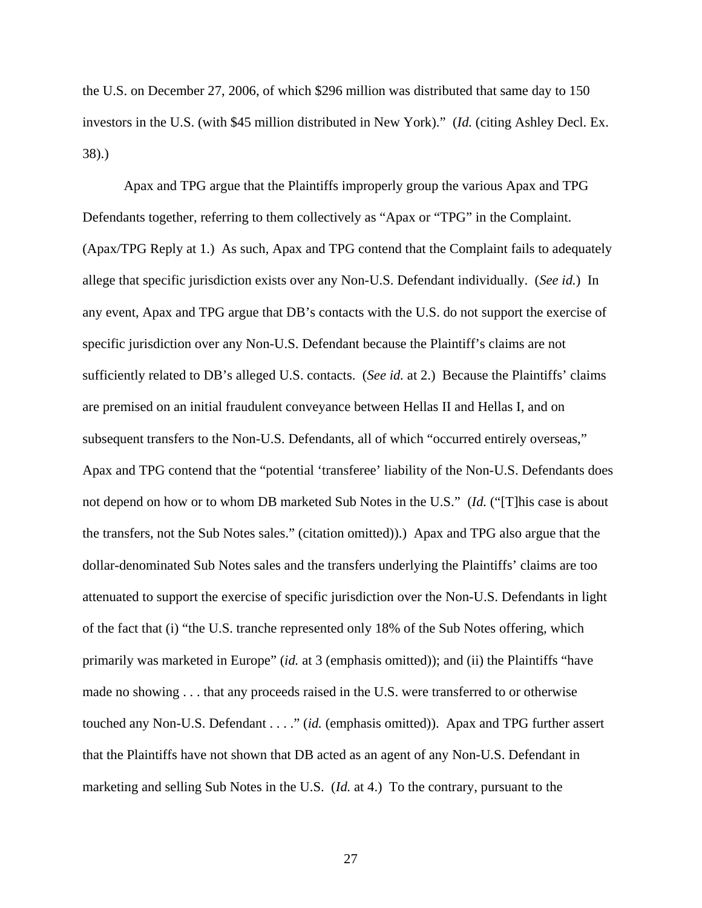the U.S. on December 27, 2006, of which \$296 million was distributed that same day to 150 investors in the U.S. (with \$45 million distributed in New York)." (*Id.* (citing Ashley Decl. Ex. 38).)

Apax and TPG argue that the Plaintiffs improperly group the various Apax and TPG Defendants together, referring to them collectively as "Apax or "TPG" in the Complaint. (Apax/TPG Reply at 1.) As such, Apax and TPG contend that the Complaint fails to adequately allege that specific jurisdiction exists over any Non-U.S. Defendant individually. (*See id.*) In any event, Apax and TPG argue that DB's contacts with the U.S. do not support the exercise of specific jurisdiction over any Non-U.S. Defendant because the Plaintiff's claims are not sufficiently related to DB's alleged U.S. contacts. (*See id.* at 2.) Because the Plaintiffs' claims are premised on an initial fraudulent conveyance between Hellas II and Hellas I, and on subsequent transfers to the Non-U.S. Defendants, all of which "occurred entirely overseas," Apax and TPG contend that the "potential 'transferee' liability of the Non-U.S. Defendants does not depend on how or to whom DB marketed Sub Notes in the U.S." (*Id.* ("[T]his case is about the transfers, not the Sub Notes sales." (citation omitted)).) Apax and TPG also argue that the dollar-denominated Sub Notes sales and the transfers underlying the Plaintiffs' claims are too attenuated to support the exercise of specific jurisdiction over the Non-U.S. Defendants in light of the fact that (i) "the U.S. tranche represented only 18% of the Sub Notes offering, which primarily was marketed in Europe" (*id.* at 3 (emphasis omitted)); and (ii) the Plaintiffs "have made no showing . . . that any proceeds raised in the U.S. were transferred to or otherwise touched any Non-U.S. Defendant . . . ." (*id.* (emphasis omitted)). Apax and TPG further assert that the Plaintiffs have not shown that DB acted as an agent of any Non-U.S. Defendant in marketing and selling Sub Notes in the U.S. (*Id.* at 4.) To the contrary, pursuant to the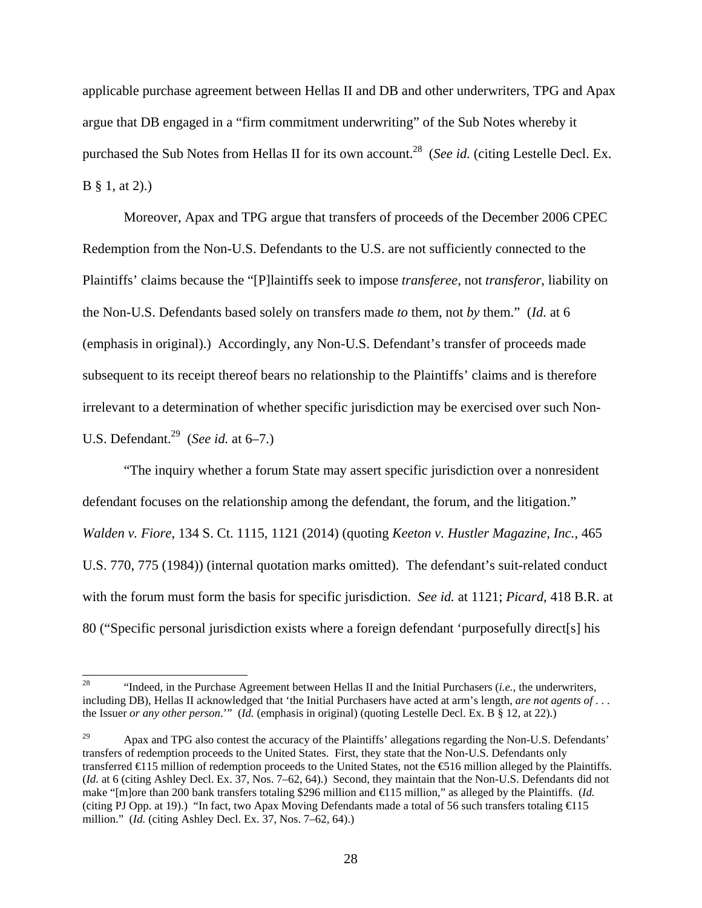applicable purchase agreement between Hellas II and DB and other underwriters, TPG and Apax argue that DB engaged in a "firm commitment underwriting" of the Sub Notes whereby it purchased the Sub Notes from Hellas II for its own account.<sup>28</sup> (*See id.* (citing Lestelle Decl. Ex.) B § 1, at 2).)

Moreover, Apax and TPG argue that transfers of proceeds of the December 2006 CPEC Redemption from the Non-U.S. Defendants to the U.S. are not sufficiently connected to the Plaintiffs' claims because the "[P]laintiffs seek to impose *transferee*, not *transferor*, liability on the Non-U.S. Defendants based solely on transfers made *to* them, not *by* them." (*Id.* at 6 (emphasis in original).) Accordingly, any Non-U.S. Defendant's transfer of proceeds made subsequent to its receipt thereof bears no relationship to the Plaintiffs' claims and is therefore irrelevant to a determination of whether specific jurisdiction may be exercised over such Non-U.S. Defendant.29 (*See id.* at 6–7.)

"The inquiry whether a forum State may assert specific jurisdiction over a nonresident defendant focuses on the relationship among the defendant, the forum, and the litigation." *Walden v. Fiore*, 134 S. Ct. 1115, 1121 (2014) (quoting *Keeton v. Hustler Magazine, Inc.*, 465 U.S. 770, 775 (1984)) (internal quotation marks omitted). The defendant's suit-related conduct with the forum must form the basis for specific jurisdiction. *See id.* at 1121; *Picard*, 418 B.R. at 80 ("Specific personal jurisdiction exists where a foreign defendant 'purposefully direct[s] his

<sup>28</sup> 28 "Indeed, in the Purchase Agreement between Hellas II and the Initial Purchasers (*i.e.*, the underwriters, including DB), Hellas II acknowledged that 'the Initial Purchasers have acted at arm's length, *are not agents of* . . . the Issuer *or any other person*.'" (*Id.* (emphasis in original) (quoting Lestelle Decl. Ex. B § 12, at 22).)

<sup>&</sup>lt;sup>29</sup> Apax and TPG also contest the accuracy of the Plaintiffs' allegations regarding the Non-U.S. Defendants' transfers of redemption proceeds to the United States. First, they state that the Non-U.S. Defendants only transferred  $\in$  15 million of redemption proceeds to the United States, not the  $\in$  16 million alleged by the Plaintiffs. (*Id.* at 6 (citing Ashley Decl. Ex. 37, Nos. 7–62, 64).) Second, they maintain that the Non-U.S. Defendants did not make "[m]ore than 200 bank transfers totaling \$296 million and €115 million," as alleged by the Plaintiffs. (*Id.* (citing PJ Opp. at 19).) "In fact, two Apax Moving Defendants made a total of 56 such transfers totaling €115 million." (*Id.* (citing Ashley Decl. Ex. 37, Nos. 7–62, 64).)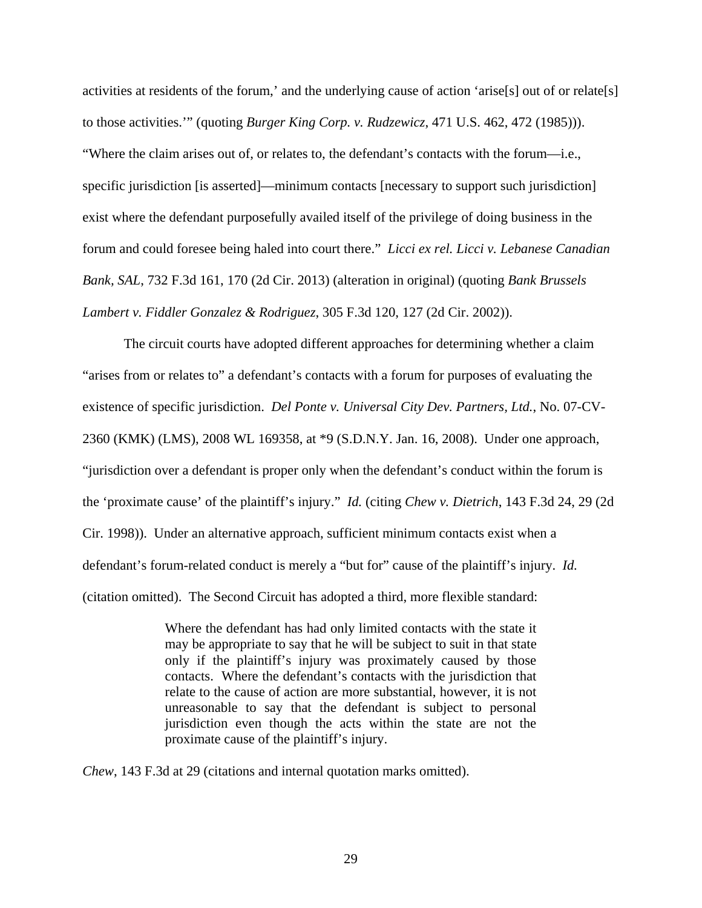activities at residents of the forum,' and the underlying cause of action 'arise[s] out of or relate[s] to those activities.'" (quoting *Burger King Corp. v. Rudzewicz*, 471 U.S. 462, 472 (1985))). "Where the claim arises out of, or relates to, the defendant's contacts with the forum—i.e., specific jurisdiction [is asserted]—minimum contacts [necessary to support such jurisdiction] exist where the defendant purposefully availed itself of the privilege of doing business in the forum and could foresee being haled into court there." *Licci ex rel. Licci v. Lebanese Canadian Bank, SAL*, 732 F.3d 161, 170 (2d Cir. 2013) (alteration in original) (quoting *Bank Brussels Lambert v. Fiddler Gonzalez & Rodriguez*, 305 F.3d 120, 127 (2d Cir. 2002)).

The circuit courts have adopted different approaches for determining whether a claim "arises from or relates to" a defendant's contacts with a forum for purposes of evaluating the existence of specific jurisdiction. *Del Ponte v. Universal City Dev. Partners, Ltd.*, No. 07-CV-2360 (KMK) (LMS), 2008 WL 169358, at \*9 (S.D.N.Y. Jan. 16, 2008). Under one approach, "jurisdiction over a defendant is proper only when the defendant's conduct within the forum is the 'proximate cause' of the plaintiff's injury." *Id.* (citing *Chew v. Dietrich*, 143 F.3d 24, 29 (2d Cir. 1998)). Under an alternative approach, sufficient minimum contacts exist when a defendant's forum-related conduct is merely a "but for" cause of the plaintiff's injury. *Id.* (citation omitted). The Second Circuit has adopted a third, more flexible standard:

> Where the defendant has had only limited contacts with the state it may be appropriate to say that he will be subject to suit in that state only if the plaintiff's injury was proximately caused by those contacts. Where the defendant's contacts with the jurisdiction that relate to the cause of action are more substantial, however, it is not unreasonable to say that the defendant is subject to personal jurisdiction even though the acts within the state are not the proximate cause of the plaintiff's injury.

*Chew*, 143 F.3d at 29 (citations and internal quotation marks omitted).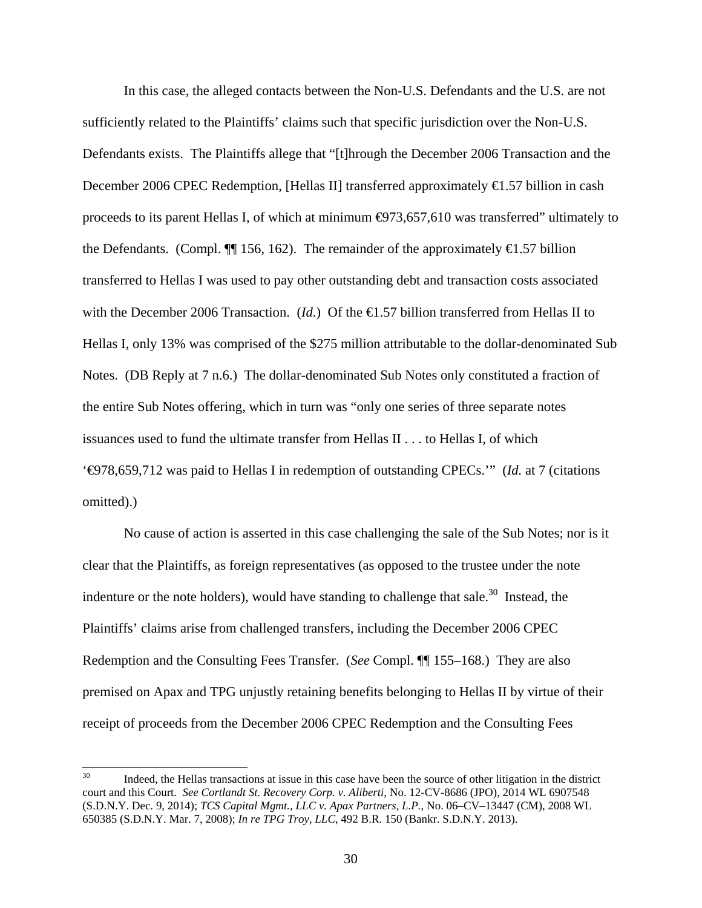In this case, the alleged contacts between the Non-U.S. Defendants and the U.S. are not sufficiently related to the Plaintiffs' claims such that specific jurisdiction over the Non-U.S. Defendants exists. The Plaintiffs allege that "[t]hrough the December 2006 Transaction and the December 2006 CPEC Redemption, [Hellas II] transferred approximately €1.57 billion in cash proceeds to its parent Hellas I, of which at minimum  $\bigoplus$ 73,657,610 was transferred" ultimately to the Defendants. (Compl.  $\P$ [ 156, 162). The remainder of the approximately  $\bigoplus$ .57 billion transferred to Hellas I was used to pay other outstanding debt and transaction costs associated with the December 2006 Transaction. (*Id.*) Of the  $\bigoplus$ .57 billion transferred from Hellas II to Hellas I, only 13% was comprised of the \$275 million attributable to the dollar-denominated Sub Notes. (DB Reply at 7 n.6.) The dollar-denominated Sub Notes only constituted a fraction of the entire Sub Notes offering, which in turn was "only one series of three separate notes issuances used to fund the ultimate transfer from Hellas II . . . to Hellas I, of which '€978,659,712 was paid to Hellas I in redemption of outstanding CPECs.'" (*Id.* at 7 (citations omitted).)

No cause of action is asserted in this case challenging the sale of the Sub Notes; nor is it clear that the Plaintiffs, as foreign representatives (as opposed to the trustee under the note indenture or the note holders), would have standing to challenge that sale.<sup>30</sup> Instead, the Plaintiffs' claims arise from challenged transfers, including the December 2006 CPEC Redemption and the Consulting Fees Transfer. (*See* Compl. ¶¶ 155–168.) They are also premised on Apax and TPG unjustly retaining benefits belonging to Hellas II by virtue of their receipt of proceeds from the December 2006 CPEC Redemption and the Consulting Fees

 $30<sup>°</sup>$ Indeed, the Hellas transactions at issue in this case have been the source of other litigation in the district court and this Court. *See Cortlandt St. Recovery Corp. v. Aliberti*, No. 12-CV-8686 (JPO), 2014 WL 6907548 (S.D.N.Y. Dec. 9, 2014); *TCS Capital Mgmt., LLC v. Apax Partners, L.P.*, No. 06–CV–13447 (CM), 2008 WL 650385 (S.D.N.Y. Mar. 7, 2008); *In re TPG Troy, LLC*, 492 B.R. 150 (Bankr. S.D.N.Y. 2013).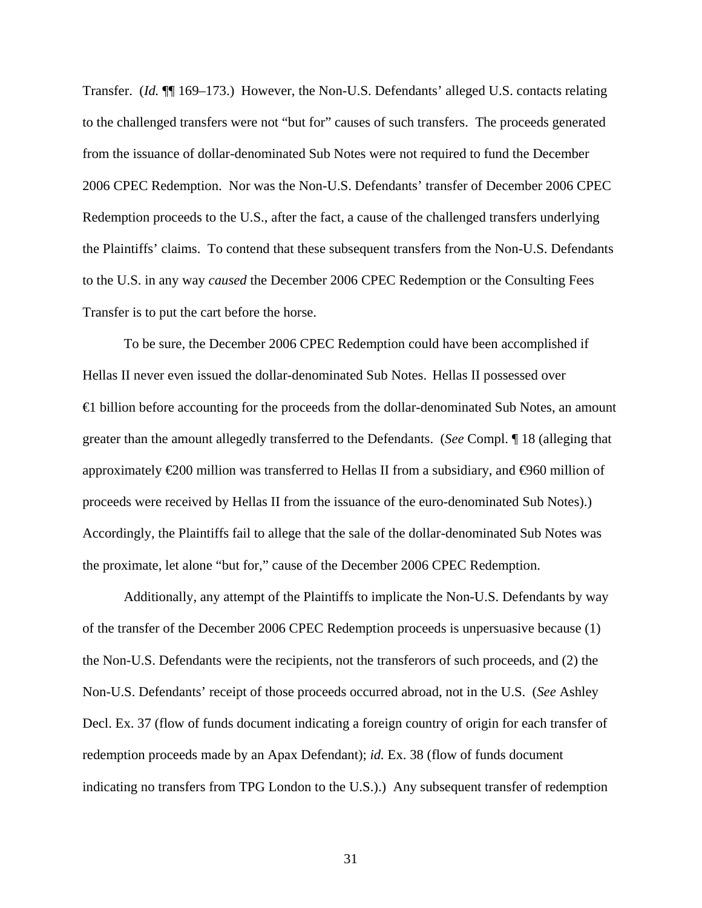Transfer. (*Id.* ¶¶ 169–173.) However, the Non-U.S. Defendants' alleged U.S. contacts relating to the challenged transfers were not "but for" causes of such transfers. The proceeds generated from the issuance of dollar-denominated Sub Notes were not required to fund the December 2006 CPEC Redemption. Nor was the Non-U.S. Defendants' transfer of December 2006 CPEC Redemption proceeds to the U.S., after the fact, a cause of the challenged transfers underlying the Plaintiffs' claims. To contend that these subsequent transfers from the Non-U.S. Defendants to the U.S. in any way *caused* the December 2006 CPEC Redemption or the Consulting Fees Transfer is to put the cart before the horse.

To be sure, the December 2006 CPEC Redemption could have been accomplished if Hellas II never even issued the dollar-denominated Sub Notes. Hellas II possessed over €1 billion before accounting for the proceeds from the dollar-denominated Sub Notes, an amount greater than the amount allegedly transferred to the Defendants. (*See* Compl. ¶ 18 (alleging that approximately  $\epsilon$ 200 million was transferred to Hellas II from a subsidiary, and  $\epsilon$ 960 million of proceeds were received by Hellas II from the issuance of the euro-denominated Sub Notes).) Accordingly, the Plaintiffs fail to allege that the sale of the dollar-denominated Sub Notes was the proximate, let alone "but for," cause of the December 2006 CPEC Redemption.

Additionally, any attempt of the Plaintiffs to implicate the Non-U.S. Defendants by way of the transfer of the December 2006 CPEC Redemption proceeds is unpersuasive because (1) the Non-U.S. Defendants were the recipients, not the transferors of such proceeds, and (2) the Non-U.S. Defendants' receipt of those proceeds occurred abroad, not in the U.S. (*See* Ashley Decl. Ex. 37 (flow of funds document indicating a foreign country of origin for each transfer of redemption proceeds made by an Apax Defendant); *id.* Ex. 38 (flow of funds document indicating no transfers from TPG London to the U.S.).) Any subsequent transfer of redemption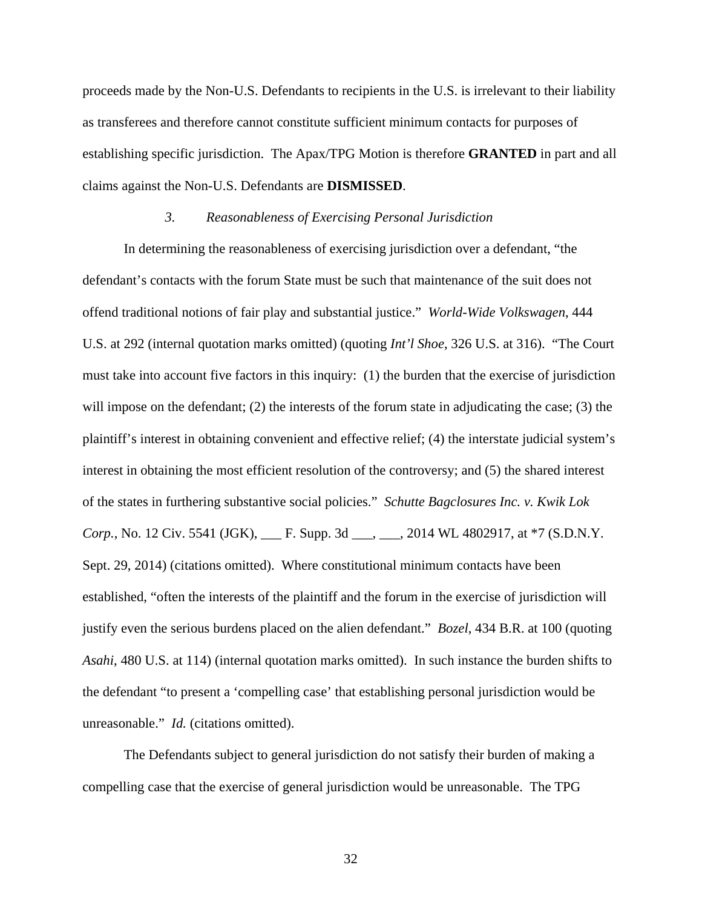proceeds made by the Non-U.S. Defendants to recipients in the U.S. is irrelevant to their liability as transferees and therefore cannot constitute sufficient minimum contacts for purposes of establishing specific jurisdiction. The Apax/TPG Motion is therefore **GRANTED** in part and all claims against the Non-U.S. Defendants are **DISMISSED**.

### *3. Reasonableness of Exercising Personal Jurisdiction*

In determining the reasonableness of exercising jurisdiction over a defendant, "the defendant's contacts with the forum State must be such that maintenance of the suit does not offend traditional notions of fair play and substantial justice." *World-Wide Volkswagen*, 444 U.S. at 292 (internal quotation marks omitted) (quoting *Int'l Shoe*, 326 U.S. at 316). "The Court must take into account five factors in this inquiry: (1) the burden that the exercise of jurisdiction will impose on the defendant; (2) the interests of the forum state in adjudicating the case; (3) the plaintiff's interest in obtaining convenient and effective relief; (4) the interstate judicial system's interest in obtaining the most efficient resolution of the controversy; and (5) the shared interest of the states in furthering substantive social policies." *Schutte Bagclosures Inc. v. Kwik Lok Corp.*, No. 12 Civ. 5541 (JGK), \_\_\_ F. Supp. 3d \_\_\_, \_\_\_, 2014 WL 4802917, at \*7 (S.D.N.Y. Sept. 29, 2014) (citations omitted). Where constitutional minimum contacts have been established, "often the interests of the plaintiff and the forum in the exercise of jurisdiction will justify even the serious burdens placed on the alien defendant." *Bozel*, 434 B.R. at 100 (quoting *Asahi*, 480 U.S. at 114) (internal quotation marks omitted). In such instance the burden shifts to the defendant "to present a 'compelling case' that establishing personal jurisdiction would be unreasonable." *Id.* (citations omitted).

The Defendants subject to general jurisdiction do not satisfy their burden of making a compelling case that the exercise of general jurisdiction would be unreasonable. The TPG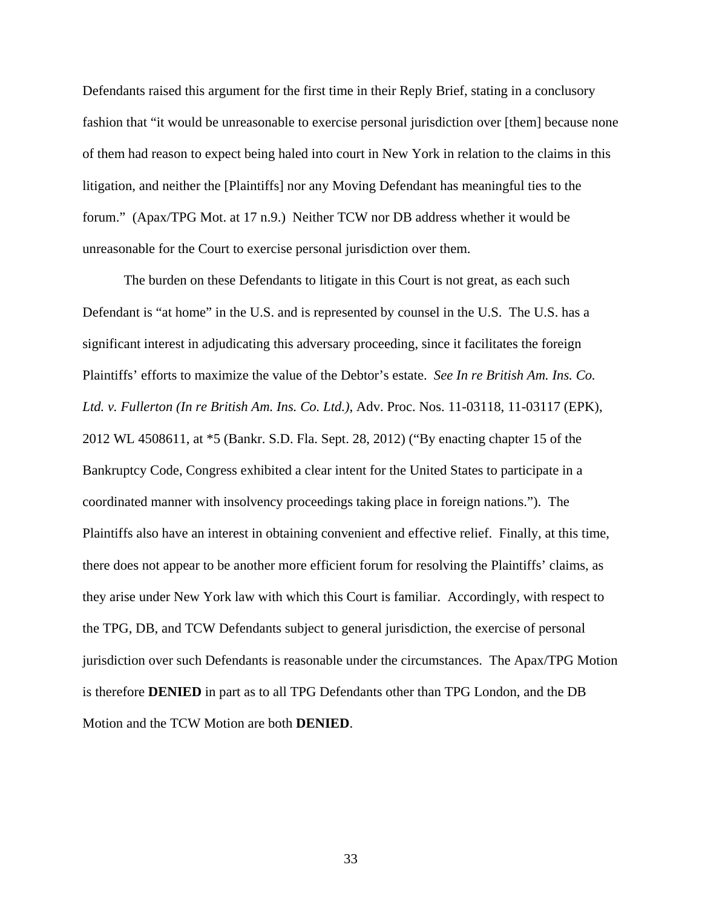Defendants raised this argument for the first time in their Reply Brief, stating in a conclusory fashion that "it would be unreasonable to exercise personal jurisdiction over [them] because none of them had reason to expect being haled into court in New York in relation to the claims in this litigation, and neither the [Plaintiffs] nor any Moving Defendant has meaningful ties to the forum." (Apax/TPG Mot. at 17 n.9.) Neither TCW nor DB address whether it would be unreasonable for the Court to exercise personal jurisdiction over them.

The burden on these Defendants to litigate in this Court is not great, as each such Defendant is "at home" in the U.S. and is represented by counsel in the U.S. The U.S. has a significant interest in adjudicating this adversary proceeding, since it facilitates the foreign Plaintiffs' efforts to maximize the value of the Debtor's estate. *See In re British Am. Ins. Co. Ltd. v. Fullerton (In re British Am. Ins. Co. Ltd.)*, Adv. Proc. Nos. 11-03118, 11-03117 (EPK), 2012 WL 4508611, at \*5 (Bankr. S.D. Fla. Sept. 28, 2012) ("By enacting chapter 15 of the Bankruptcy Code, Congress exhibited a clear intent for the United States to participate in a coordinated manner with insolvency proceedings taking place in foreign nations."). The Plaintiffs also have an interest in obtaining convenient and effective relief. Finally, at this time, there does not appear to be another more efficient forum for resolving the Plaintiffs' claims, as they arise under New York law with which this Court is familiar. Accordingly, with respect to the TPG, DB, and TCW Defendants subject to general jurisdiction, the exercise of personal jurisdiction over such Defendants is reasonable under the circumstances. The Apax/TPG Motion is therefore **DENIED** in part as to all TPG Defendants other than TPG London, and the DB Motion and the TCW Motion are both **DENIED**.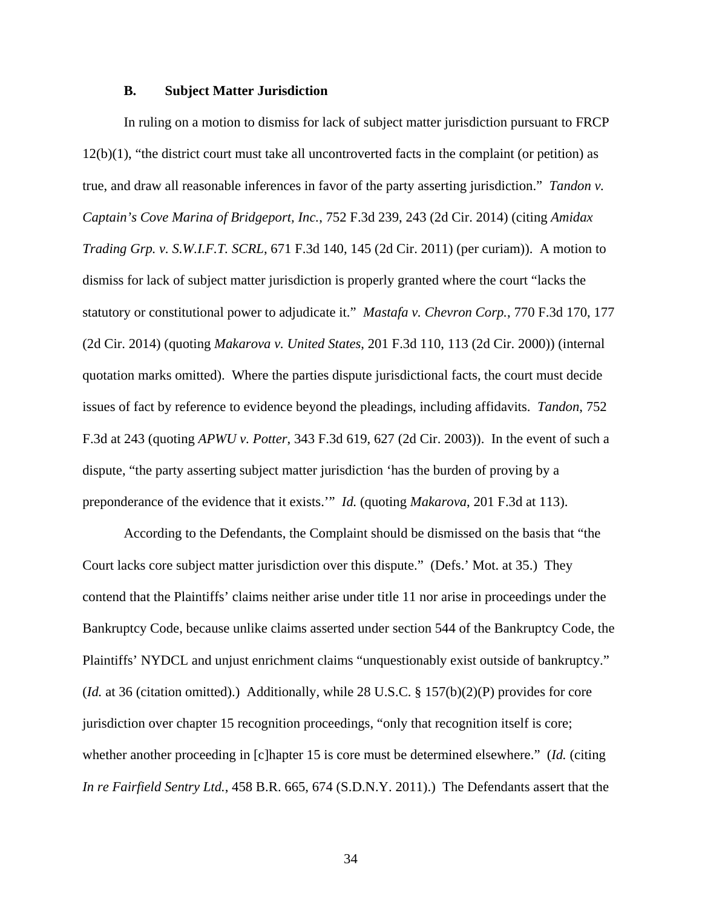#### **B. Subject Matter Jurisdiction**

In ruling on a motion to dismiss for lack of subject matter jurisdiction pursuant to FRCP 12(b)(1), "the district court must take all uncontroverted facts in the complaint (or petition) as true, and draw all reasonable inferences in favor of the party asserting jurisdiction." *Tandon v. Captain's Cove Marina of Bridgeport, Inc.*, 752 F.3d 239, 243 (2d Cir. 2014) (citing *Amidax Trading Grp. v. S.W.I.F.T. SCRL*, 671 F.3d 140, 145 (2d Cir. 2011) (per curiam)). A motion to dismiss for lack of subject matter jurisdiction is properly granted where the court "lacks the statutory or constitutional power to adjudicate it." *Mastafa v. Chevron Corp.*, 770 F.3d 170, 177 (2d Cir. 2014) (quoting *Makarova v. United States*, 201 F.3d 110, 113 (2d Cir. 2000)) (internal quotation marks omitted). Where the parties dispute jurisdictional facts, the court must decide issues of fact by reference to evidence beyond the pleadings, including affidavits. *Tandon*, 752 F.3d at 243 (quoting *APWU v. Potter*, 343 F.3d 619, 627 (2d Cir. 2003)). In the event of such a dispute, "the party asserting subject matter jurisdiction 'has the burden of proving by a preponderance of the evidence that it exists.'" *Id.* (quoting *Makarova*, 201 F.3d at 113).

According to the Defendants, the Complaint should be dismissed on the basis that "the Court lacks core subject matter jurisdiction over this dispute." (Defs.' Mot. at 35.) They contend that the Plaintiffs' claims neither arise under title 11 nor arise in proceedings under the Bankruptcy Code, because unlike claims asserted under section 544 of the Bankruptcy Code, the Plaintiffs' NYDCL and unjust enrichment claims "unquestionably exist outside of bankruptcy." (*Id.* at 36 (citation omitted).) Additionally, while 28 U.S.C. § 157(b)(2)(P) provides for core jurisdiction over chapter 15 recognition proceedings, "only that recognition itself is core; whether another proceeding in [c]hapter 15 is core must be determined elsewhere." (*Id.* (citing *In re Fairfield Sentry Ltd.*, 458 B.R. 665, 674 (S.D.N.Y. 2011).) The Defendants assert that the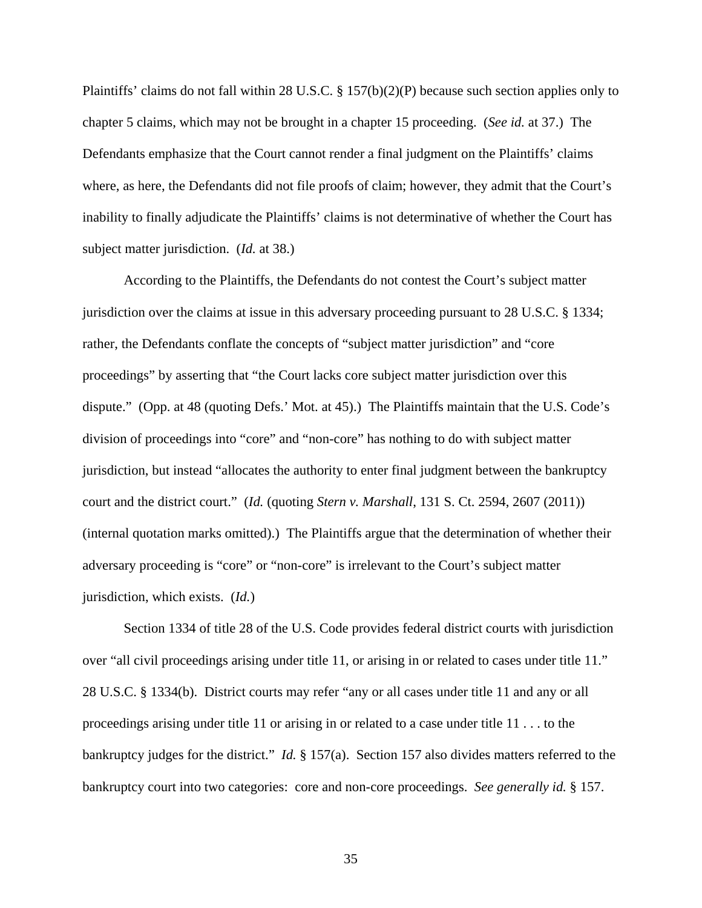Plaintiffs' claims do not fall within 28 U.S.C. § 157(b)(2)(P) because such section applies only to chapter 5 claims, which may not be brought in a chapter 15 proceeding. (*See id.* at 37.) The Defendants emphasize that the Court cannot render a final judgment on the Plaintiffs' claims where, as here, the Defendants did not file proofs of claim; however, they admit that the Court's inability to finally adjudicate the Plaintiffs' claims is not determinative of whether the Court has subject matter jurisdiction. (*Id.* at 38.)

According to the Plaintiffs, the Defendants do not contest the Court's subject matter jurisdiction over the claims at issue in this adversary proceeding pursuant to 28 U.S.C. § 1334; rather, the Defendants conflate the concepts of "subject matter jurisdiction" and "core proceedings" by asserting that "the Court lacks core subject matter jurisdiction over this dispute." (Opp. at 48 (quoting Defs.' Mot. at 45).) The Plaintiffs maintain that the U.S. Code's division of proceedings into "core" and "non-core" has nothing to do with subject matter jurisdiction, but instead "allocates the authority to enter final judgment between the bankruptcy court and the district court." (*Id.* (quoting *Stern v. Marshall*, 131 S. Ct. 2594, 2607 (2011)) (internal quotation marks omitted).) The Plaintiffs argue that the determination of whether their adversary proceeding is "core" or "non-core" is irrelevant to the Court's subject matter jurisdiction, which exists. (*Id.*)

Section 1334 of title 28 of the U.S. Code provides federal district courts with jurisdiction over "all civil proceedings arising under title 11, or arising in or related to cases under title 11." 28 U.S.C. § 1334(b). District courts may refer "any or all cases under title 11 and any or all proceedings arising under title 11 or arising in or related to a case under title 11 . . . to the bankruptcy judges for the district." *Id.* § 157(a). Section 157 also divides matters referred to the bankruptcy court into two categories: core and non-core proceedings. *See generally id.* § 157.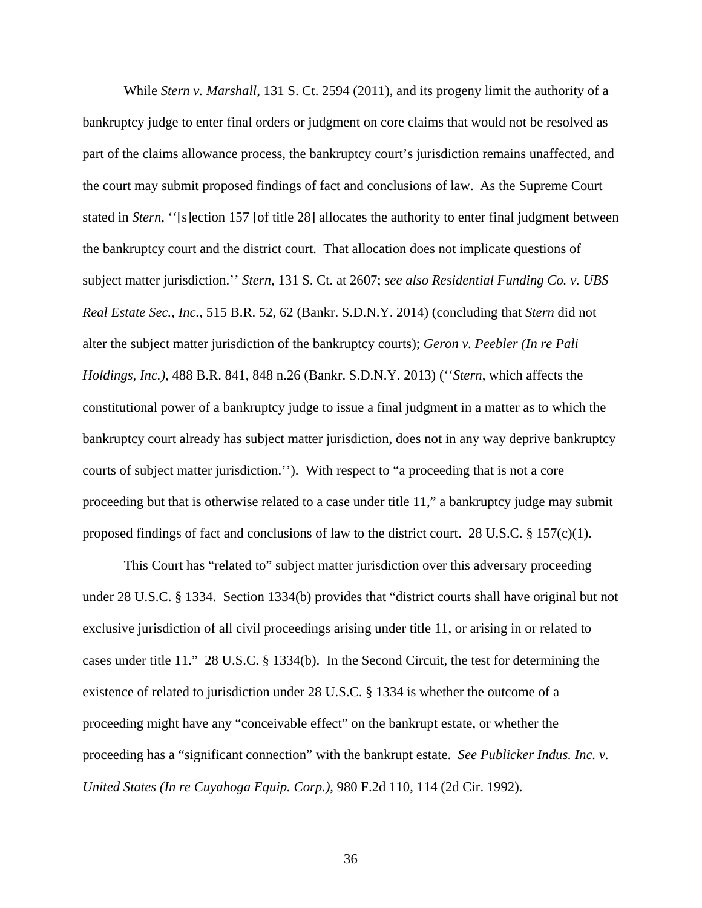While *Stern v. Marshall*, 131 S. Ct. 2594 (2011), and its progeny limit the authority of a bankruptcy judge to enter final orders or judgment on core claims that would not be resolved as part of the claims allowance process, the bankruptcy court's jurisdiction remains unaffected, and the court may submit proposed findings of fact and conclusions of law. As the Supreme Court stated in *Stern*, ''[s]ection 157 [of title 28] allocates the authority to enter final judgment between the bankruptcy court and the district court. That allocation does not implicate questions of subject matter jurisdiction.'' *Stern*, 131 S. Ct. at 2607; *see also Residential Funding Co. v. UBS Real Estate Sec., Inc.*, 515 B.R. 52, 62 (Bankr. S.D.N.Y. 2014) (concluding that *Stern* did not alter the subject matter jurisdiction of the bankruptcy courts); *Geron v. Peebler (In re Pali Holdings, Inc.)*, 488 B.R. 841, 848 n.26 (Bankr. S.D.N.Y. 2013) (''*Stern*, which affects the constitutional power of a bankruptcy judge to issue a final judgment in a matter as to which the bankruptcy court already has subject matter jurisdiction, does not in any way deprive bankruptcy courts of subject matter jurisdiction.''). With respect to "a proceeding that is not a core proceeding but that is otherwise related to a case under title 11," a bankruptcy judge may submit proposed findings of fact and conclusions of law to the district court. 28 U.S.C.  $\S 157(c)(1)$ .

This Court has "related to" subject matter jurisdiction over this adversary proceeding under 28 U.S.C. § 1334. Section 1334(b) provides that "district courts shall have original but not exclusive jurisdiction of all civil proceedings arising under title 11, or arising in or related to cases under title 11." 28 U.S.C. § 1334(b). In the Second Circuit, the test for determining the existence of related to jurisdiction under 28 U.S.C. § 1334 is whether the outcome of a proceeding might have any "conceivable effect" on the bankrupt estate, or whether the proceeding has a "significant connection" with the bankrupt estate. *See Publicker Indus. Inc. v. United States (In re Cuyahoga Equip. Corp.)*, 980 F.2d 110, 114 (2d Cir. 1992).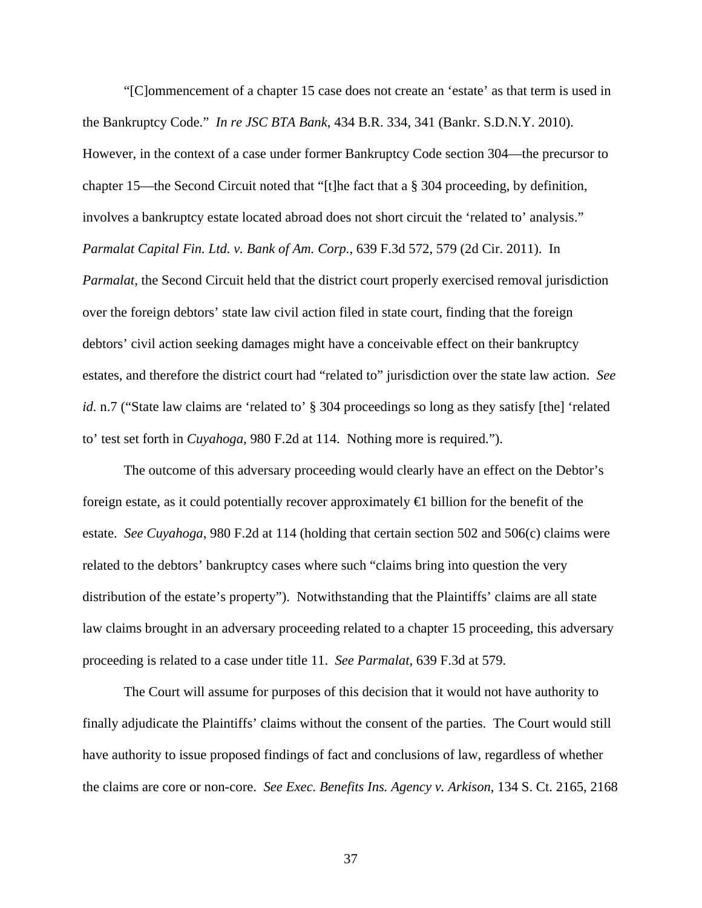"[C]ommencement of a chapter 15 case does not create an 'estate' as that term is used in the Bankruptcy Code." *In re JSC BTA Bank*, 434 B.R. 334, 341 (Bankr. S.D.N.Y. 2010). However, in the context of a case under former Bankruptcy Code section 304—the precursor to chapter 15—the Second Circuit noted that "[t]he fact that a § 304 proceeding, by definition, involves a bankruptcy estate located abroad does not short circuit the 'related to' analysis." *Parmalat Capital Fin. Ltd. v. Bank of Am. Corp.*, 639 F.3d 572, 579 (2d Cir. 2011). In *Parmalat*, the Second Circuit held that the district court properly exercised removal jurisdiction over the foreign debtors' state law civil action filed in state court, finding that the foreign debtors' civil action seeking damages might have a conceivable effect on their bankruptcy estates, and therefore the district court had "related to" jurisdiction over the state law action. *See id.* n.7 ("State law claims are 'related to' § 304 proceedings so long as they satisfy [the] 'related to' test set forth in *Cuyahoga*, 980 F.2d at 114. Nothing more is required.").

The outcome of this adversary proceeding would clearly have an effect on the Debtor's foreign estate, as it could potentially recover approximately  $\bigoplus$  billion for the benefit of the estate. *See Cuyahoga*, 980 F.2d at 114 (holding that certain section 502 and 506(c) claims were related to the debtors' bankruptcy cases where such "claims bring into question the very distribution of the estate's property"). Notwithstanding that the Plaintiffs' claims are all state law claims brought in an adversary proceeding related to a chapter 15 proceeding, this adversary proceeding is related to a case under title 11. *See Parmalat*, 639 F.3d at 579.

The Court will assume for purposes of this decision that it would not have authority to finally adjudicate the Plaintiffs' claims without the consent of the parties. The Court would still have authority to issue proposed findings of fact and conclusions of law, regardless of whether the claims are core or non-core. *See Exec. Benefits Ins. Agency v. Arkison*, 134 S. Ct. 2165, 2168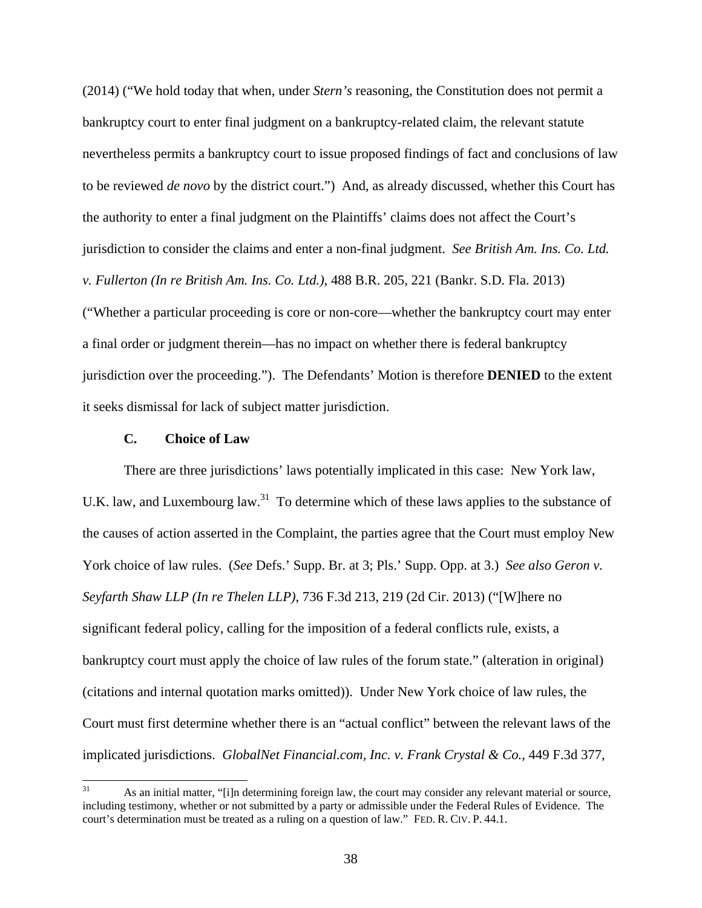(2014) ("We hold today that when, under *Stern's* reasoning, the Constitution does not permit a bankruptcy court to enter final judgment on a bankruptcy-related claim, the relevant statute nevertheless permits a bankruptcy court to issue proposed findings of fact and conclusions of law to be reviewed *de novo* by the district court.") And, as already discussed, whether this Court has the authority to enter a final judgment on the Plaintiffs' claims does not affect the Court's jurisdiction to consider the claims and enter a non-final judgment. *See British Am. Ins. Co. Ltd. v. Fullerton (In re British Am. Ins. Co. Ltd.)*, 488 B.R. 205, 221 (Bankr. S.D. Fla. 2013) ("Whether a particular proceeding is core or non-core—whether the bankruptcy court may enter a final order or judgment therein—has no impact on whether there is federal bankruptcy jurisdiction over the proceeding."). The Defendants' Motion is therefore **DENIED** to the extent it seeks dismissal for lack of subject matter jurisdiction.

### **C. Choice of Law**

There are three jurisdictions' laws potentially implicated in this case: New York law, U.K. law, and Luxembourg law.<sup>31</sup> To determine which of these laws applies to the substance of the causes of action asserted in the Complaint, the parties agree that the Court must employ New York choice of law rules. (*See* Defs.' Supp. Br. at 3; Pls.' Supp. Opp. at 3.) *See also Geron v. Seyfarth Shaw LLP (In re Thelen LLP)*, 736 F.3d 213, 219 (2d Cir. 2013) ("[W]here no significant federal policy, calling for the imposition of a federal conflicts rule, exists, a bankruptcy court must apply the choice of law rules of the forum state." (alteration in original) (citations and internal quotation marks omitted)). Under New York choice of law rules, the Court must first determine whether there is an "actual conflict" between the relevant laws of the implicated jurisdictions. *GlobalNet Financial.com, Inc. v. Frank Crystal & Co.*, 449 F.3d 377,

 $31$ As an initial matter, "[i]n determining foreign law, the court may consider any relevant material or source, including testimony, whether or not submitted by a party or admissible under the Federal Rules of Evidence. The court's determination must be treated as a ruling on a question of law." FED. R. CIV. P. 44.1.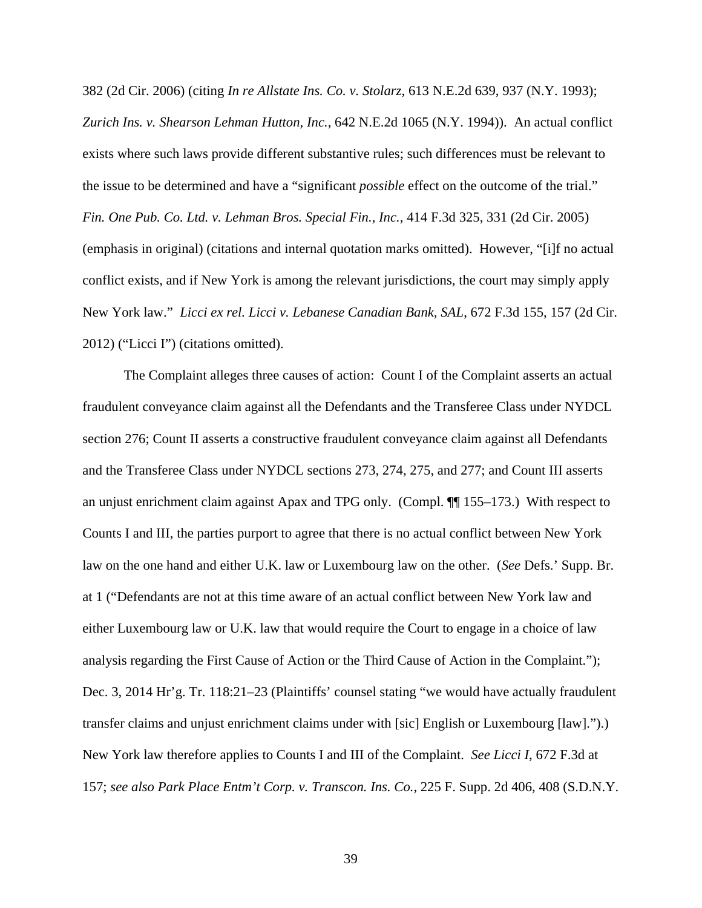382 (2d Cir. 2006) (citing *In re Allstate Ins. Co. v. Stolarz*, 613 N.E.2d 639, 937 (N.Y. 1993); *Zurich Ins. v. Shearson Lehman Hutton, Inc.*, 642 N.E.2d 1065 (N.Y. 1994)). An actual conflict exists where such laws provide different substantive rules; such differences must be relevant to the issue to be determined and have a "significant *possible* effect on the outcome of the trial." *Fin. One Pub. Co. Ltd. v. Lehman Bros. Special Fin., Inc.*, 414 F.3d 325, 331 (2d Cir. 2005) (emphasis in original) (citations and internal quotation marks omitted). However, "[i]f no actual conflict exists, and if New York is among the relevant jurisdictions, the court may simply apply New York law." *Licci ex rel. Licci v. Lebanese Canadian Bank, SAL*, 672 F.3d 155, 157 (2d Cir. 2012) ("Licci I") (citations omitted).

The Complaint alleges three causes of action: Count I of the Complaint asserts an actual fraudulent conveyance claim against all the Defendants and the Transferee Class under NYDCL section 276; Count II asserts a constructive fraudulent conveyance claim against all Defendants and the Transferee Class under NYDCL sections 273, 274, 275, and 277; and Count III asserts an unjust enrichment claim against Apax and TPG only. (Compl. ¶¶ 155–173.) With respect to Counts I and III, the parties purport to agree that there is no actual conflict between New York law on the one hand and either U.K. law or Luxembourg law on the other. (*See* Defs.' Supp. Br. at 1 ("Defendants are not at this time aware of an actual conflict between New York law and either Luxembourg law or U.K. law that would require the Court to engage in a choice of law analysis regarding the First Cause of Action or the Third Cause of Action in the Complaint."); Dec. 3, 2014 Hr'g. Tr. 118:21–23 (Plaintiffs' counsel stating "we would have actually fraudulent transfer claims and unjust enrichment claims under with [sic] English or Luxembourg [law].").) New York law therefore applies to Counts I and III of the Complaint. *See Licci I*, 672 F.3d at 157; *see also Park Place Entm't Corp. v. Transcon. Ins. Co.*, 225 F. Supp. 2d 406, 408 (S.D.N.Y.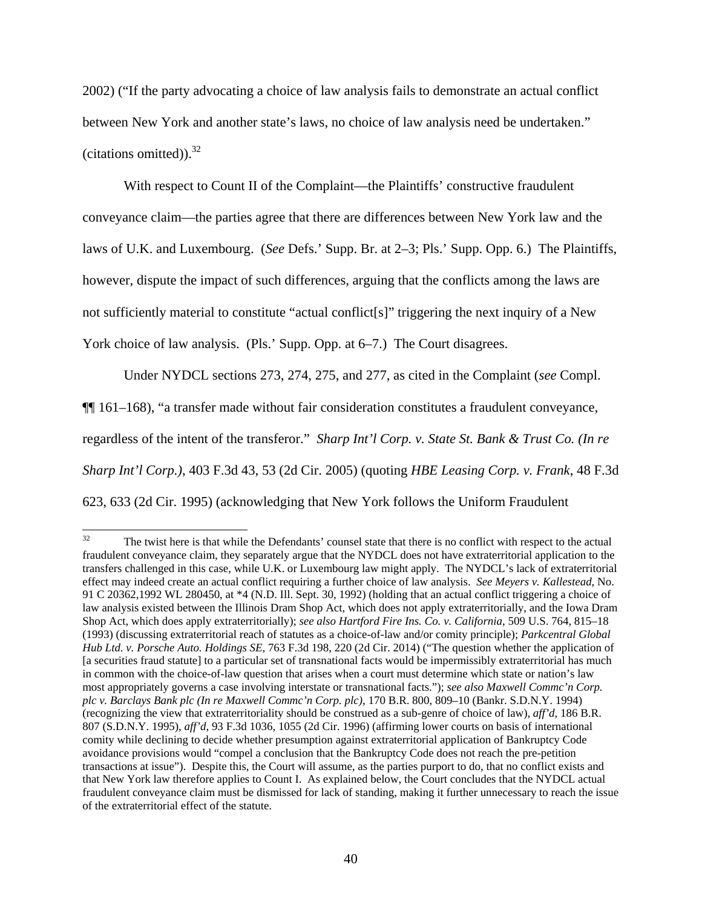2002) ("If the party advocating a choice of law analysis fails to demonstrate an actual conflict between New York and another state's laws, no choice of law analysis need be undertaken." (citations omitted)). $32$ 

With respect to Count II of the Complaint—the Plaintiffs' constructive fraudulent conveyance claim—the parties agree that there are differences between New York law and the laws of U.K. and Luxembourg. (*See* Defs.' Supp. Br. at 2–3; Pls.' Supp. Opp. 6.) The Plaintiffs, however, dispute the impact of such differences, arguing that the conflicts among the laws are not sufficiently material to constitute "actual conflict[s]" triggering the next inquiry of a New York choice of law analysis. (Pls.' Supp. Opp. at 6–7.) The Court disagrees.

Under NYDCL sections 273, 274, 275, and 277, as cited in the Complaint (*see* Compl. ¶¶ 161–168), "a transfer made without fair consideration constitutes a fraudulent conveyance, regardless of the intent of the transferor." *Sharp Int'l Corp. v. State St. Bank & Trust Co. (In re Sharp Int'l Corp.)*, 403 F.3d 43, 53 (2d Cir. 2005) (quoting *HBE Leasing Corp. v. Frank*, 48 F.3d 623, 633 (2d Cir. 1995) (acknowledging that New York follows the Uniform Fraudulent

 $32$ 32 The twist here is that while the Defendants' counsel state that there is no conflict with respect to the actual fraudulent conveyance claim, they separately argue that the NYDCL does not have extraterritorial application to the transfers challenged in this case, while U.K. or Luxembourg law might apply. The NYDCL's lack of extraterritorial effect may indeed create an actual conflict requiring a further choice of law analysis. *See Meyers v. Kallestead*, No. 91 C 20362,1992 WL 280450, at \*4 (N.D. Ill. Sept. 30, 1992) (holding that an actual conflict triggering a choice of law analysis existed between the Illinois Dram Shop Act, which does not apply extraterritorially, and the Iowa Dram Shop Act, which does apply extraterritorially); *see also Hartford Fire Ins. Co. v. California*, 509 U.S. 764, 815–18 (1993) (discussing extraterritorial reach of statutes as a choice-of-law and/or comity principle); *Parkcentral Global Hub Ltd. v. Porsche Auto. Holdings SE*, 763 F.3d 198, 220 (2d Cir. 2014) ("The question whether the application of [a securities fraud statute] to a particular set of transnational facts would be impermissibly extraterritorial has much in common with the choice-of-law question that arises when a court must determine which state or nation's law most appropriately governs a case involving interstate or transnational facts."); *see also Maxwell Commc'n Corp. plc v. Barclays Bank plc (In re Maxwell Commc'n Corp. plc)*, 170 B.R. 800, 809–10 (Bankr. S.D.N.Y. 1994) (recognizing the view that extraterritoriality should be construed as a sub-genre of choice of law), *aff'd*, 186 B.R. 807 (S.D.N.Y. 1995), *aff'd*, 93 F.3d 1036, 1055 (2d Cir. 1996) (affirming lower courts on basis of international comity while declining to decide whether presumption against extraterritorial application of Bankruptcy Code avoidance provisions would "compel a conclusion that the Bankruptcy Code does not reach the pre-petition transactions at issue"). Despite this, the Court will assume, as the parties purport to do, that no conflict exists and that New York law therefore applies to Count I. As explained below, the Court concludes that the NYDCL actual fraudulent conveyance claim must be dismissed for lack of standing, making it further unnecessary to reach the issue of the extraterritorial effect of the statute.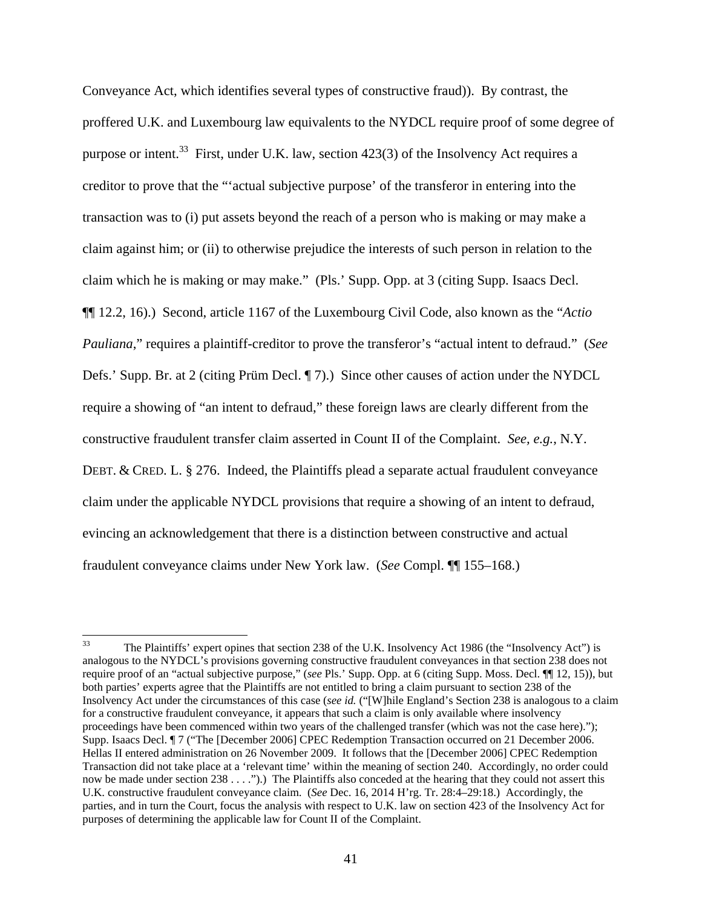Conveyance Act, which identifies several types of constructive fraud)). By contrast, the proffered U.K. and Luxembourg law equivalents to the NYDCL require proof of some degree of purpose or intent.<sup>33</sup> First, under U.K. law, section 423(3) of the Insolvency Act requires a creditor to prove that the "'actual subjective purpose' of the transferor in entering into the transaction was to (i) put assets beyond the reach of a person who is making or may make a claim against him; or (ii) to otherwise prejudice the interests of such person in relation to the claim which he is making or may make." (Pls.' Supp. Opp. at 3 (citing Supp. Isaacs Decl. ¶¶ 12.2, 16).) Second, article 1167 of the Luxembourg Civil Code, also known as the "*Actio Pauliana*," requires a plaintiff-creditor to prove the transferor's "actual intent to defraud." (*See*  Defs.' Supp. Br. at 2 (citing Prüm Decl. ¶ 7).) Since other causes of action under the NYDCL require a showing of "an intent to defraud," these foreign laws are clearly different from the constructive fraudulent transfer claim asserted in Count II of the Complaint. *See, e.g.*, N.Y. DEBT. & CRED. L. § 276. Indeed, the Plaintiffs plead a separate actual fraudulent conveyance claim under the applicable NYDCL provisions that require a showing of an intent to defraud, evincing an acknowledgement that there is a distinction between constructive and actual fraudulent conveyance claims under New York law. (*See* Compl. ¶¶ 155–168.)

 $33\,$ 33 The Plaintiffs' expert opines that section 238 of the U.K. Insolvency Act 1986 (the "Insolvency Act") is analogous to the NYDCL's provisions governing constructive fraudulent conveyances in that section 238 does not require proof of an "actual subjective purpose," (*see* Pls.' Supp. Opp. at 6 (citing Supp. Moss. Decl. ¶¶ 12, 15)), but both parties' experts agree that the Plaintiffs are not entitled to bring a claim pursuant to section 238 of the Insolvency Act under the circumstances of this case (*see id.* ("[W]hile England's Section 238 is analogous to a claim for a constructive fraudulent conveyance, it appears that such a claim is only available where insolvency proceedings have been commenced within two years of the challenged transfer (which was not the case here)."); Supp. Isaacs Decl. ¶ 7 ("The [December 2006] CPEC Redemption Transaction occurred on 21 December 2006. Hellas II entered administration on 26 November 2009. It follows that the [December 2006] CPEC Redemption Transaction did not take place at a 'relevant time' within the meaning of section 240. Accordingly, no order could now be made under section 238 . . . .").) The Plaintiffs also conceded at the hearing that they could not assert this U.K. constructive fraudulent conveyance claim. (*See* Dec. 16, 2014 H'rg. Tr. 28:4–29:18.) Accordingly, the parties, and in turn the Court, focus the analysis with respect to U.K. law on section 423 of the Insolvency Act for purposes of determining the applicable law for Count II of the Complaint.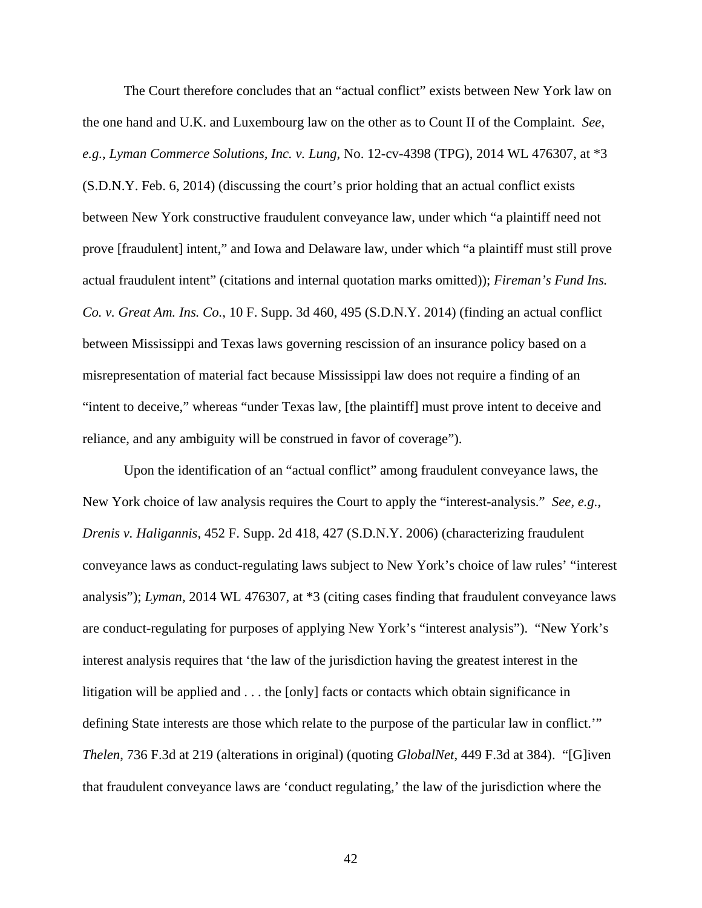The Court therefore concludes that an "actual conflict" exists between New York law on the one hand and U.K. and Luxembourg law on the other as to Count II of the Complaint. *See, e.g.*, *Lyman Commerce Solutions, Inc. v. Lung*, No. 12-cv-4398 (TPG), 2014 WL 476307, at \*3 (S.D.N.Y. Feb. 6, 2014) (discussing the court's prior holding that an actual conflict exists between New York constructive fraudulent conveyance law, under which "a plaintiff need not prove [fraudulent] intent," and Iowa and Delaware law, under which "a plaintiff must still prove actual fraudulent intent" (citations and internal quotation marks omitted)); *Fireman's Fund Ins. Co. v. Great Am. Ins. Co.*, 10 F. Supp. 3d 460, 495 (S.D.N.Y. 2014) (finding an actual conflict between Mississippi and Texas laws governing rescission of an insurance policy based on a misrepresentation of material fact because Mississippi law does not require a finding of an "intent to deceive," whereas "under Texas law, [the plaintiff] must prove intent to deceive and reliance, and any ambiguity will be construed in favor of coverage").

Upon the identification of an "actual conflict" among fraudulent conveyance laws, the New York choice of law analysis requires the Court to apply the "interest-analysis." *See, e.g.*, *Drenis v. Haligannis*, 452 F. Supp. 2d 418, 427 (S.D.N.Y. 2006) (characterizing fraudulent conveyance laws as conduct-regulating laws subject to New York's choice of law rules' "interest analysis"); *Lyman*, 2014 WL 476307, at \*3 (citing cases finding that fraudulent conveyance laws are conduct-regulating for purposes of applying New York's "interest analysis"). "New York's interest analysis requires that 'the law of the jurisdiction having the greatest interest in the litigation will be applied and . . . the [only] facts or contacts which obtain significance in defining State interests are those which relate to the purpose of the particular law in conflict.'" *Thelen*, 736 F.3d at 219 (alterations in original) (quoting *GlobalNet*, 449 F.3d at 384). "[G]iven that fraudulent conveyance laws are 'conduct regulating,' the law of the jurisdiction where the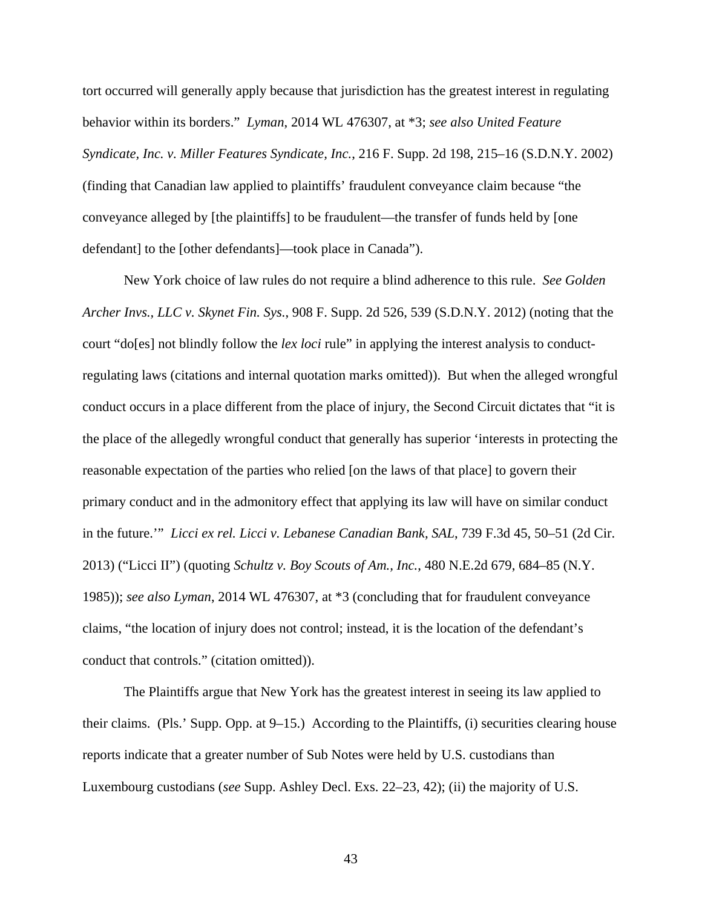tort occurred will generally apply because that jurisdiction has the greatest interest in regulating behavior within its borders." *Lyman*, 2014 WL 476307, at \*3; *see also United Feature Syndicate, Inc. v. Miller Features Syndicate, Inc.*, 216 F. Supp. 2d 198, 215–16 (S.D.N.Y. 2002) (finding that Canadian law applied to plaintiffs' fraudulent conveyance claim because "the conveyance alleged by [the plaintiffs] to be fraudulent—the transfer of funds held by [one defendant] to the [other defendants]—took place in Canada").

New York choice of law rules do not require a blind adherence to this rule. *See Golden Archer Invs., LLC v. Skynet Fin. Sys.*, 908 F. Supp. 2d 526, 539 (S.D.N.Y. 2012) (noting that the court "do[es] not blindly follow the *lex loci* rule" in applying the interest analysis to conductregulating laws (citations and internal quotation marks omitted)). But when the alleged wrongful conduct occurs in a place different from the place of injury, the Second Circuit dictates that "it is the place of the allegedly wrongful conduct that generally has superior 'interests in protecting the reasonable expectation of the parties who relied [on the laws of that place] to govern their primary conduct and in the admonitory effect that applying its law will have on similar conduct in the future.'" *Licci ex rel. Licci v. Lebanese Canadian Bank, SAL*, 739 F.3d 45, 50–51 (2d Cir. 2013) ("Licci II") (quoting *Schultz v. Boy Scouts of Am., Inc.*, 480 N.E.2d 679, 684–85 (N.Y. 1985)); *see also Lyman*, 2014 WL 476307, at \*3 (concluding that for fraudulent conveyance claims, "the location of injury does not control; instead, it is the location of the defendant's conduct that controls." (citation omitted)).

The Plaintiffs argue that New York has the greatest interest in seeing its law applied to their claims. (Pls.' Supp. Opp. at 9–15.) According to the Plaintiffs, (i) securities clearing house reports indicate that a greater number of Sub Notes were held by U.S. custodians than Luxembourg custodians (*see* Supp. Ashley Decl. Exs. 22–23, 42); (ii) the majority of U.S.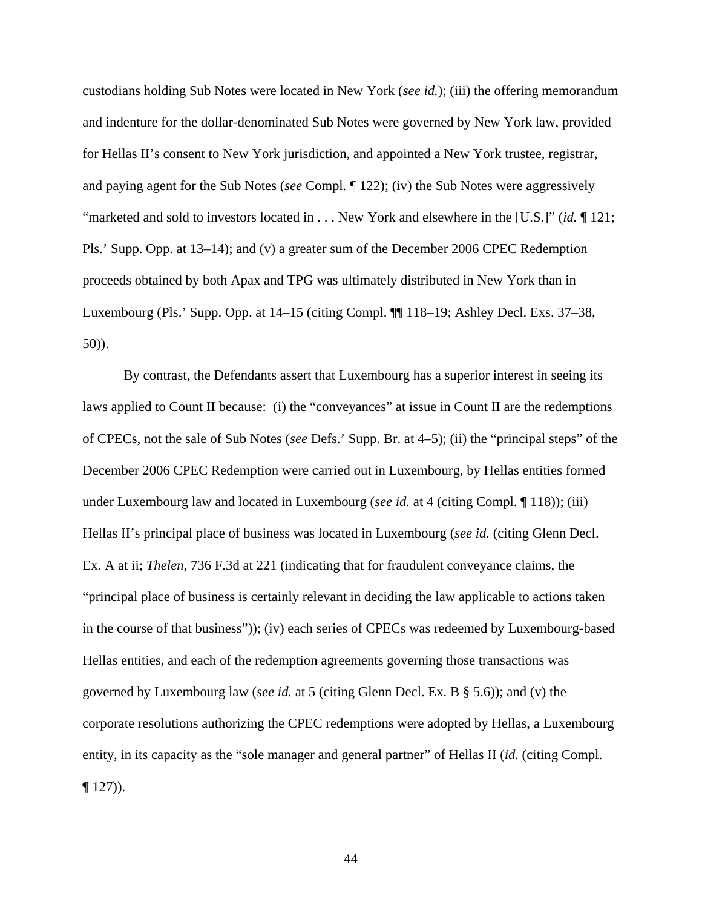custodians holding Sub Notes were located in New York (*see id.*); (iii) the offering memorandum and indenture for the dollar-denominated Sub Notes were governed by New York law, provided for Hellas II's consent to New York jurisdiction, and appointed a New York trustee, registrar, and paying agent for the Sub Notes (*see* Compl. ¶ 122); (iv) the Sub Notes were aggressively "marketed and sold to investors located in . . . New York and elsewhere in the [U.S.]" (*id.* ¶ 121; Pls.' Supp. Opp. at 13–14); and (v) a greater sum of the December 2006 CPEC Redemption proceeds obtained by both Apax and TPG was ultimately distributed in New York than in Luxembourg (Pls.' Supp. Opp. at 14–15 (citing Compl. ¶¶ 118–19; Ashley Decl. Exs. 37–38, 50)).

By contrast, the Defendants assert that Luxembourg has a superior interest in seeing its laws applied to Count II because: (i) the "conveyances" at issue in Count II are the redemptions of CPECs, not the sale of Sub Notes (*see* Defs.' Supp. Br. at 4–5); (ii) the "principal steps" of the December 2006 CPEC Redemption were carried out in Luxembourg, by Hellas entities formed under Luxembourg law and located in Luxembourg (*see id.* at 4 (citing Compl. ¶ 118)); (iii) Hellas II's principal place of business was located in Luxembourg (*see id.* (citing Glenn Decl. Ex. A at ii; *Thelen*, 736 F.3d at 221 (indicating that for fraudulent conveyance claims, the "principal place of business is certainly relevant in deciding the law applicable to actions taken in the course of that business")); (iv) each series of CPECs was redeemed by Luxembourg-based Hellas entities, and each of the redemption agreements governing those transactions was governed by Luxembourg law (*see id.* at 5 (citing Glenn Decl. Ex. B § 5.6)); and (v) the corporate resolutions authorizing the CPEC redemptions were adopted by Hellas, a Luxembourg entity, in its capacity as the "sole manager and general partner" of Hellas II (*id.* (citing Compl.  $\P$  127)).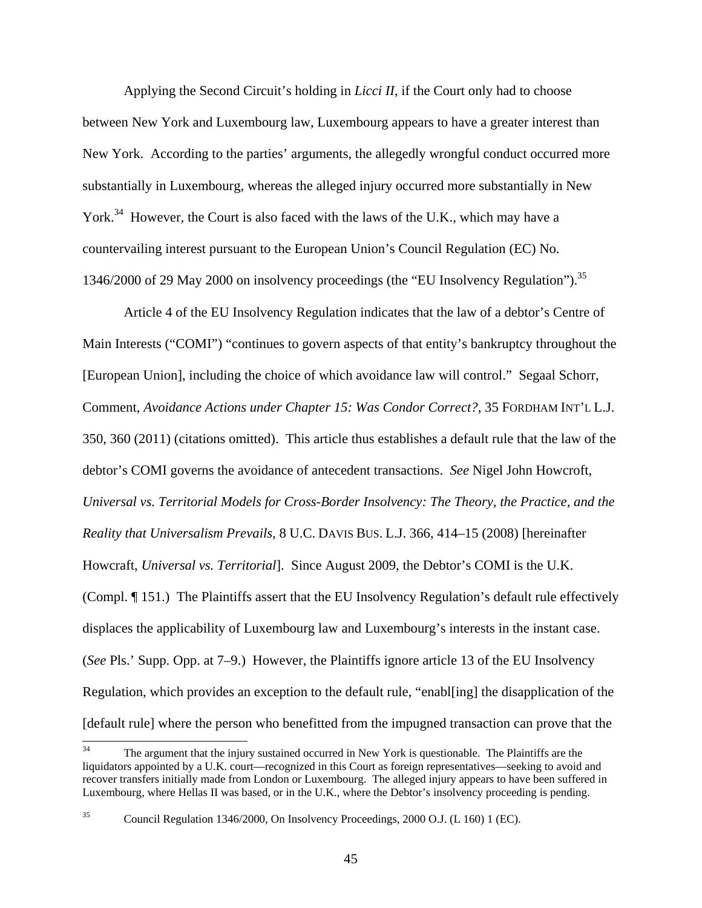Applying the Second Circuit's holding in *Licci II*, if the Court only had to choose between New York and Luxembourg law, Luxembourg appears to have a greater interest than New York. According to the parties' arguments, the allegedly wrongful conduct occurred more substantially in Luxembourg, whereas the alleged injury occurred more substantially in New York.<sup>34</sup> However, the Court is also faced with the laws of the U.K., which may have a countervailing interest pursuant to the European Union's Council Regulation (EC) No. 1346/2000 of 29 May 2000 on insolvency proceedings (the "EU Insolvency Regulation").<sup>35</sup>

Article 4 of the EU Insolvency Regulation indicates that the law of a debtor's Centre of Main Interests ("COMI") "continues to govern aspects of that entity's bankruptcy throughout the [European Union], including the choice of which avoidance law will control." Segaal Schorr, Comment, *Avoidance Actions under Chapter 15: Was Condor Correct?*, 35 FORDHAM INT'L L.J. 350, 360 (2011) (citations omitted). This article thus establishes a default rule that the law of the debtor's COMI governs the avoidance of antecedent transactions. *See* Nigel John Howcroft, *Universal vs. Territorial Models for Cross-Border Insolvency: The Theory, the Practice, and the Reality that Universalism Prevails*, 8 U.C. DAVIS BUS. L.J. 366, 414–15 (2008) [hereinafter Howcraft, *Universal vs. Territorial*]. Since August 2009, the Debtor's COMI is the U.K. (Compl. ¶ 151.) The Plaintiffs assert that the EU Insolvency Regulation's default rule effectively displaces the applicability of Luxembourg law and Luxembourg's interests in the instant case. (*See* Pls.' Supp. Opp. at 7–9.) However, the Plaintiffs ignore article 13 of the EU Insolvency Regulation, which provides an exception to the default rule, "enabl[ing] the disapplication of the [default rule] where the person who benefitted from the impugned transaction can prove that the

 $34$ The argument that the injury sustained occurred in New York is questionable. The Plaintiffs are the liquidators appointed by a U.K. court—recognized in this Court as foreign representatives—seeking to avoid and recover transfers initially made from London or Luxembourg. The alleged injury appears to have been suffered in Luxembourg, where Hellas II was based, or in the U.K., where the Debtor's insolvency proceeding is pending.

<sup>35</sup> Council Regulation 1346/2000, On Insolvency Proceedings, 2000 O.J. (L 160) 1 (EC).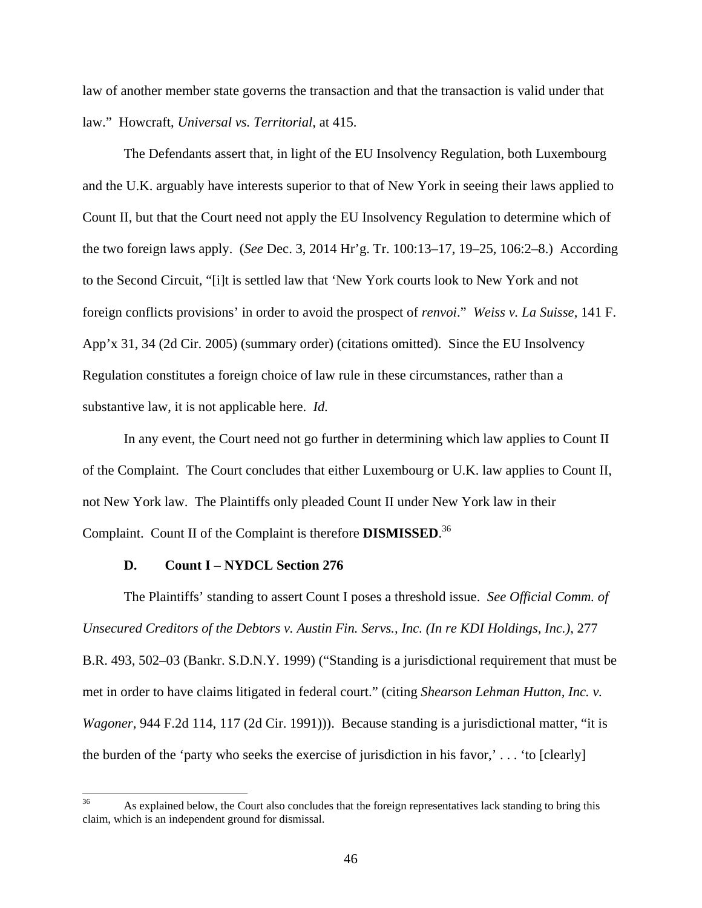law of another member state governs the transaction and that the transaction is valid under that law." Howcraft, *Universal vs. Territorial*, at 415.

The Defendants assert that, in light of the EU Insolvency Regulation, both Luxembourg and the U.K. arguably have interests superior to that of New York in seeing their laws applied to Count II, but that the Court need not apply the EU Insolvency Regulation to determine which of the two foreign laws apply. (*See* Dec. 3, 2014 Hr'g. Tr. 100:13–17, 19–25, 106:2–8.) According to the Second Circuit, "[i]t is settled law that 'New York courts look to New York and not foreign conflicts provisions' in order to avoid the prospect of *renvoi*." *Weiss v. La Suisse*, 141 F. App'x 31, 34 (2d Cir. 2005) (summary order) (citations omitted). Since the EU Insolvency Regulation constitutes a foreign choice of law rule in these circumstances, rather than a substantive law, it is not applicable here. *Id.* 

In any event, the Court need not go further in determining which law applies to Count II of the Complaint. The Court concludes that either Luxembourg or U.K. law applies to Count II, not New York law. The Plaintiffs only pleaded Count II under New York law in their Complaint. Count II of the Complaint is therefore **DISMISSED**. 36

### **D. Count I – NYDCL Section 276**

The Plaintiffs' standing to assert Count I poses a threshold issue. *See Official Comm. of Unsecured Creditors of the Debtors v. Austin Fin. Servs., Inc. (In re KDI Holdings, Inc.)*, 277 B.R. 493, 502–03 (Bankr. S.D.N.Y. 1999) ("Standing is a jurisdictional requirement that must be met in order to have claims litigated in federal court." (citing *Shearson Lehman Hutton, Inc. v. Wagoner*, 944 F.2d 114, 117 (2d Cir. 1991))). Because standing is a jurisdictional matter, "it is the burden of the 'party who seeks the exercise of jurisdiction in his favor,' . . . 'to [clearly]

<sup>36</sup> As explained below, the Court also concludes that the foreign representatives lack standing to bring this claim, which is an independent ground for dismissal.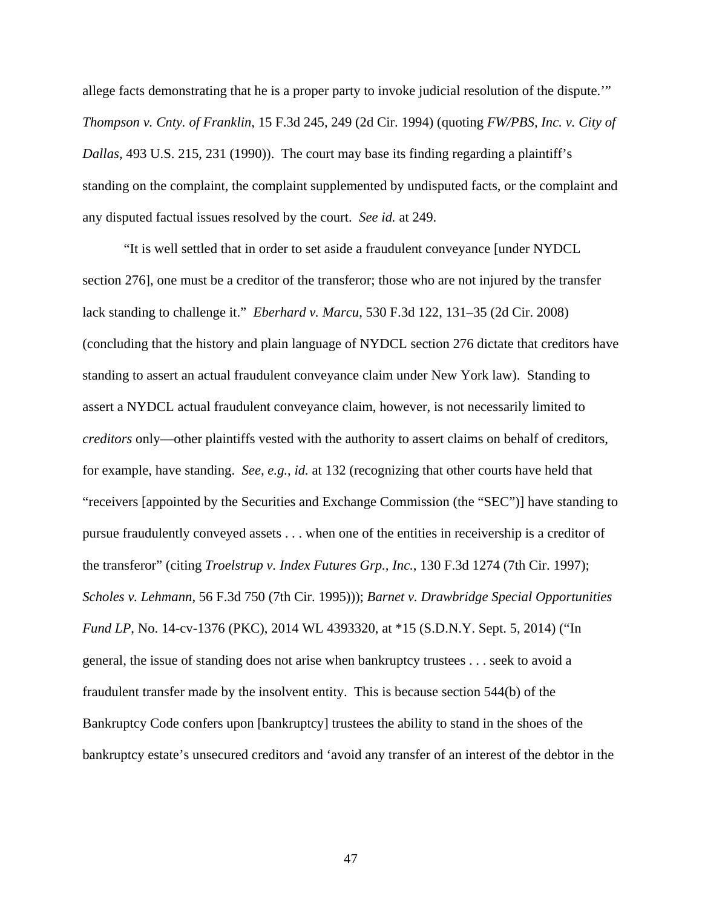allege facts demonstrating that he is a proper party to invoke judicial resolution of the dispute.'" *Thompson v. Cnty. of Franklin*, 15 F.3d 245, 249 (2d Cir. 1994) (quoting *FW/PBS, Inc. v. City of Dallas*, 493 U.S. 215, 231 (1990)). The court may base its finding regarding a plaintiff's standing on the complaint, the complaint supplemented by undisputed facts, or the complaint and any disputed factual issues resolved by the court. *See id.* at 249.

"It is well settled that in order to set aside a fraudulent conveyance [under NYDCL section 276], one must be a creditor of the transferor; those who are not injured by the transfer lack standing to challenge it." *Eberhard v. Marcu*, 530 F.3d 122, 131–35 (2d Cir. 2008) (concluding that the history and plain language of NYDCL section 276 dictate that creditors have standing to assert an actual fraudulent conveyance claim under New York law). Standing to assert a NYDCL actual fraudulent conveyance claim, however, is not necessarily limited to *creditors* only—other plaintiffs vested with the authority to assert claims on behalf of creditors, for example, have standing. *See, e.g.*, *id.* at 132 (recognizing that other courts have held that "receivers [appointed by the Securities and Exchange Commission (the "SEC")] have standing to pursue fraudulently conveyed assets . . . when one of the entities in receivership is a creditor of the transferor" (citing *Troelstrup v. Index Futures Grp., Inc.*, 130 F.3d 1274 (7th Cir. 1997); *Scholes v. Lehmann*, 56 F.3d 750 (7th Cir. 1995))); *Barnet v. Drawbridge Special Opportunities Fund LP*, No. 14-cv-1376 (PKC), 2014 WL 4393320, at \*15 (S.D.N.Y. Sept. 5, 2014) ("In general, the issue of standing does not arise when bankruptcy trustees . . . seek to avoid a fraudulent transfer made by the insolvent entity. This is because section 544(b) of the Bankruptcy Code confers upon [bankruptcy] trustees the ability to stand in the shoes of the bankruptcy estate's unsecured creditors and 'avoid any transfer of an interest of the debtor in the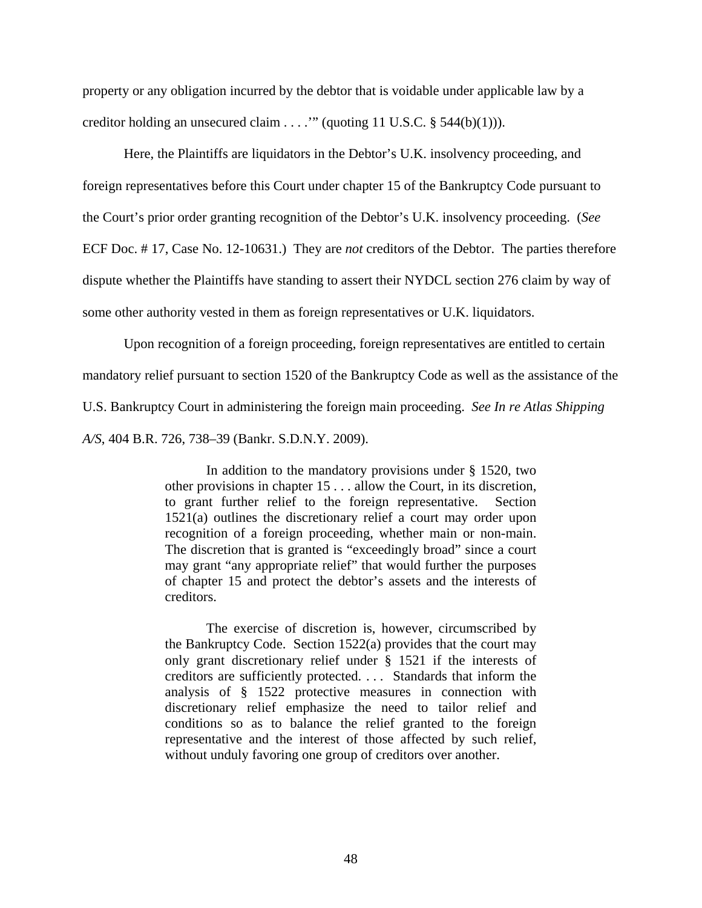property or any obligation incurred by the debtor that is voidable under applicable law by a creditor holding an unsecured claim . . . .'" (quoting 11 U.S.C. § 544(b)(1))).

Here, the Plaintiffs are liquidators in the Debtor's U.K. insolvency proceeding, and foreign representatives before this Court under chapter 15 of the Bankruptcy Code pursuant to the Court's prior order granting recognition of the Debtor's U.K. insolvency proceeding. (*See* ECF Doc. # 17, Case No. 12-10631.) They are *not* creditors of the Debtor. The parties therefore dispute whether the Plaintiffs have standing to assert their NYDCL section 276 claim by way of some other authority vested in them as foreign representatives or U.K. liquidators.

Upon recognition of a foreign proceeding, foreign representatives are entitled to certain mandatory relief pursuant to section 1520 of the Bankruptcy Code as well as the assistance of the U.S. Bankruptcy Court in administering the foreign main proceeding. *See In re Atlas Shipping A/S*, 404 B.R. 726, 738–39 (Bankr. S.D.N.Y. 2009).

> In addition to the mandatory provisions under § 1520, two other provisions in chapter 15 . . . allow the Court, in its discretion, to grant further relief to the foreign representative. Section 1521(a) outlines the discretionary relief a court may order upon recognition of a foreign proceeding, whether main or non-main. The discretion that is granted is "exceedingly broad" since a court may grant "any appropriate relief" that would further the purposes of chapter 15 and protect the debtor's assets and the interests of creditors.

> The exercise of discretion is, however, circumscribed by the Bankruptcy Code. Section 1522(a) provides that the court may only grant discretionary relief under § 1521 if the interests of creditors are sufficiently protected. . . . Standards that inform the analysis of § 1522 protective measures in connection with discretionary relief emphasize the need to tailor relief and conditions so as to balance the relief granted to the foreign representative and the interest of those affected by such relief, without unduly favoring one group of creditors over another.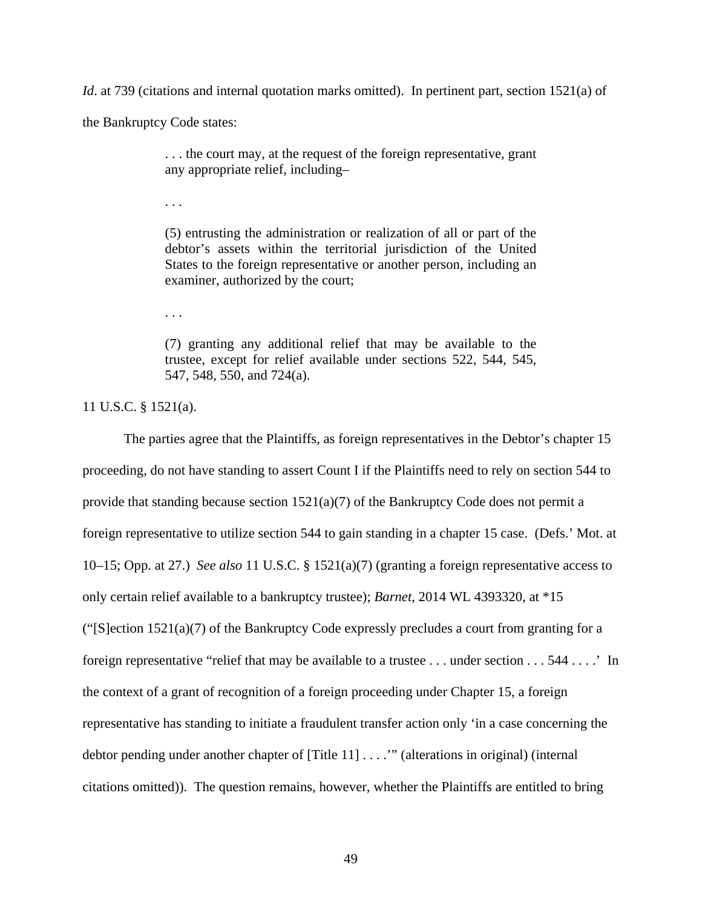*Id.* at 739 (citations and internal quotation marks omitted). In pertinent part, section 1521(a) of

the Bankruptcy Code states:

. . . the court may, at the request of the foreign representative, grant any appropriate relief, including–

. . .

(5) entrusting the administration or realization of all or part of the debtor's assets within the territorial jurisdiction of the United States to the foreign representative or another person, including an examiner, authorized by the court;

. . .

(7) granting any additional relief that may be available to the trustee, except for relief available under sections 522, 544, 545, 547, 548, 550, and 724(a).

11 U.S.C. § 1521(a).

The parties agree that the Plaintiffs, as foreign representatives in the Debtor's chapter 15 proceeding, do not have standing to assert Count I if the Plaintiffs need to rely on section 544 to provide that standing because section 1521(a)(7) of the Bankruptcy Code does not permit a foreign representative to utilize section 544 to gain standing in a chapter 15 case. (Defs.' Mot. at 10–15; Opp. at 27.) *See also* 11 U.S.C. § 1521(a)(7) (granting a foreign representative access to only certain relief available to a bankruptcy trustee); *Barnet*, 2014 WL 4393320, at \*15 (" $[S]$ ection 1521(a)(7) of the Bankruptcy Code expressly precludes a court from granting for a foreign representative "relief that may be available to a trustee . . . under section . . . 544 . . . .' In the context of a grant of recognition of a foreign proceeding under Chapter 15, a foreign representative has standing to initiate a fraudulent transfer action only 'in a case concerning the debtor pending under another chapter of [Title 11] . . . .'" (alterations in original) (internal citations omitted)). The question remains, however, whether the Plaintiffs are entitled to bring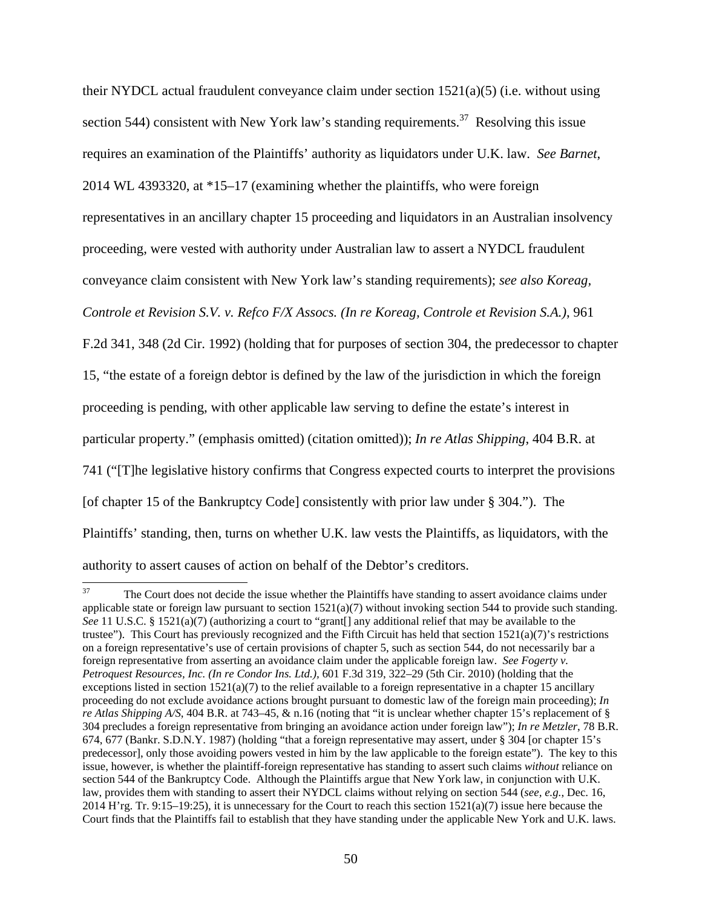their NYDCL actual fraudulent conveyance claim under section  $1521(a)(5)$  (i.e. without using section 544) consistent with New York law's standing requirements.<sup>37</sup> Resolving this issue requires an examination of the Plaintiffs' authority as liquidators under U.K. law. *See Barnet*,

2014 WL 4393320, at \*15–17 (examining whether the plaintiffs, who were foreign

representatives in an ancillary chapter 15 proceeding and liquidators in an Australian insolvency

proceeding, were vested with authority under Australian law to assert a NYDCL fraudulent

conveyance claim consistent with New York law's standing requirements); *see also Koreag,* 

*Controle et Revision S.V. v. Refco F/X Assocs. (In re Koreag, Controle et Revision S.A.)*, 961

F.2d 341, 348 (2d Cir. 1992) (holding that for purposes of section 304, the predecessor to chapter

15, "the estate of a foreign debtor is defined by the law of the jurisdiction in which the foreign

proceeding is pending, with other applicable law serving to define the estate's interest in

particular property." (emphasis omitted) (citation omitted)); *In re Atlas Shipping*, 404 B.R. at

741 ("[T]he legislative history confirms that Congress expected courts to interpret the provisions

[of chapter 15 of the Bankruptcy Code] consistently with prior law under § 304."). The

Plaintiffs' standing, then, turns on whether U.K. law vests the Plaintiffs, as liquidators, with the

authority to assert causes of action on behalf of the Debtor's creditors.

<sup>37</sup> The Court does not decide the issue whether the Plaintiffs have standing to assert avoidance claims under applicable state or foreign law pursuant to section  $1521(a)(7)$  without invoking section 544 to provide such standing. See 11 U.S.C. § 1521(a)(7) (authorizing a court to "grant[] any additional relief that may be available to the trustee"). This Court has previously recognized and the Fifth Circuit has held that section  $1521(a)(7)$ 's restrictions on a foreign representative's use of certain provisions of chapter 5, such as section 544, do not necessarily bar a foreign representative from asserting an avoidance claim under the applicable foreign law. *See Fogerty v. Petroquest Resources, Inc. (In re Condor Ins. Ltd.),* 601 F.3d 319, 322–29 (5th Cir. 2010) (holding that the exceptions listed in section  $1521(a)(7)$  to the relief available to a foreign representative in a chapter 15 ancillary proceeding do not exclude avoidance actions brought pursuant to domestic law of the foreign main proceeding); *In re Atlas Shipping A/S*, 404 B.R. at 743–45, & n.16 (noting that "it is unclear whether chapter 15's replacement of § 304 precludes a foreign representative from bringing an avoidance action under foreign law"); *In re Metzler*, 78 B.R. 674, 677 (Bankr. S.D.N.Y. 1987) (holding "that a foreign representative may assert, under § 304 [or chapter 15's predecessor], only those avoiding powers vested in him by the law applicable to the foreign estate"). The key to this issue, however, is whether the plaintiff-foreign representative has standing to assert such claims *without* reliance on section 544 of the Bankruptcy Code. Although the Plaintiffs argue that New York law, in conjunction with U.K. law, provides them with standing to assert their NYDCL claims without relying on section 544 (*see, e.g.*, Dec. 16, 2014 H'rg. Tr. 9:15–19:25), it is unnecessary for the Court to reach this section  $1521(a)(7)$  issue here because the Court finds that the Plaintiffs fail to establish that they have standing under the applicable New York and U.K. laws.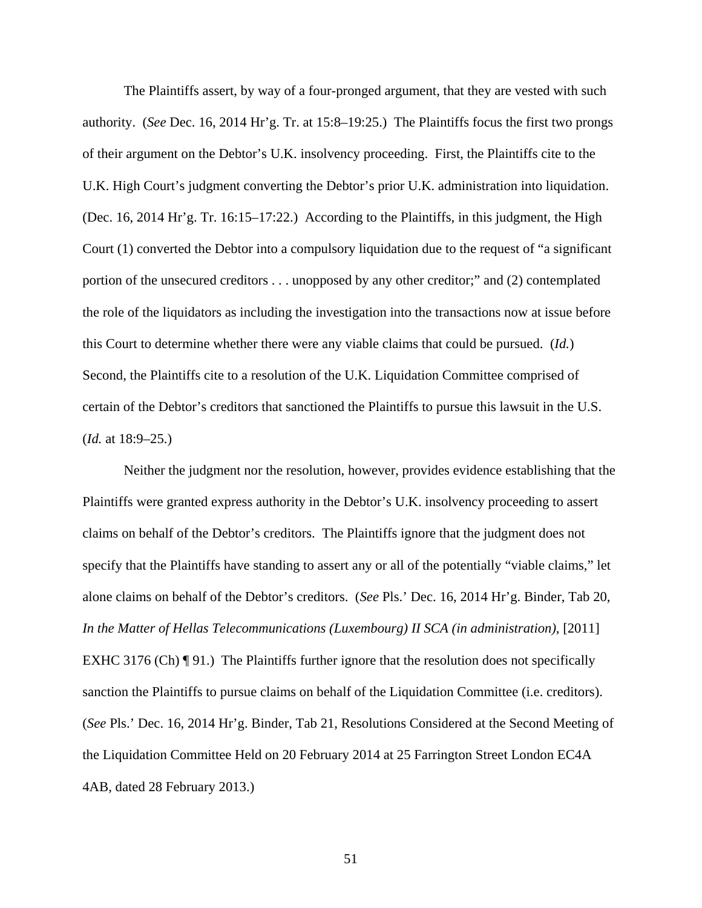The Plaintiffs assert, by way of a four-pronged argument, that they are vested with such authority. (*See* Dec. 16, 2014 Hr'g. Tr. at 15:8–19:25.) The Plaintiffs focus the first two prongs of their argument on the Debtor's U.K. insolvency proceeding. First, the Plaintiffs cite to the U.K. High Court's judgment converting the Debtor's prior U.K. administration into liquidation. (Dec. 16, 2014 Hr'g. Tr. 16:15–17:22.) According to the Plaintiffs, in this judgment, the High Court (1) converted the Debtor into a compulsory liquidation due to the request of "a significant portion of the unsecured creditors . . . unopposed by any other creditor;" and (2) contemplated the role of the liquidators as including the investigation into the transactions now at issue before this Court to determine whether there were any viable claims that could be pursued. (*Id.*) Second, the Plaintiffs cite to a resolution of the U.K. Liquidation Committee comprised of certain of the Debtor's creditors that sanctioned the Plaintiffs to pursue this lawsuit in the U.S. (*Id.* at 18:9–25.)

Neither the judgment nor the resolution, however, provides evidence establishing that the Plaintiffs were granted express authority in the Debtor's U.K. insolvency proceeding to assert claims on behalf of the Debtor's creditors. The Plaintiffs ignore that the judgment does not specify that the Plaintiffs have standing to assert any or all of the potentially "viable claims," let alone claims on behalf of the Debtor's creditors. (*See* Pls.' Dec. 16, 2014 Hr'g. Binder, Tab 20, *In the Matter of Hellas Telecommunications (Luxembourg) II SCA (in administration)*, [2011] EXHC 3176 (Ch)  $\P$  91.) The Plaintiffs further ignore that the resolution does not specifically sanction the Plaintiffs to pursue claims on behalf of the Liquidation Committee (i.e. creditors). (*See* Pls.' Dec. 16, 2014 Hr'g. Binder, Tab 21, Resolutions Considered at the Second Meeting of the Liquidation Committee Held on 20 February 2014 at 25 Farrington Street London EC4A 4AB, dated 28 February 2013.)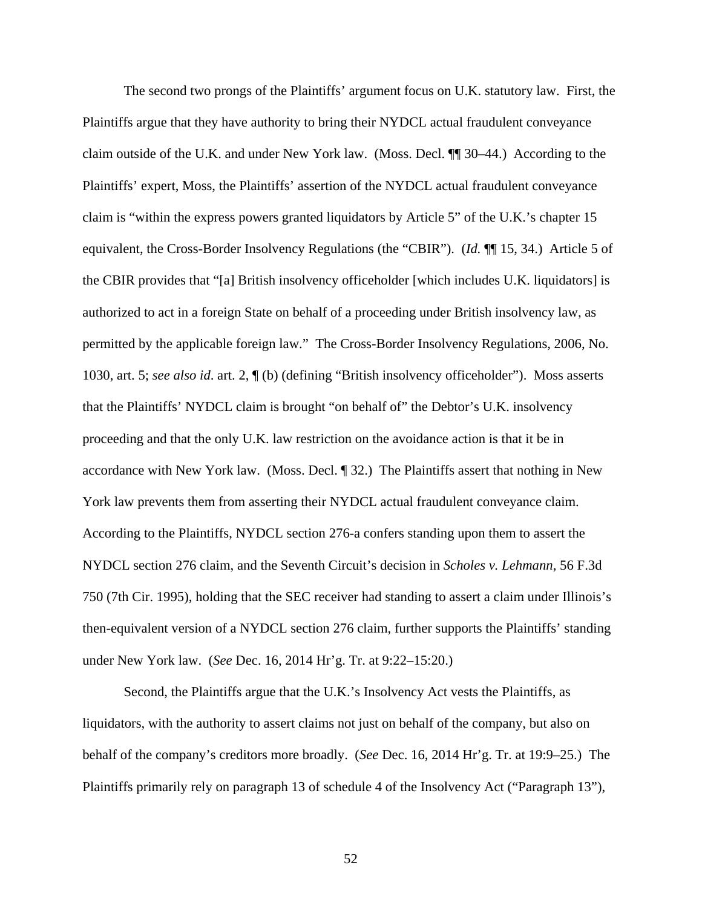The second two prongs of the Plaintiffs' argument focus on U.K. statutory law. First, the Plaintiffs argue that they have authority to bring their NYDCL actual fraudulent conveyance claim outside of the U.K. and under New York law. (Moss. Decl. ¶¶ 30–44.) According to the Plaintiffs' expert, Moss, the Plaintiffs' assertion of the NYDCL actual fraudulent conveyance claim is "within the express powers granted liquidators by Article 5" of the U.K.'s chapter 15 equivalent, the Cross-Border Insolvency Regulations (the "CBIR"). (*Id.* ¶¶ 15, 34.) Article 5 of the CBIR provides that "[a] British insolvency officeholder [which includes U.K. liquidators] is authorized to act in a foreign State on behalf of a proceeding under British insolvency law, as permitted by the applicable foreign law." The Cross-Border Insolvency Regulations, 2006, No. 1030, art. 5; *see also id*. art. 2, ¶ (b) (defining "British insolvency officeholder"). Moss asserts that the Plaintiffs' NYDCL claim is brought "on behalf of" the Debtor's U.K. insolvency proceeding and that the only U.K. law restriction on the avoidance action is that it be in accordance with New York law. (Moss. Decl. ¶ 32.) The Plaintiffs assert that nothing in New York law prevents them from asserting their NYDCL actual fraudulent conveyance claim. According to the Plaintiffs, NYDCL section 276-a confers standing upon them to assert the NYDCL section 276 claim, and the Seventh Circuit's decision in *Scholes v. Lehmann*, 56 F.3d 750 (7th Cir. 1995), holding that the SEC receiver had standing to assert a claim under Illinois's then-equivalent version of a NYDCL section 276 claim, further supports the Plaintiffs' standing under New York law. (*See* Dec. 16, 2014 Hr'g. Tr. at 9:22–15:20.)

Second, the Plaintiffs argue that the U.K.'s Insolvency Act vests the Plaintiffs, as liquidators, with the authority to assert claims not just on behalf of the company, but also on behalf of the company's creditors more broadly. (*See* Dec. 16, 2014 Hr'g. Tr. at 19:9–25.) The Plaintiffs primarily rely on paragraph 13 of schedule 4 of the Insolvency Act ("Paragraph 13"),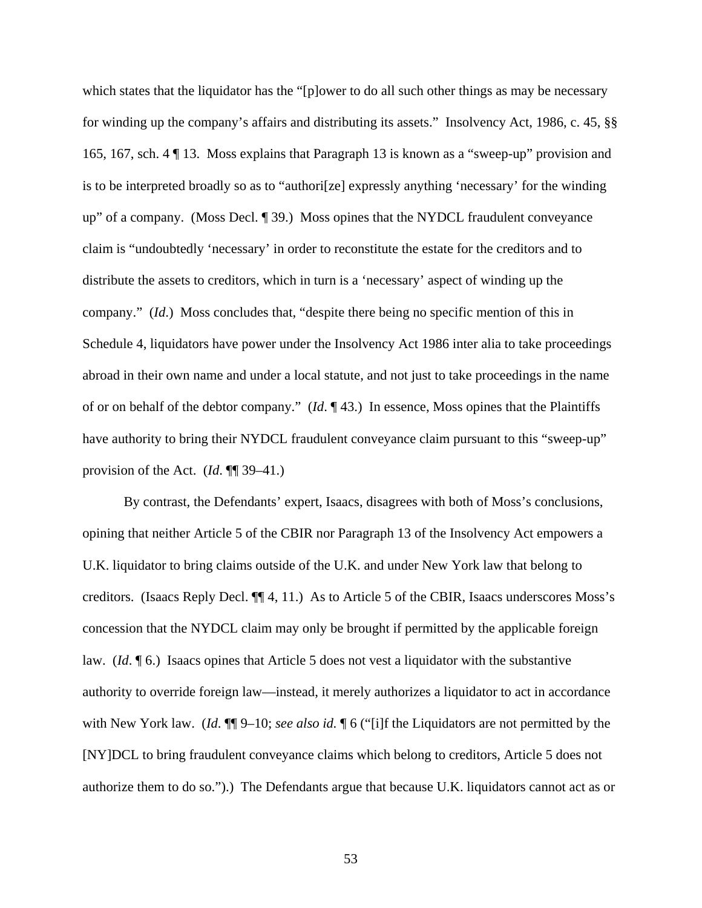which states that the liquidator has the "[p]ower to do all such other things as may be necessary for winding up the company's affairs and distributing its assets." Insolvency Act, 1986, c. 45, §§ 165, 167, sch. 4 ¶ 13. Moss explains that Paragraph 13 is known as a "sweep-up" provision and is to be interpreted broadly so as to "authori[ze] expressly anything 'necessary' for the winding up" of a company. (Moss Decl. ¶ 39.) Moss opines that the NYDCL fraudulent conveyance claim is "undoubtedly 'necessary' in order to reconstitute the estate for the creditors and to distribute the assets to creditors, which in turn is a 'necessary' aspect of winding up the company." (*Id*.) Moss concludes that, "despite there being no specific mention of this in Schedule 4, liquidators have power under the Insolvency Act 1986 inter alia to take proceedings abroad in their own name and under a local statute, and not just to take proceedings in the name of or on behalf of the debtor company." (*Id*. ¶ 43.) In essence, Moss opines that the Plaintiffs have authority to bring their NYDCL fraudulent conveyance claim pursuant to this "sweep-up" provision of the Act. (*Id*. ¶¶ 39–41.)

By contrast, the Defendants' expert, Isaacs, disagrees with both of Moss's conclusions, opining that neither Article 5 of the CBIR nor Paragraph 13 of the Insolvency Act empowers a U.K. liquidator to bring claims outside of the U.K. and under New York law that belong to creditors. (Isaacs Reply Decl. ¶¶ 4, 11.) As to Article 5 of the CBIR, Isaacs underscores Moss's concession that the NYDCL claim may only be brought if permitted by the applicable foreign law. (*Id*. ¶ 6.) Isaacs opines that Article 5 does not vest a liquidator with the substantive authority to override foreign law—instead, it merely authorizes a liquidator to act in accordance with New York law. (*Id*. ¶¶ 9–10; *see also id.* ¶ 6 ("[i]f the Liquidators are not permitted by the [NY]DCL to bring fraudulent conveyance claims which belong to creditors, Article 5 does not authorize them to do so.").) The Defendants argue that because U.K. liquidators cannot act as or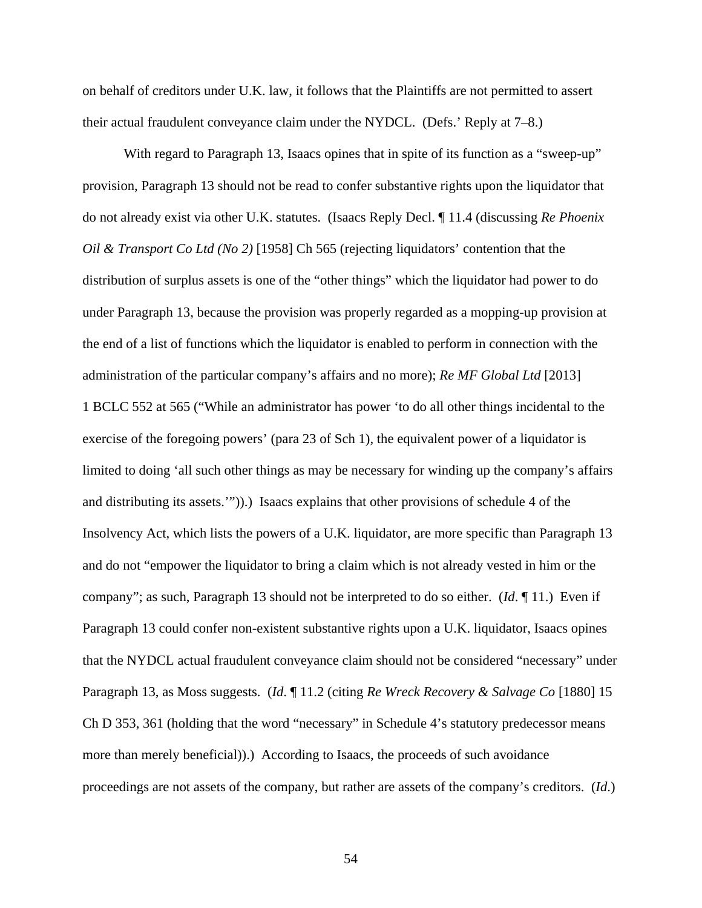on behalf of creditors under U.K. law, it follows that the Plaintiffs are not permitted to assert their actual fraudulent conveyance claim under the NYDCL. (Defs.' Reply at 7–8.)

With regard to Paragraph 13, Isaacs opines that in spite of its function as a "sweep-up" provision, Paragraph 13 should not be read to confer substantive rights upon the liquidator that do not already exist via other U.K. statutes. (Isaacs Reply Decl. ¶ 11.4 (discussing *Re Phoenix Oil & Transport Co Ltd (No 2)* [1958] Ch 565 (rejecting liquidators' contention that the distribution of surplus assets is one of the "other things" which the liquidator had power to do under Paragraph 13, because the provision was properly regarded as a mopping-up provision at the end of a list of functions which the liquidator is enabled to perform in connection with the administration of the particular company's affairs and no more); *Re MF Global Ltd* [2013] 1 BCLC 552 at 565 ("While an administrator has power 'to do all other things incidental to the exercise of the foregoing powers' (para 23 of Sch 1), the equivalent power of a liquidator is limited to doing 'all such other things as may be necessary for winding up the company's affairs and distributing its assets.'")).) Isaacs explains that other provisions of schedule 4 of the Insolvency Act, which lists the powers of a U.K. liquidator, are more specific than Paragraph 13 and do not "empower the liquidator to bring a claim which is not already vested in him or the company"; as such, Paragraph 13 should not be interpreted to do so either. (*Id*. ¶ 11.) Even if Paragraph 13 could confer non-existent substantive rights upon a U.K. liquidator, Isaacs opines that the NYDCL actual fraudulent conveyance claim should not be considered "necessary" under Paragraph 13, as Moss suggests. (*Id*. ¶ 11.2 (citing *Re Wreck Recovery & Salvage Co* [1880] 15 Ch D 353, 361 (holding that the word "necessary" in Schedule 4's statutory predecessor means more than merely beneficial)).) According to Isaacs, the proceeds of such avoidance proceedings are not assets of the company, but rather are assets of the company's creditors. (*Id*.)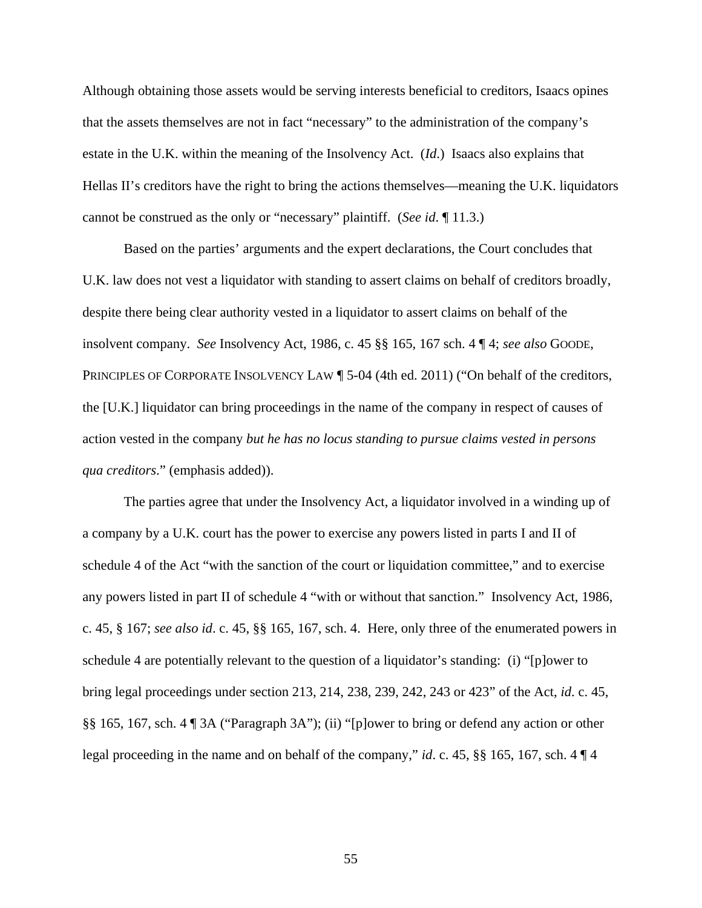Although obtaining those assets would be serving interests beneficial to creditors, Isaacs opines that the assets themselves are not in fact "necessary" to the administration of the company's estate in the U.K. within the meaning of the Insolvency Act. (*Id*.) Isaacs also explains that Hellas II's creditors have the right to bring the actions themselves—meaning the U.K. liquidators cannot be construed as the only or "necessary" plaintiff. (*See id*. ¶ 11.3.)

Based on the parties' arguments and the expert declarations, the Court concludes that U.K. law does not vest a liquidator with standing to assert claims on behalf of creditors broadly, despite there being clear authority vested in a liquidator to assert claims on behalf of the insolvent company. *See* Insolvency Act, 1986, c. 45 §§ 165, 167 sch. 4 ¶ 4; *see also* GOODE, PRINCIPLES OF CORPORATE INSOLVENCY LAW 15-04 (4th ed. 2011) ("On behalf of the creditors, the [U.K.] liquidator can bring proceedings in the name of the company in respect of causes of action vested in the company *but he has no locus standing to pursue claims vested in persons qua creditors*." (emphasis added)).

The parties agree that under the Insolvency Act, a liquidator involved in a winding up of a company by a U.K. court has the power to exercise any powers listed in parts I and II of schedule 4 of the Act "with the sanction of the court or liquidation committee," and to exercise any powers listed in part II of schedule 4 "with or without that sanction." Insolvency Act, 1986, c. 45, § 167; *see also id*. c. 45, §§ 165, 167, sch. 4. Here, only three of the enumerated powers in schedule 4 are potentially relevant to the question of a liquidator's standing: (i) "[p]ower to bring legal proceedings under section 213, 214, 238, 239, 242, 243 or 423" of the Act, *id*. c. 45, §§ 165, 167, sch. 4 ¶ 3A ("Paragraph 3A"); (ii) "[p]ower to bring or defend any action or other legal proceeding in the name and on behalf of the company," *id*. c. 45, §§ 165, 167, sch. 4 ¶ 4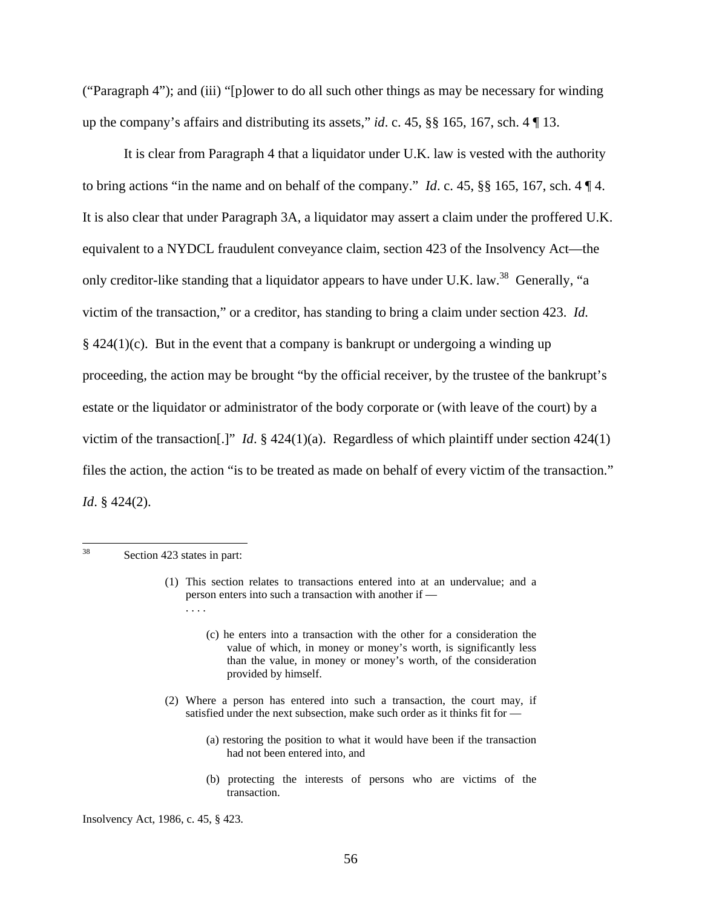("Paragraph 4"); and (iii) "[p]ower to do all such other things as may be necessary for winding up the company's affairs and distributing its assets," *id*. c. 45, §§ 165, 167, sch. 4 ¶ 13.

It is clear from Paragraph 4 that a liquidator under U.K. law is vested with the authority to bring actions "in the name and on behalf of the company." *Id*. c. 45, §§ 165, 167, sch. 4 ¶ 4. It is also clear that under Paragraph 3A, a liquidator may assert a claim under the proffered U.K. equivalent to a NYDCL fraudulent conveyance claim, section 423 of the Insolvency Act—the only creditor-like standing that a liquidator appears to have under U.K. law.<sup>38</sup> Generally, "a victim of the transaction," or a creditor, has standing to bring a claim under section 423. *Id.*   $\S 424(1)(c)$ . But in the event that a company is bankrupt or undergoing a winding up proceeding, the action may be brought "by the official receiver, by the trustee of the bankrupt's estate or the liquidator or administrator of the body corporate or (with leave of the court) by a victim of the transaction[.]" *Id*. § 424(1)(a). Regardless of which plaintiff under section 424(1) files the action, the action "is to be treated as made on behalf of every victim of the transaction." *Id*. § 424(2).

38 Section 423 states in part:

- (2) Where a person has entered into such a transaction, the court may, if satisfied under the next subsection, make such order as it thinks fit for —
	- (a) restoring the position to what it would have been if the transaction had not been entered into, and
	- (b) protecting the interests of persons who are victims of the transaction.

Insolvency Act, 1986, c. 45, § 423.

<sup>(1)</sup> This section relates to transactions entered into at an undervalue; and a person enters into such a transaction with another if —

<sup>(</sup>c) he enters into a transaction with the other for a consideration the value of which, in money or money's worth, is significantly less than the value, in money or money's worth, of the consideration provided by himself.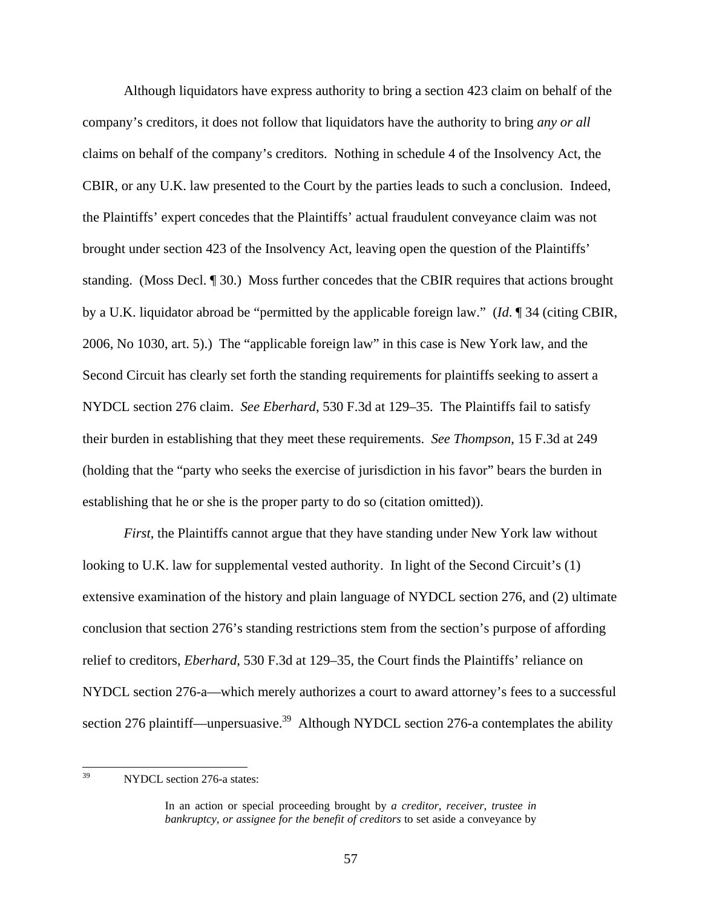Although liquidators have express authority to bring a section 423 claim on behalf of the company's creditors, it does not follow that liquidators have the authority to bring *any or all* claims on behalf of the company's creditors. Nothing in schedule 4 of the Insolvency Act, the CBIR, or any U.K. law presented to the Court by the parties leads to such a conclusion. Indeed, the Plaintiffs' expert concedes that the Plaintiffs' actual fraudulent conveyance claim was not brought under section 423 of the Insolvency Act, leaving open the question of the Plaintiffs' standing. (Moss Decl. ¶ 30.) Moss further concedes that the CBIR requires that actions brought by a U.K. liquidator abroad be "permitted by the applicable foreign law." (*Id*. ¶ 34 (citing CBIR, 2006, No 1030, art. 5).) The "applicable foreign law" in this case is New York law, and the Second Circuit has clearly set forth the standing requirements for plaintiffs seeking to assert a NYDCL section 276 claim. *See Eberhard*, 530 F.3d at 129–35. The Plaintiffs fail to satisfy their burden in establishing that they meet these requirements. *See Thompson*, 15 F.3d at 249 (holding that the "party who seeks the exercise of jurisdiction in his favor" bears the burden in establishing that he or she is the proper party to do so (citation omitted)).

*First*, the Plaintiffs cannot argue that they have standing under New York law without looking to U.K. law for supplemental vested authority. In light of the Second Circuit's (1) extensive examination of the history and plain language of NYDCL section 276, and (2) ultimate conclusion that section 276's standing restrictions stem from the section's purpose of affording relief to creditors, *Eberhard*, 530 F.3d at 129–35, the Court finds the Plaintiffs' reliance on NYDCL section 276-a—which merely authorizes a court to award attorney's fees to a successful section 276 plaintiff—unpersuasive.<sup>39</sup> Although NYDCL section 276-a contemplates the ability

<sup>39</sup> NYDCL section 276-a states:

In an action or special proceeding brought by *a creditor, receiver, trustee in bankruptcy, or assignee for the benefit of creditors* to set aside a conveyance by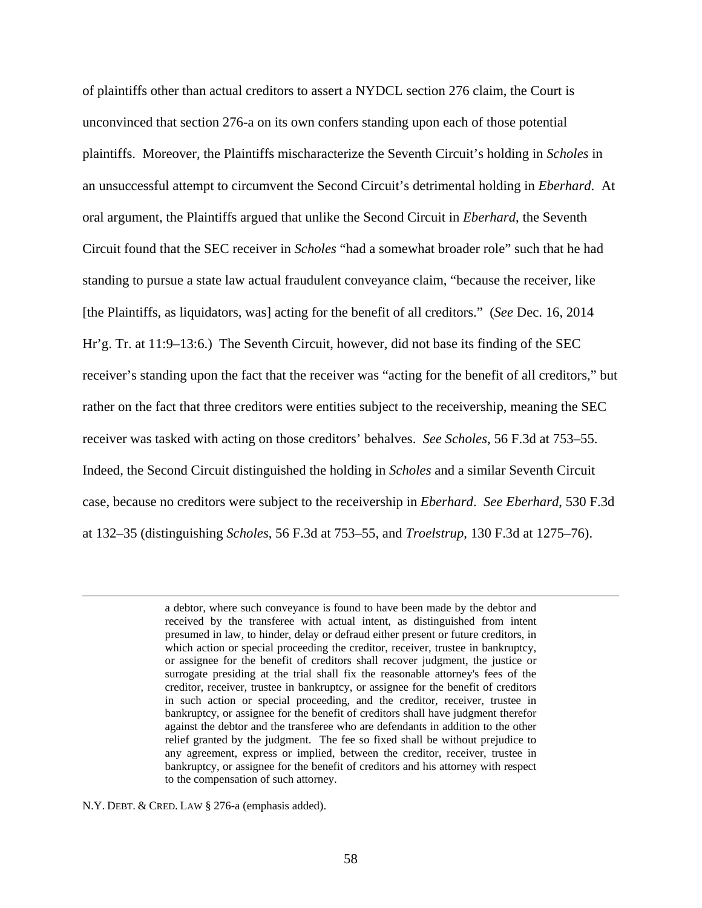of plaintiffs other than actual creditors to assert a NYDCL section 276 claim, the Court is unconvinced that section 276-a on its own confers standing upon each of those potential plaintiffs. Moreover, the Plaintiffs mischaracterize the Seventh Circuit's holding in *Scholes* in an unsuccessful attempt to circumvent the Second Circuit's detrimental holding in *Eberhard*. At oral argument, the Plaintiffs argued that unlike the Second Circuit in *Eberhard*, the Seventh Circuit found that the SEC receiver in *Scholes* "had a somewhat broader role" such that he had standing to pursue a state law actual fraudulent conveyance claim, "because the receiver, like [the Plaintiffs, as liquidators, was] acting for the benefit of all creditors." (*See* Dec. 16, 2014 Hr'g. Tr. at 11:9–13:6.) The Seventh Circuit, however, did not base its finding of the SEC receiver's standing upon the fact that the receiver was "acting for the benefit of all creditors," but rather on the fact that three creditors were entities subject to the receivership, meaning the SEC receiver was tasked with acting on those creditors' behalves. *See Scholes*, 56 F.3d at 753–55. Indeed, the Second Circuit distinguished the holding in *Scholes* and a similar Seventh Circuit case, because no creditors were subject to the receivership in *Eberhard*. *See Eberhard*, 530 F.3d at 132–35 (distinguishing *Scholes*, 56 F.3d at 753–55, and *Troelstrup*, 130 F.3d at 1275–76).

> a debtor, where such conveyance is found to have been made by the debtor and received by the transferee with actual intent, as distinguished from intent presumed in law, to hinder, delay or defraud either present or future creditors, in which action or special proceeding the creditor, receiver, trustee in bankruptcy, or assignee for the benefit of creditors shall recover judgment, the justice or surrogate presiding at the trial shall fix the reasonable attorney's fees of the creditor, receiver, trustee in bankruptcy, or assignee for the benefit of creditors in such action or special proceeding, and the creditor, receiver, trustee in bankruptcy, or assignee for the benefit of creditors shall have judgment therefor against the debtor and the transferee who are defendants in addition to the other relief granted by the judgment. The fee so fixed shall be without prejudice to any agreement, express or implied, between the creditor, receiver, trustee in bankruptcy, or assignee for the benefit of creditors and his attorney with respect to the compensation of such attorney.

N.Y. DEBT. & CRED. LAW § 276-a (emphasis added).

 $\overline{a}$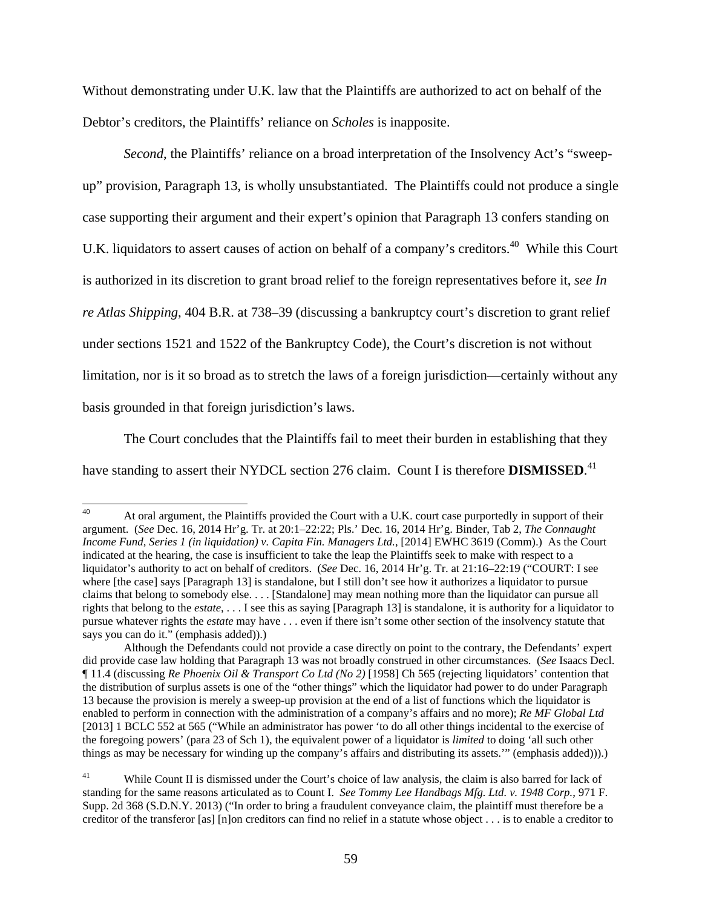Without demonstrating under U.K. law that the Plaintiffs are authorized to act on behalf of the Debtor's creditors, the Plaintiffs' reliance on *Scholes* is inapposite.

*Second*, the Plaintiffs' reliance on a broad interpretation of the Insolvency Act's "sweepup" provision, Paragraph 13, is wholly unsubstantiated. The Plaintiffs could not produce a single case supporting their argument and their expert's opinion that Paragraph 13 confers standing on U.K. liquidators to assert causes of action on behalf of a company's creditors.<sup>40</sup> While this Court is authorized in its discretion to grant broad relief to the foreign representatives before it, *see In re Atlas Shipping*, 404 B.R. at 738–39 (discussing a bankruptcy court's discretion to grant relief under sections 1521 and 1522 of the Bankruptcy Code), the Court's discretion is not without limitation, nor is it so broad as to stretch the laws of a foreign jurisdiction—certainly without any basis grounded in that foreign jurisdiction's laws.

The Court concludes that the Plaintiffs fail to meet their burden in establishing that they have standing to assert their NYDCL section 276 claim. Count I is therefore **DISMISSED**.<sup>41</sup>

 $40<sup>°</sup>$ At oral argument, the Plaintiffs provided the Court with a U.K. court case purportedly in support of their argument. (*See* Dec. 16, 2014 Hr'g. Tr. at 20:1–22:22; Pls.' Dec. 16, 2014 Hr'g. Binder, Tab 2, *The Connaught Income Fund, Series 1 (in liquidation) v. Capita Fin. Managers Ltd.*, [2014] EWHC 3619 (Comm).) As the Court indicated at the hearing, the case is insufficient to take the leap the Plaintiffs seek to make with respect to a liquidator's authority to act on behalf of creditors. (*See* Dec. 16, 2014 Hr'g. Tr. at 21:16–22:19 ("COURT: I see where [the case] says [Paragraph 13] is standalone, but I still don't see how it authorizes a liquidator to pursue claims that belong to somebody else. . . . [Standalone] may mean nothing more than the liquidator can pursue all rights that belong to the *estate*, . . . I see this as saying [Paragraph 13] is standalone, it is authority for a liquidator to pursue whatever rights the *estate* may have . . . even if there isn't some other section of the insolvency statute that says you can do it." (emphasis added)).)

Although the Defendants could not provide a case directly on point to the contrary, the Defendants' expert did provide case law holding that Paragraph 13 was not broadly construed in other circumstances. (*See* Isaacs Decl. ¶ 11.4 (discussing *Re Phoenix Oil & Transport Co Ltd (No 2)* [1958] Ch 565 (rejecting liquidators' contention that the distribution of surplus assets is one of the "other things" which the liquidator had power to do under Paragraph 13 because the provision is merely a sweep-up provision at the end of a list of functions which the liquidator is enabled to perform in connection with the administration of a company's affairs and no more); *Re MF Global Ltd* [2013] 1 BCLC 552 at 565 ("While an administrator has power 'to do all other things incidental to the exercise of the foregoing powers' (para 23 of Sch 1), the equivalent power of a liquidator is *limited* to doing 'all such other things as may be necessary for winding up the company's affairs and distributing its assets.'" (emphasis added))).)

<sup>&</sup>lt;sup>41</sup> While Count II is dismissed under the Court's choice of law analysis, the claim is also barred for lack of standing for the same reasons articulated as to Count I. *See Tommy Lee Handbags Mfg. Ltd. v. 1948 Corp.*, 971 F. Supp. 2d 368 (S.D.N.Y. 2013) ("In order to bring a fraudulent conveyance claim, the plaintiff must therefore be a creditor of the transferor [as] [n]on creditors can find no relief in a statute whose object . . . is to enable a creditor to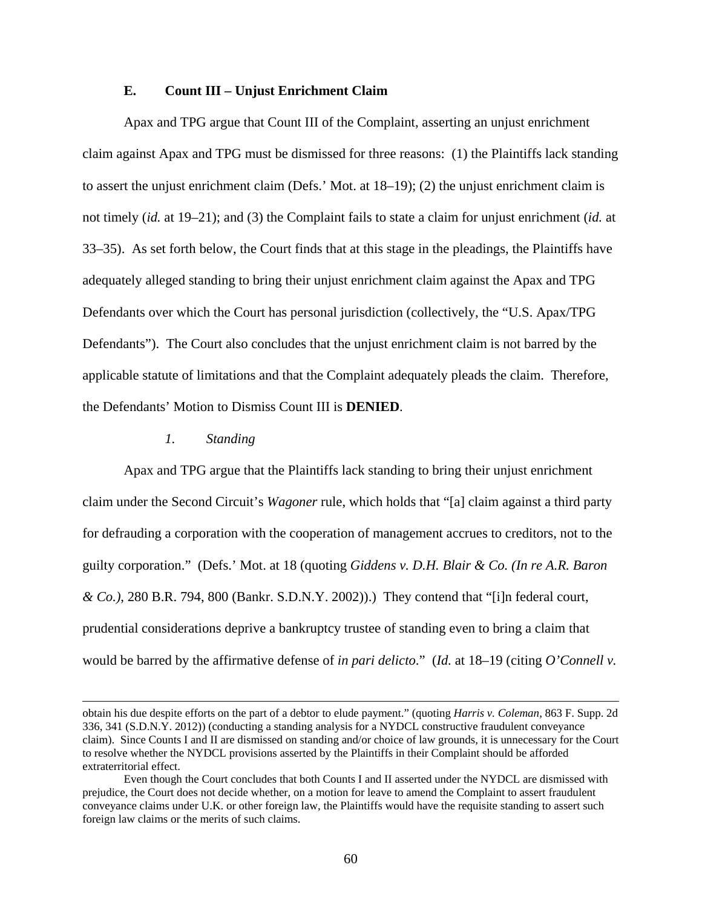# **E. Count III – Unjust Enrichment Claim**

Apax and TPG argue that Count III of the Complaint, asserting an unjust enrichment claim against Apax and TPG must be dismissed for three reasons: (1) the Plaintiffs lack standing to assert the unjust enrichment claim (Defs.' Mot. at 18–19); (2) the unjust enrichment claim is not timely (*id.* at 19–21); and (3) the Complaint fails to state a claim for unjust enrichment (*id.* at 33–35). As set forth below, the Court finds that at this stage in the pleadings, the Plaintiffs have adequately alleged standing to bring their unjust enrichment claim against the Apax and TPG Defendants over which the Court has personal jurisdiction (collectively, the "U.S. Apax/TPG Defendants"). The Court also concludes that the unjust enrichment claim is not barred by the applicable statute of limitations and that the Complaint adequately pleads the claim. Therefore, the Defendants' Motion to Dismiss Count III is **DENIED**.

#### *1. Standing*

l

Apax and TPG argue that the Plaintiffs lack standing to bring their unjust enrichment claim under the Second Circuit's *Wagoner* rule, which holds that "[a] claim against a third party for defrauding a corporation with the cooperation of management accrues to creditors, not to the guilty corporation." (Defs.' Mot. at 18 (quoting *Giddens v. D.H. Blair & Co. (In re A.R. Baron & Co.)*, 280 B.R. 794, 800 (Bankr. S.D.N.Y. 2002)).) They contend that "[i]n federal court, prudential considerations deprive a bankruptcy trustee of standing even to bring a claim that would be barred by the affirmative defense of *in pari delicto*." (*Id.* at 18–19 (citing *O'Connell v.* 

obtain his due despite efforts on the part of a debtor to elude payment." (quoting *Harris v. Coleman*, 863 F. Supp. 2d 336, 341 (S.D.N.Y. 2012)) (conducting a standing analysis for a NYDCL constructive fraudulent conveyance claim). Since Counts I and II are dismissed on standing and/or choice of law grounds, it is unnecessary for the Court to resolve whether the NYDCL provisions asserted by the Plaintiffs in their Complaint should be afforded extraterritorial effect.

Even though the Court concludes that both Counts I and II asserted under the NYDCL are dismissed with prejudice, the Court does not decide whether, on a motion for leave to amend the Complaint to assert fraudulent conveyance claims under U.K. or other foreign law, the Plaintiffs would have the requisite standing to assert such foreign law claims or the merits of such claims.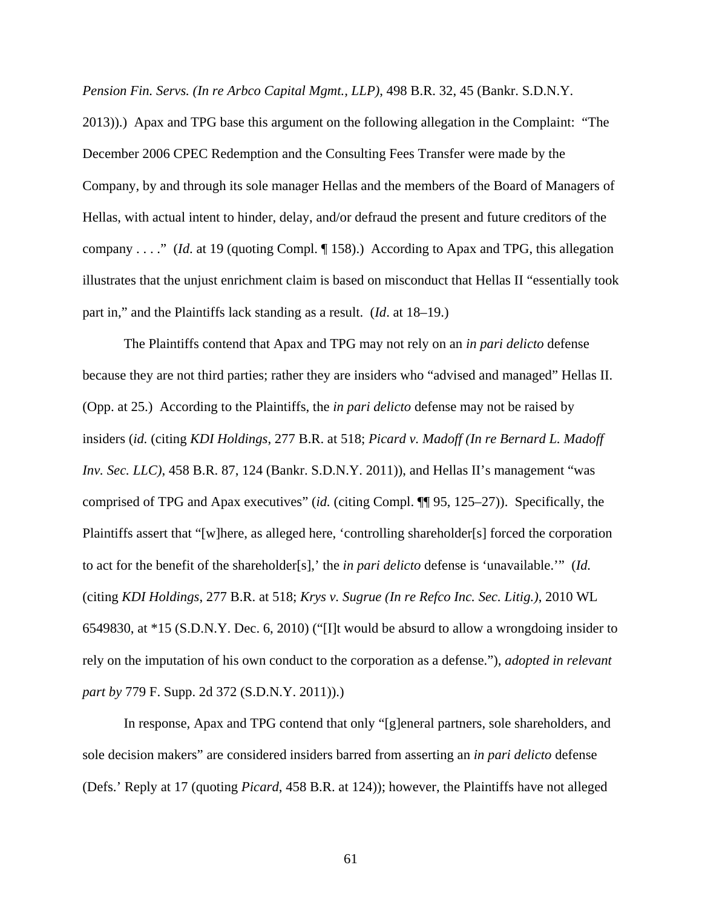*Pension Fin. Servs. (In re Arbco Capital Mgmt., LLP)*, 498 B.R. 32, 45 (Bankr. S.D.N.Y.

2013)).) Apax and TPG base this argument on the following allegation in the Complaint: "The December 2006 CPEC Redemption and the Consulting Fees Transfer were made by the Company, by and through its sole manager Hellas and the members of the Board of Managers of Hellas, with actual intent to hinder, delay, and/or defraud the present and future creditors of the company . . . ." (*Id*. at 19 (quoting Compl. ¶ 158).) According to Apax and TPG, this allegation illustrates that the unjust enrichment claim is based on misconduct that Hellas II "essentially took part in," and the Plaintiffs lack standing as a result. (*Id*. at 18–19.)

The Plaintiffs contend that Apax and TPG may not rely on an *in pari delicto* defense because they are not third parties; rather they are insiders who "advised and managed" Hellas II. (Opp. at 25.) According to the Plaintiffs, the *in pari delicto* defense may not be raised by insiders (*id.* (citing *KDI Holdings*, 277 B.R. at 518; *Picard v. Madoff (In re Bernard L. Madoff Inv. Sec. LLC)*, 458 B.R. 87, 124 (Bankr. S.D.N.Y. 2011)), and Hellas II's management "was comprised of TPG and Apax executives" (*id.* (citing Compl. ¶¶ 95, 125–27)). Specifically, the Plaintiffs assert that "[w]here, as alleged here, 'controlling shareholder[s] forced the corporation to act for the benefit of the shareholder[s],' the *in pari delicto* defense is 'unavailable.'" (*Id.* (citing *KDI Holdings*, 277 B.R. at 518; *Krys v. Sugrue (In re Refco Inc. Sec. Litig.)*, 2010 WL 6549830, at \*15 (S.D.N.Y. Dec. 6, 2010) ("[I]t would be absurd to allow a wrongdoing insider to rely on the imputation of his own conduct to the corporation as a defense."), *adopted in relevant part by* 779 F. Supp. 2d 372 (S.D.N.Y. 2011)).)

In response, Apax and TPG contend that only "[g]eneral partners, sole shareholders, and sole decision makers" are considered insiders barred from asserting an *in pari delicto* defense (Defs.' Reply at 17 (quoting *Picard*, 458 B.R. at 124)); however, the Plaintiffs have not alleged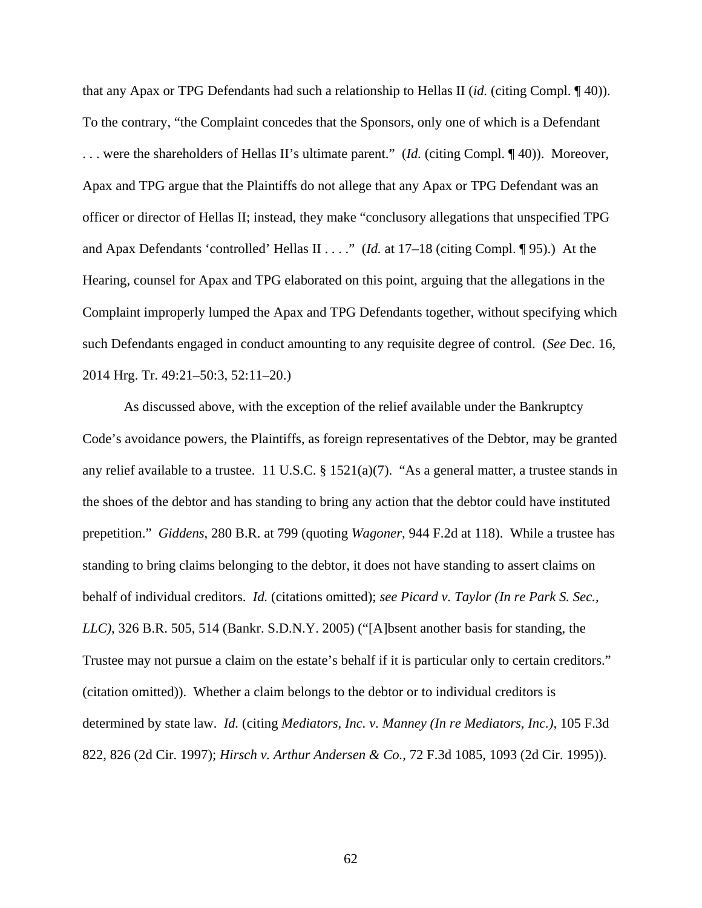that any Apax or TPG Defendants had such a relationship to Hellas II (*id.* (citing Compl. ¶ 40)). To the contrary, "the Complaint concedes that the Sponsors, only one of which is a Defendant . . . were the shareholders of Hellas II's ultimate parent." (*Id.* (citing Compl. ¶ 40)). Moreover, Apax and TPG argue that the Plaintiffs do not allege that any Apax or TPG Defendant was an officer or director of Hellas II; instead, they make "conclusory allegations that unspecified TPG and Apax Defendants 'controlled' Hellas II . . . ." (*Id.* at 17–18 (citing Compl. ¶ 95).) At the Hearing, counsel for Apax and TPG elaborated on this point, arguing that the allegations in the Complaint improperly lumped the Apax and TPG Defendants together, without specifying which such Defendants engaged in conduct amounting to any requisite degree of control. (*See* Dec. 16, 2014 Hrg. Tr. 49:21–50:3, 52:11–20.)

As discussed above, with the exception of the relief available under the Bankruptcy Code's avoidance powers, the Plaintiffs, as foreign representatives of the Debtor, may be granted any relief available to a trustee. 11 U.S.C. § 1521(a)(7). "As a general matter, a trustee stands in the shoes of the debtor and has standing to bring any action that the debtor could have instituted prepetition." *Giddens*, 280 B.R. at 799 (quoting *Wagoner*, 944 F.2d at 118). While a trustee has standing to bring claims belonging to the debtor, it does not have standing to assert claims on behalf of individual creditors. *Id.* (citations omitted); *see Picard v. Taylor (In re Park S. Sec., LLC)*, 326 B.R. 505, 514 (Bankr. S.D.N.Y. 2005) ("[A]bsent another basis for standing, the Trustee may not pursue a claim on the estate's behalf if it is particular only to certain creditors." (citation omitted)). Whether a claim belongs to the debtor or to individual creditors is determined by state law. *Id.* (citing *Mediators, Inc. v. Manney (In re Mediators, Inc.)*, 105 F.3d 822, 826 (2d Cir. 1997); *Hirsch v. Arthur Andersen & Co.*, 72 F.3d 1085, 1093 (2d Cir. 1995)).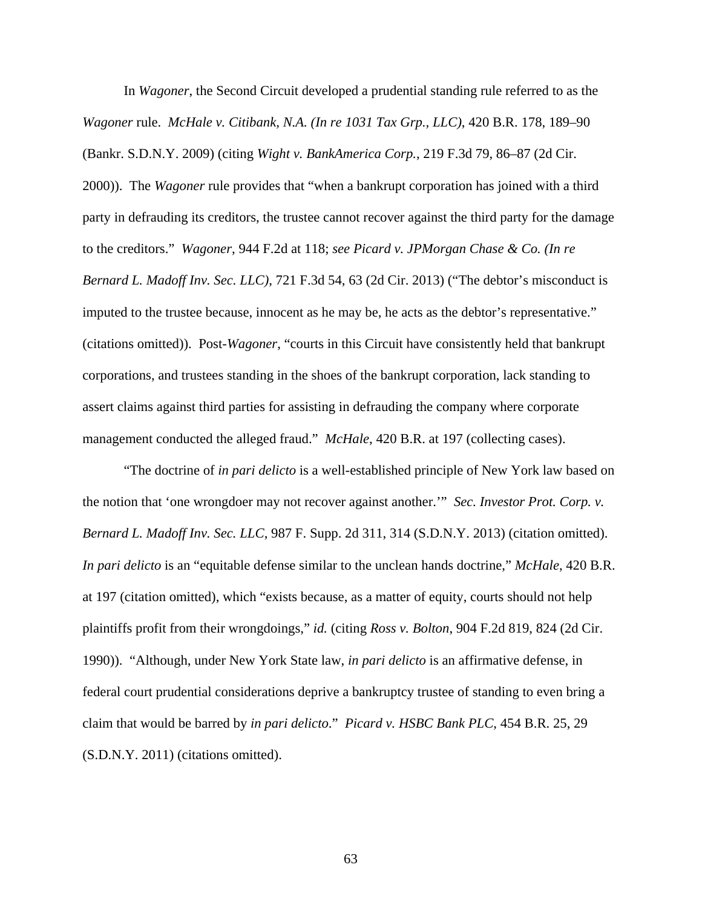In *Wagoner*, the Second Circuit developed a prudential standing rule referred to as the *Wagoner* rule. *McHale v. Citibank, N.A. (In re 1031 Tax Grp., LLC)*, 420 B.R. 178, 189–90 (Bankr. S.D.N.Y. 2009) (citing *Wight v. BankAmerica Corp.*, 219 F.3d 79, 86–87 (2d Cir. 2000)). The *Wagoner* rule provides that "when a bankrupt corporation has joined with a third party in defrauding its creditors, the trustee cannot recover against the third party for the damage to the creditors." *Wagoner*, 944 F.2d at 118; *see Picard v. JPMorgan Chase & Co. (In re Bernard L. Madoff Inv. Sec. LLC)*, 721 F.3d 54, 63 (2d Cir. 2013) ("The debtor's misconduct is imputed to the trustee because, innocent as he may be, he acts as the debtor's representative." (citations omitted)). Post-*Wagoner*, "courts in this Circuit have consistently held that bankrupt corporations, and trustees standing in the shoes of the bankrupt corporation, lack standing to assert claims against third parties for assisting in defrauding the company where corporate management conducted the alleged fraud." *McHale*, 420 B.R. at 197 (collecting cases).

"The doctrine of *in pari delicto* is a well-established principle of New York law based on the notion that 'one wrongdoer may not recover against another.'" *Sec. Investor Prot. Corp. v. Bernard L. Madoff Inv. Sec. LLC*, 987 F. Supp. 2d 311, 314 (S.D.N.Y. 2013) (citation omitted). *In pari delicto* is an "equitable defense similar to the unclean hands doctrine," *McHale*, 420 B.R. at 197 (citation omitted), which "exists because, as a matter of equity, courts should not help plaintiffs profit from their wrongdoings," *id.* (citing *Ross v. Bolton*, 904 F.2d 819, 824 (2d Cir. 1990)). "Although, under New York State law, *in pari delicto* is an affirmative defense, in federal court prudential considerations deprive a bankruptcy trustee of standing to even bring a claim that would be barred by *in pari delicto*." *Picard v. HSBC Bank PLC*, 454 B.R. 25, 29 (S.D.N.Y. 2011) (citations omitted).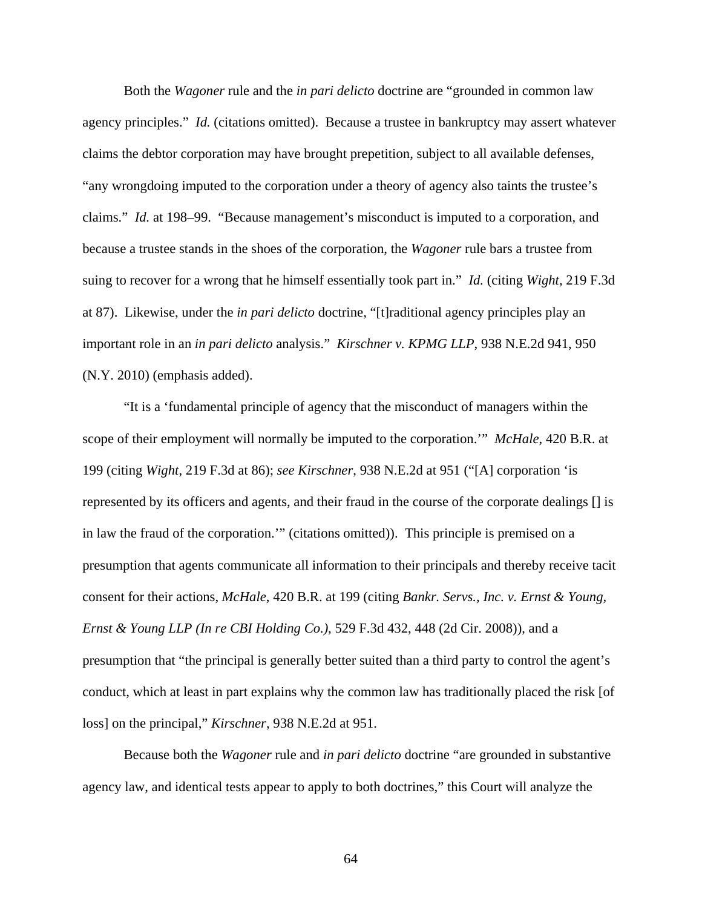Both the *Wagoner* rule and the *in pari delicto* doctrine are "grounded in common law agency principles." *Id.* (citations omitted). Because a trustee in bankruptcy may assert whatever claims the debtor corporation may have brought prepetition, subject to all available defenses, "any wrongdoing imputed to the corporation under a theory of agency also taints the trustee's claims." *Id.* at 198–99. "Because management's misconduct is imputed to a corporation, and because a trustee stands in the shoes of the corporation, the *Wagoner* rule bars a trustee from suing to recover for a wrong that he himself essentially took part in." *Id.* (citing *Wight*, 219 F.3d at 87). Likewise, under the *in pari delicto* doctrine, "[t]raditional agency principles play an important role in an *in pari delicto* analysis." *Kirschner v. KPMG LLP*, 938 N.E.2d 941, 950 (N.Y. 2010) (emphasis added).

"It is a 'fundamental principle of agency that the misconduct of managers within the scope of their employment will normally be imputed to the corporation.'" *McHale*, 420 B.R. at 199 (citing *Wight*, 219 F.3d at 86); *see Kirschner*, 938 N.E.2d at 951 ("[A] corporation 'is represented by its officers and agents, and their fraud in the course of the corporate dealings [] is in law the fraud of the corporation.'" (citations omitted)). This principle is premised on a presumption that agents communicate all information to their principals and thereby receive tacit consent for their actions, *McHale*, 420 B.R. at 199 (citing *Bankr. Servs., Inc. v. Ernst & Young, Ernst & Young LLP (In re CBI Holding Co.)*, 529 F.3d 432, 448 (2d Cir. 2008)), and a presumption that "the principal is generally better suited than a third party to control the agent's conduct, which at least in part explains why the common law has traditionally placed the risk [of loss] on the principal," *Kirschner*, 938 N.E.2d at 951.

Because both the *Wagoner* rule and *in pari delicto* doctrine "are grounded in substantive agency law, and identical tests appear to apply to both doctrines," this Court will analyze the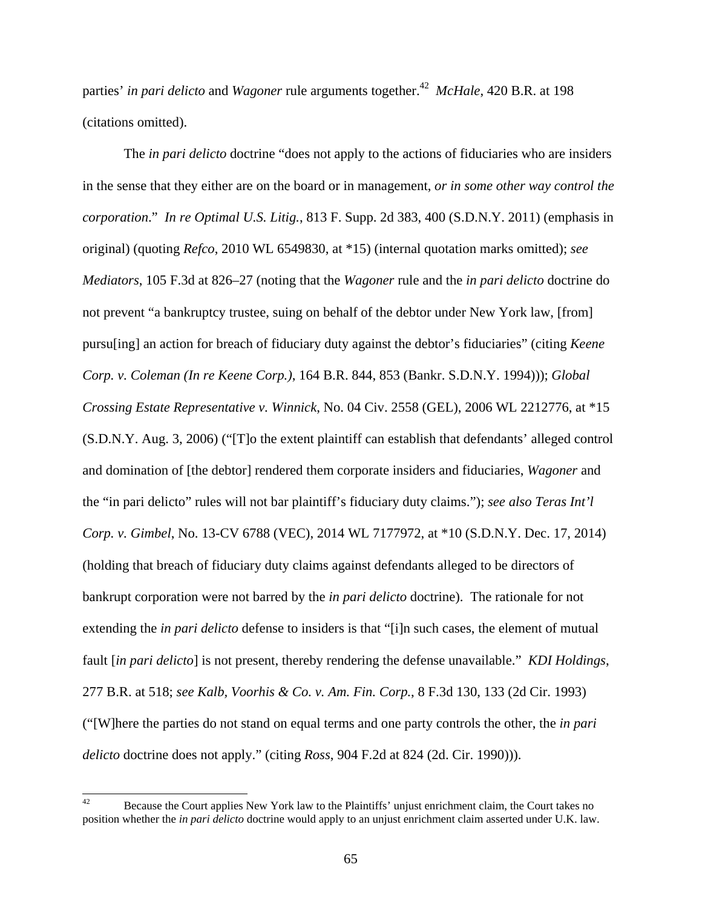parties' *in pari delicto* and *Wagoner* rule arguments together.42 *McHale*, 420 B.R. at 198 (citations omitted).

The *in pari delicto* doctrine "does not apply to the actions of fiduciaries who are insiders in the sense that they either are on the board or in management, *or in some other way control the corporation*." *In re Optimal U.S. Litig.*, 813 F. Supp. 2d 383, 400 (S.D.N.Y. 2011) (emphasis in original) (quoting *Refco*, 2010 WL 6549830, at \*15) (internal quotation marks omitted); *see Mediators*, 105 F.3d at 826–27 (noting that the *Wagoner* rule and the *in pari delicto* doctrine do not prevent "a bankruptcy trustee, suing on behalf of the debtor under New York law, [from] pursu[ing] an action for breach of fiduciary duty against the debtor's fiduciaries" (citing *Keene Corp. v. Coleman (In re Keene Corp.)*, 164 B.R. 844, 853 (Bankr. S.D.N.Y. 1994))); *Global Crossing Estate Representative v. Winnick*, No. 04 Civ. 2558 (GEL), 2006 WL 2212776, at \*15 (S.D.N.Y. Aug. 3, 2006) ("[T]o the extent plaintiff can establish that defendants' alleged control and domination of [the debtor] rendered them corporate insiders and fiduciaries, *Wagoner* and the "in pari delicto" rules will not bar plaintiff's fiduciary duty claims."); *see also Teras Int'l Corp. v. Gimbel*, No. 13-CV 6788 (VEC), 2014 WL 7177972, at \*10 (S.D.N.Y. Dec. 17, 2014) (holding that breach of fiduciary duty claims against defendants alleged to be directors of bankrupt corporation were not barred by the *in pari delicto* doctrine). The rationale for not extending the *in pari delicto* defense to insiders is that "[i]n such cases, the element of mutual fault [*in pari delicto*] is not present, thereby rendering the defense unavailable." *KDI Holdings*, 277 B.R. at 518; *see Kalb, Voorhis & Co. v. Am. Fin. Corp.*, 8 F.3d 130, 133 (2d Cir. 1993) ("[W]here the parties do not stand on equal terms and one party controls the other, the *in pari delicto* doctrine does not apply." (citing *Ross*, 904 F.2d at 824 (2d. Cir. 1990))).

<sup>42</sup> Because the Court applies New York law to the Plaintiffs' unjust enrichment claim, the Court takes no position whether the *in pari delicto* doctrine would apply to an unjust enrichment claim asserted under U.K. law.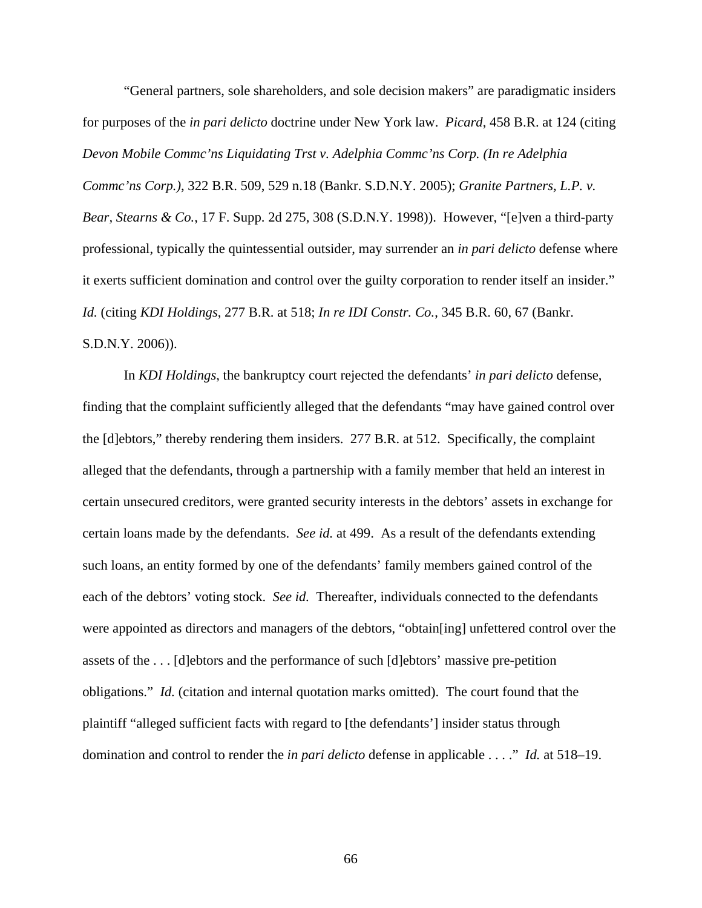"General partners, sole shareholders, and sole decision makers" are paradigmatic insiders for purposes of the *in pari delicto* doctrine under New York law. *Picard*, 458 B.R. at 124 (citing *Devon Mobile Commc'ns Liquidating Trst v. Adelphia Commc'ns Corp. (In re Adelphia Commc'ns Corp.)*, 322 B.R. 509, 529 n.18 (Bankr. S.D.N.Y. 2005); *Granite Partners, L.P. v. Bear, Stearns & Co.*, 17 F. Supp. 2d 275, 308 (S.D.N.Y. 1998)). However, "[e]ven a third-party professional, typically the quintessential outsider, may surrender an *in pari delicto* defense where it exerts sufficient domination and control over the guilty corporation to render itself an insider." *Id.* (citing *KDI Holdings*, 277 B.R. at 518; *In re IDI Constr. Co.*, 345 B.R. 60, 67 (Bankr. S.D.N.Y. 2006)).

In *KDI Holdings*, the bankruptcy court rejected the defendants' *in pari delicto* defense, finding that the complaint sufficiently alleged that the defendants "may have gained control over the [d]ebtors," thereby rendering them insiders. 277 B.R. at 512. Specifically, the complaint alleged that the defendants, through a partnership with a family member that held an interest in certain unsecured creditors, were granted security interests in the debtors' assets in exchange for certain loans made by the defendants. *See id.* at 499. As a result of the defendants extending such loans, an entity formed by one of the defendants' family members gained control of the each of the debtors' voting stock. *See id.* Thereafter, individuals connected to the defendants were appointed as directors and managers of the debtors, "obtain[ing] unfettered control over the assets of the . . . [d]ebtors and the performance of such [d]ebtors' massive pre-petition obligations." *Id.* (citation and internal quotation marks omitted). The court found that the plaintiff "alleged sufficient facts with regard to [the defendants'] insider status through domination and control to render the *in pari delicto* defense in applicable . . . ." *Id.* at 518–19.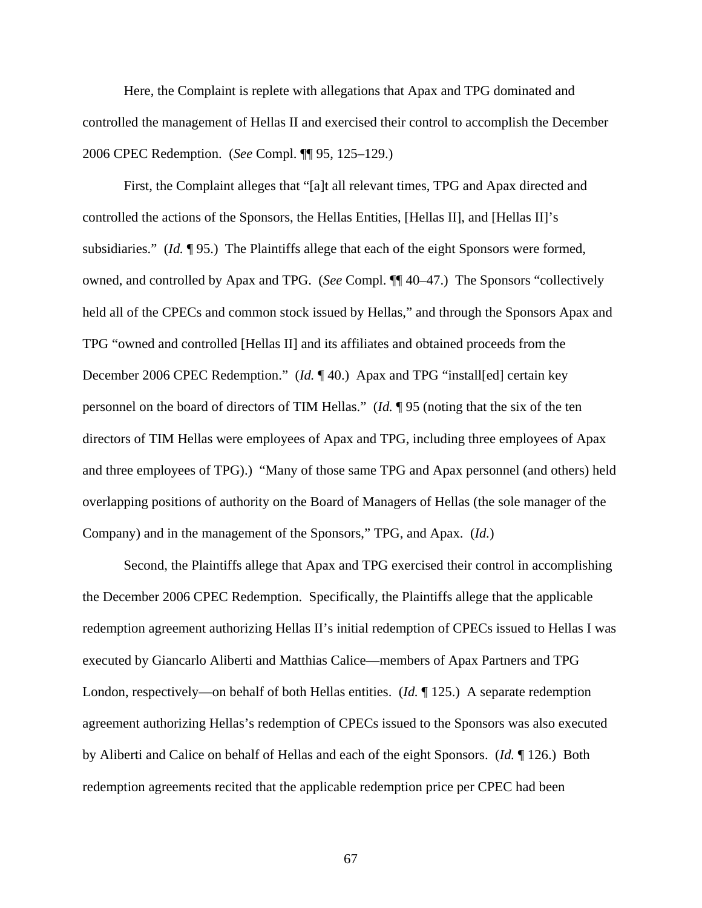Here, the Complaint is replete with allegations that Apax and TPG dominated and controlled the management of Hellas II and exercised their control to accomplish the December 2006 CPEC Redemption. (*See* Compl. ¶¶ 95, 125–129.)

First, the Complaint alleges that "[a]t all relevant times, TPG and Apax directed and controlled the actions of the Sponsors, the Hellas Entities, [Hellas II], and [Hellas II]'s subsidiaries." (*Id.* ¶ 95.) The Plaintiffs allege that each of the eight Sponsors were formed, owned, and controlled by Apax and TPG. (*See* Compl. ¶¶ 40–47.) The Sponsors "collectively held all of the CPECs and common stock issued by Hellas," and through the Sponsors Apax and TPG "owned and controlled [Hellas II] and its affiliates and obtained proceeds from the December 2006 CPEC Redemption." (*Id.* ¶ 40.) Apax and TPG "install[ed] certain key personnel on the board of directors of TIM Hellas." (*Id.* ¶ 95 (noting that the six of the ten directors of TIM Hellas were employees of Apax and TPG, including three employees of Apax and three employees of TPG).) "Many of those same TPG and Apax personnel (and others) held overlapping positions of authority on the Board of Managers of Hellas (the sole manager of the Company) and in the management of the Sponsors," TPG, and Apax. (*Id.*)

Second, the Plaintiffs allege that Apax and TPG exercised their control in accomplishing the December 2006 CPEC Redemption. Specifically, the Plaintiffs allege that the applicable redemption agreement authorizing Hellas II's initial redemption of CPECs issued to Hellas I was executed by Giancarlo Aliberti and Matthias Calice—members of Apax Partners and TPG London, respectively—on behalf of both Hellas entities. (*Id.* ¶ 125.) A separate redemption agreement authorizing Hellas's redemption of CPECs issued to the Sponsors was also executed by Aliberti and Calice on behalf of Hellas and each of the eight Sponsors. (*Id.* ¶ 126.) Both redemption agreements recited that the applicable redemption price per CPEC had been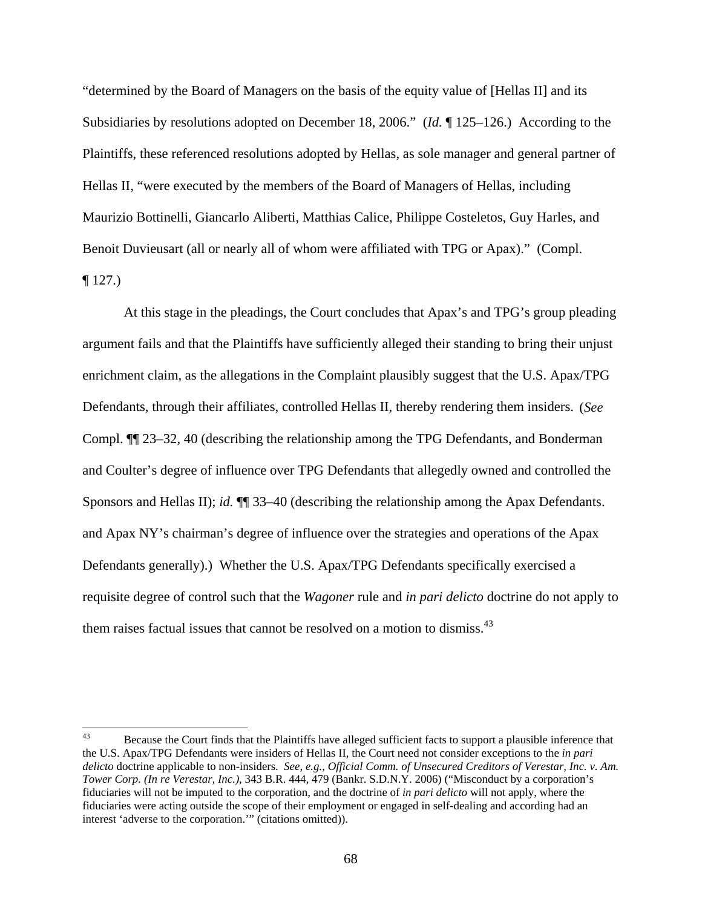"determined by the Board of Managers on the basis of the equity value of [Hellas II] and its Subsidiaries by resolutions adopted on December 18, 2006." (*Id.* ¶ 125–126.) According to the Plaintiffs, these referenced resolutions adopted by Hellas, as sole manager and general partner of Hellas II, "were executed by the members of the Board of Managers of Hellas, including Maurizio Bottinelli, Giancarlo Aliberti, Matthias Calice, Philippe Costeletos, Guy Harles, and Benoit Duvieusart (all or nearly all of whom were affiliated with TPG or Apax)." (Compl.  $\P$  127.)

At this stage in the pleadings, the Court concludes that Apax's and TPG's group pleading argument fails and that the Plaintiffs have sufficiently alleged their standing to bring their unjust enrichment claim, as the allegations in the Complaint plausibly suggest that the U.S. Apax/TPG Defendants, through their affiliates, controlled Hellas II, thereby rendering them insiders. (*See*  Compl. ¶¶ 23–32, 40 (describing the relationship among the TPG Defendants, and Bonderman and Coulter's degree of influence over TPG Defendants that allegedly owned and controlled the Sponsors and Hellas II); *id.* ¶¶ 33–40 (describing the relationship among the Apax Defendants. and Apax NY's chairman's degree of influence over the strategies and operations of the Apax Defendants generally).) Whether the U.S. Apax/TPG Defendants specifically exercised a requisite degree of control such that the *Wagoner* rule and *in pari delicto* doctrine do not apply to them raises factual issues that cannot be resolved on a motion to dismiss.<sup>43</sup>

 $43$ 43 Because the Court finds that the Plaintiffs have alleged sufficient facts to support a plausible inference that the U.S. Apax/TPG Defendants were insiders of Hellas II, the Court need not consider exceptions to the *in pari delicto* doctrine applicable to non-insiders. *See, e.g.*, *Official Comm. of Unsecured Creditors of Verestar, Inc. v. Am. Tower Corp. (In re Verestar, Inc.)*, 343 B.R. 444, 479 (Bankr. S.D.N.Y. 2006) ("Misconduct by a corporation's fiduciaries will not be imputed to the corporation, and the doctrine of *in pari delicto* will not apply, where the fiduciaries were acting outside the scope of their employment or engaged in self-dealing and according had an interest 'adverse to the corporation.'" (citations omitted)).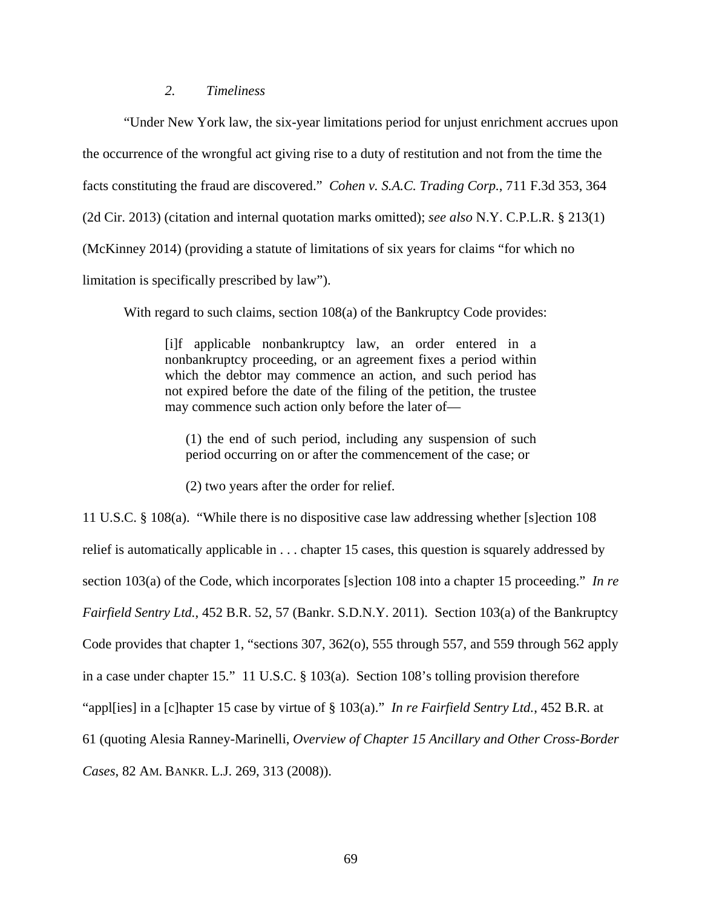# *2. Timeliness*

"Under New York law, the six-year limitations period for unjust enrichment accrues upon the occurrence of the wrongful act giving rise to a duty of restitution and not from the time the facts constituting the fraud are discovered." *Cohen v. S.A.C. Trading Corp.*, 711 F.3d 353, 364 (2d Cir. 2013) (citation and internal quotation marks omitted); *see also* N.Y. C.P.L.R. § 213(1) (McKinney 2014) (providing a statute of limitations of six years for claims "for which no limitation is specifically prescribed by law").

With regard to such claims, section 108(a) of the Bankruptcy Code provides:

[i]f applicable nonbankruptcy law, an order entered in a nonbankruptcy proceeding, or an agreement fixes a period within which the debtor may commence an action, and such period has not expired before the date of the filing of the petition, the trustee may commence such action only before the later of—

(1) the end of such period, including any suspension of such period occurring on or after the commencement of the case; or

(2) two years after the order for relief.

11 U.S.C. § 108(a). "While there is no dispositive case law addressing whether [s]ection 108 relief is automatically applicable in . . . chapter 15 cases, this question is squarely addressed by section 103(a) of the Code, which incorporates [s]ection 108 into a chapter 15 proceeding." *In re Fairfield Sentry Ltd.*, 452 B.R. 52, 57 (Bankr. S.D.N.Y. 2011). Section 103(a) of the Bankruptcy Code provides that chapter 1, "sections 307, 362(o), 555 through 557, and 559 through 562 apply in a case under chapter 15." 11 U.S.C. § 103(a). Section 108's tolling provision therefore "appl[ies] in a [c]hapter 15 case by virtue of § 103(a)." *In re Fairfield Sentry Ltd.*, 452 B.R. at 61 (quoting Alesia Ranney-Marinelli, *Overview of Chapter 15 Ancillary and Other Cross-Border Cases*, 82 AM. BANKR. L.J. 269, 313 (2008)).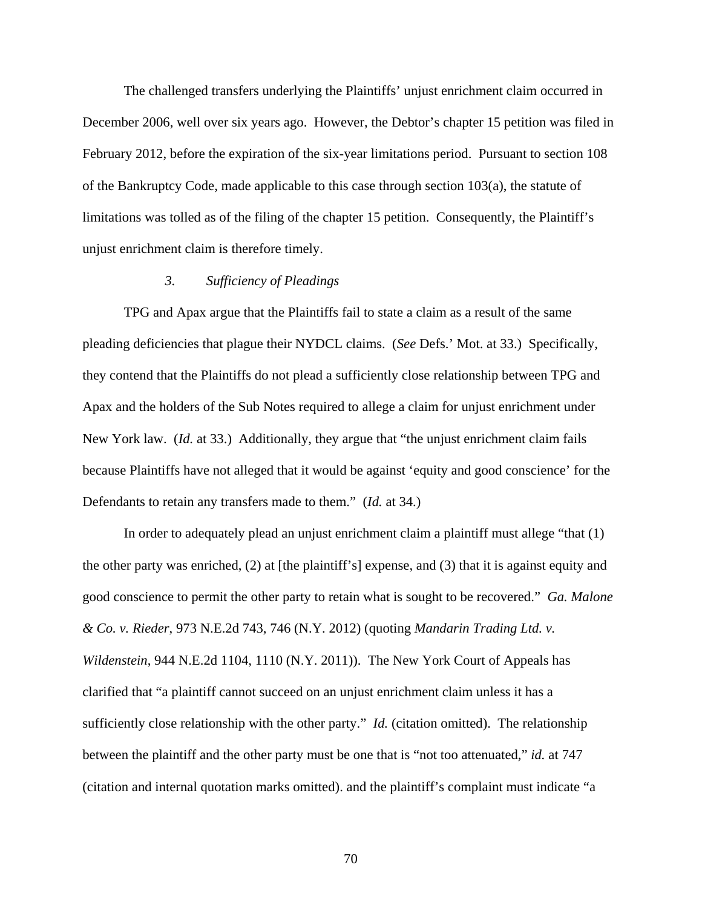The challenged transfers underlying the Plaintiffs' unjust enrichment claim occurred in December 2006, well over six years ago. However, the Debtor's chapter 15 petition was filed in February 2012, before the expiration of the six-year limitations period. Pursuant to section 108 of the Bankruptcy Code, made applicable to this case through section 103(a), the statute of limitations was tolled as of the filing of the chapter 15 petition. Consequently, the Plaintiff's unjust enrichment claim is therefore timely.

## *3. Sufficiency of Pleadings*

TPG and Apax argue that the Plaintiffs fail to state a claim as a result of the same pleading deficiencies that plague their NYDCL claims. (*See* Defs.' Mot. at 33.) Specifically, they contend that the Plaintiffs do not plead a sufficiently close relationship between TPG and Apax and the holders of the Sub Notes required to allege a claim for unjust enrichment under New York law. (*Id.* at 33.) Additionally, they argue that "the unjust enrichment claim fails because Plaintiffs have not alleged that it would be against 'equity and good conscience' for the Defendants to retain any transfers made to them." (*Id.* at 34.)

In order to adequately plead an unjust enrichment claim a plaintiff must allege "that (1) the other party was enriched, (2) at [the plaintiff's] expense, and (3) that it is against equity and good conscience to permit the other party to retain what is sought to be recovered." *Ga. Malone & Co. v. Rieder*, 973 N.E.2d 743, 746 (N.Y. 2012) (quoting *Mandarin Trading Ltd. v. Wildenstein*, 944 N.E.2d 1104, 1110 (N.Y. 2011)). The New York Court of Appeals has clarified that "a plaintiff cannot succeed on an unjust enrichment claim unless it has a sufficiently close relationship with the other party." *Id.* (citation omitted). The relationship between the plaintiff and the other party must be one that is "not too attenuated," *id.* at 747 (citation and internal quotation marks omitted). and the plaintiff's complaint must indicate "a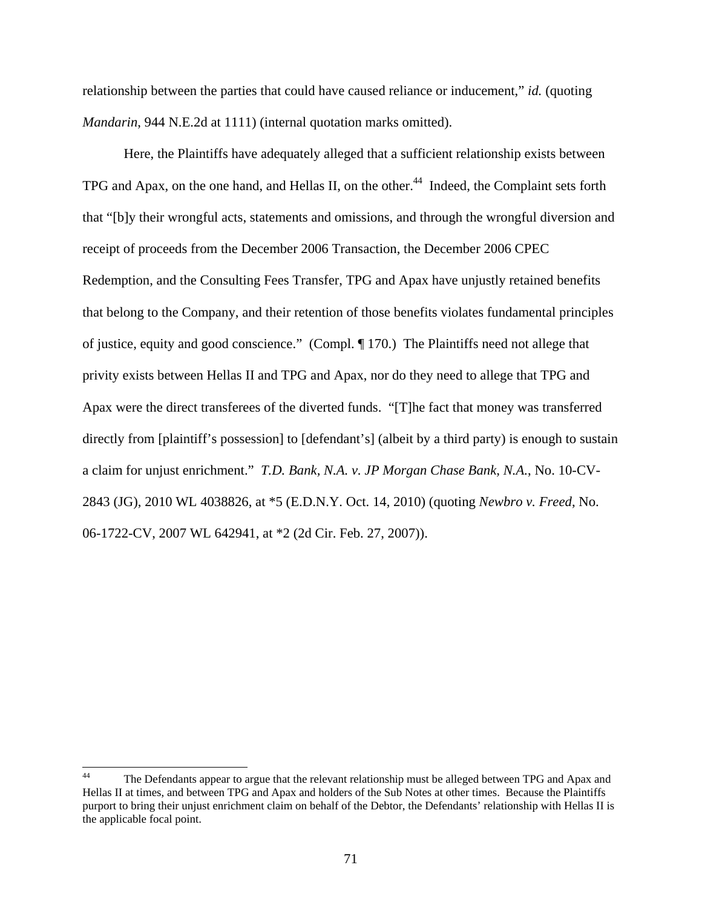relationship between the parties that could have caused reliance or inducement," *id.* (quoting *Mandarin*, 944 N.E.2d at 1111) (internal quotation marks omitted).

Here, the Plaintiffs have adequately alleged that a sufficient relationship exists between TPG and Apax, on the one hand, and Hellas II, on the other.<sup>44</sup> Indeed, the Complaint sets forth that "[b]y their wrongful acts, statements and omissions, and through the wrongful diversion and receipt of proceeds from the December 2006 Transaction, the December 2006 CPEC Redemption, and the Consulting Fees Transfer, TPG and Apax have unjustly retained benefits that belong to the Company, and their retention of those benefits violates fundamental principles of justice, equity and good conscience." (Compl. ¶ 170.) The Plaintiffs need not allege that privity exists between Hellas II and TPG and Apax, nor do they need to allege that TPG and Apax were the direct transferees of the diverted funds. "[T]he fact that money was transferred directly from [plaintiff's possession] to [defendant's] (albeit by a third party) is enough to sustain a claim for unjust enrichment." *T.D. Bank, N.A. v. JP Morgan Chase Bank, N.A.*, No. 10-CV-2843 (JG), 2010 WL 4038826, at \*5 (E.D.N.Y. Oct. 14, 2010) (quoting *Newbro v. Freed*, No. 06-1722-CV, 2007 WL 642941, at \*2 (2d Cir. Feb. 27, 2007)).

 $44$ The Defendants appear to argue that the relevant relationship must be alleged between TPG and Apax and Hellas II at times, and between TPG and Apax and holders of the Sub Notes at other times. Because the Plaintiffs purport to bring their unjust enrichment claim on behalf of the Debtor, the Defendants' relationship with Hellas II is the applicable focal point.